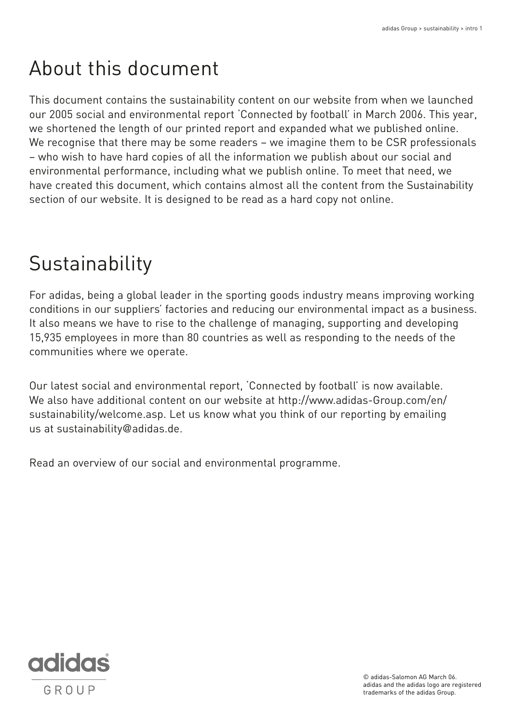# About this document

This document contains the sustainability content on our website from when we launched our 2005 social and environmental report 'Connected by football' in March 2006. This year, we shortened the length of our printed report and expanded what we published online. We recognise that there may be some readers – we imagine them to be CSR professionals – who wish to have hard copies of all the information we publish about our social and environmental performance, including what we publish online. To meet that need, we have created this document, which contains almost all the content from the Sustainability section of our website. It is designed to be read as a hard copy not online.

# Sustainability

For adidas, being a global leader in the sporting goods industry means improving working conditions in our suppliers' factories and reducing our environmental impact as a business. It also means we have to rise to the challenge of managing, supporting and developing 15,935 employees in more than 80 countries as well as responding to the needs of the communities where we operate.

Our latest social and environmental report, 'Connected by football' is now available. We also have additional content on our website at http://www.adidas-Group.com/en/ sustainability/welcome.asp. Let us know what you think of our reporting by emailing us at sustainability@adidas.de.

Read an overview of our social and environmental programme.



© adidas-Salomon AG March 06. adidas and the adidas logo are registered trademarks of the adidas Group.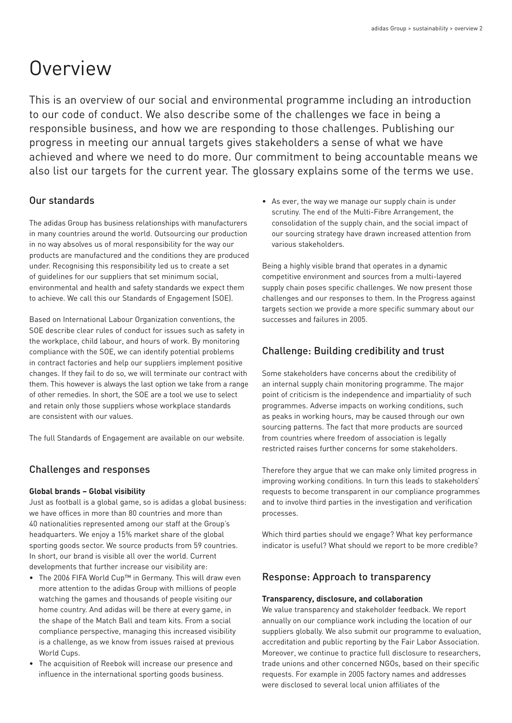# **Overview**

This is an overview of our social and environmental programme including an introduction to our code of conduct. We also describe some of the challenges we face in being a responsible business, and how we are responding to those challenges. Publishing our progress in meeting our annual targets gives stakeholders a sense of what we have achieved and where we need to do more. Our commitment to being accountable means we also list our targets for the current year. The glossary explains some of the terms we use.

# Our standards

The adidas Group has business relationships with manufacturers in many countries around the world. Outsourcing our production in no way absolves us of moral responsibility for the way our products are manufactured and the conditions they are produced under. Recognising this responsibility led us to create a set of guidelines for our suppliers that set minimum social, environmental and health and safety standards we expect them to achieve. We call this our Standards of Engagement (SOE).

Based on International Labour Organization conventions, the SOE describe clear rules of conduct for issues such as safety in the workplace, child labour, and hours of work. By monitoring compliance with the SOE, we can identify potential problems in contract factories and help our suppliers implement positive changes. If they fail to do so, we will terminate our contract with them. This however is always the last option we take from a range of other remedies. In short, the SOE are a tool we use to select and retain only those suppliers whose workplace standards are consistent with our values.

The full Standards of Engagement are available on our website.

# Challenges and responses

## **Global brands – Global visibility**

Just as football is a global game, so is adidas a global business: we have offices in more than 80 countries and more than 40 nationalities represented among our staff at the Group's headquarters. We enjoy a 15% market share of the global sporting goods sector. We source products from 59 countries. In short, our brand is visible all over the world. Current developments that further increase our visibility are:

- The 2006 FIFA World Cup™ in Germany. This will draw even more attention to the adidas Group with millions of people watching the games and thousands of people visiting our home country. And adidas will be there at every game, in the shape of the Match Ball and team kits. From a social compliance perspective, managing this increased visibility is a challenge, as we know from issues raised at previous World Cups.
- The acquisition of Reebok will increase our presence and influence in the international sporting goods business.

• As ever, the way we manage our supply chain is under scrutiny. The end of the Multi-Fibre Arrangement, the consolidation of the supply chain, and the social impact of our sourcing strategy have drawn increased attention from various stakeholders.

Being a highly visible brand that operates in a dynamic competitive environment and sources from a multi-layered supply chain poses specific challenges. We now present those challenges and our responses to them. In the Progress against targets section we provide a more specific summary about our successes and failures in 2005.

# Challenge: Building credibility and trust

Some stakeholders have concerns about the credibility of an internal supply chain monitoring programme. The major point of criticism is the independence and impartiality of such programmes. Adverse impacts on working conditions, such as peaks in working hours, may be caused through our own sourcing patterns. The fact that more products are sourced from countries where freedom of association is legally restricted raises further concerns for some stakeholders.

Therefore they argue that we can make only limited progress in improving working conditions. In turn this leads to stakeholders' requests to become transparent in our compliance programmes and to involve third parties in the investigation and verification processes.

Which third parties should we engage? What key performance indicator is useful? What should we report to be more credible?

# Response: Approach to transparency

## **Transparency, disclosure, and collaboration**

We value transparency and stakeholder feedback. We report annually on our compliance work including the location of our suppliers globally. We also submit our programme to evaluation, accreditation and public reporting by the Fair Labor Association. Moreover, we continue to practice full disclosure to researchers, trade unions and other concerned NGOs, based on their specific requests. For example in 2005 factory names and addresses were disclosed to several local union affiliates of the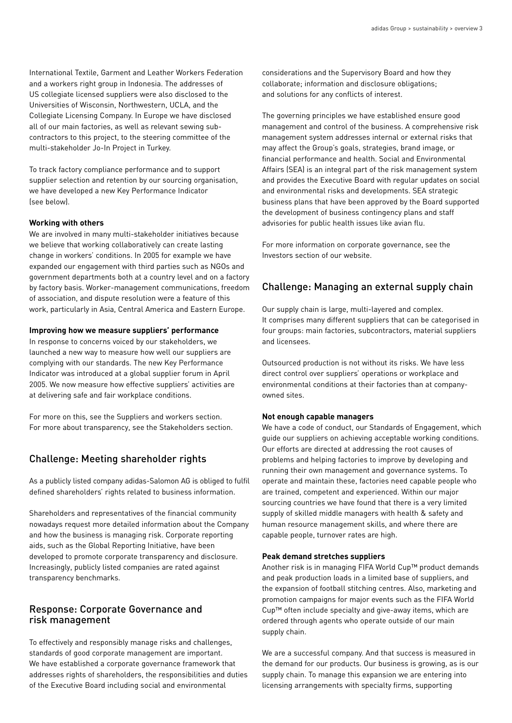International Textile, Garment and Leather Workers Federation and a workers right group in Indonesia. The addresses of US collegiate licensed suppliers were also disclosed to the Universities of Wisconsin, Northwestern, UCLA, and the Collegiate Licensing Company. In Europe we have disclosed all of our main factories, as well as relevant sewing subcontractors to this project, to the steering committee of the multi-stakeholder Jo-In Project in Turkey.

To track factory compliance performance and to support supplier selection and retention by our sourcing organisation, we have developed a new Key Performance Indicator (see below).

#### **Working with others**

We are involved in many multi-stakeholder initiatives because we believe that working collaboratively can create lasting change in workers' conditions. In 2005 for example we have expanded our engagement with third parties such as NGOs and government departments both at a country level and on a factory by factory basis. Worker-management communications, freedom of association, and dispute resolution were a feature of this work, particularly in Asia, Central America and Eastern Europe.

#### **Improving how we measure suppliers' performance**

In response to concerns voiced by our stakeholders, we launched a new way to measure how well our suppliers are complying with our standards. The new Key Performance Indicator was introduced at a global supplier forum in April 2005. We now measure how effective suppliers' activities are at delivering safe and fair workplace conditions.

For more on this, see the Suppliers and workers section. For more about transparency, see the Stakeholders section.

## Challenge: Meeting shareholder rights

As a publicly listed company adidas-Salomon AG is obliged to fulfil defined shareholders' rights related to business information.

Shareholders and representatives of the financial community nowadays request more detailed information about the Company and how the business is managing risk. Corporate reporting aids, such as the Global Reporting Initiative, have been developed to promote corporate transparency and disclosure. Increasingly, publicly listed companies are rated against transparency benchmarks.

## Response: Corporate Governance and risk management

To effectively and responsibly manage risks and challenges, standards of good corporate management are important. We have established a corporate governance framework that addresses rights of shareholders, the responsibilities and duties of the Executive Board including social and environmental

considerations and the Supervisory Board and how they collaborate; information and disclosure obligations; and solutions for any conflicts of interest.

The governing principles we have established ensure good management and control of the business. A comprehensive risk management system addresses internal or external risks that may affect the Group's goals, strategies, brand image, or financial performance and health. Social and Environmental Affairs (SEA) is an integral part of the risk management system and provides the Executive Board with regular updates on social and environmental risks and developments. SEA strategic business plans that have been approved by the Board supported the development of business contingency plans and staff advisories for public health issues like avian flu.

For more information on corporate governance, see the Investors section of our website.

## Challenge: Managing an external supply chain

Our supply chain is large, multi-layered and complex. It comprises many different suppliers that can be categorised in four groups: main factories, subcontractors, material suppliers and licensees.

Outsourced production is not without its risks. We have less direct control over suppliers' operations or workplace and environmental conditions at their factories than at companyowned sites.

#### **Not enough capable managers**

We have a code of conduct, our Standards of Engagement, which guide our suppliers on achieving acceptable working conditions. Our efforts are directed at addressing the root causes of problems and helping factories to improve by developing and running their own management and governance systems. To operate and maintain these, factories need capable people who are trained, competent and experienced. Within our major sourcing countries we have found that there is a very limited supply of skilled middle managers with health & safety and human resource management skills, and where there are capable people, turnover rates are high.

#### **Peak demand stretches suppliers**

Another risk is in managing FIFA World Cup™ product demands and peak production loads in a limited base of suppliers, and the expansion of football stitching centres. Also, marketing and promotion campaigns for major events such as the FIFA World Cup™ often include specialty and give-away items, which are ordered through agents who operate outside of our main supply chain.

We are a successful company. And that success is measured in the demand for our products. Our business is growing, as is our supply chain. To manage this expansion we are entering into licensing arrangements with specialty firms, supporting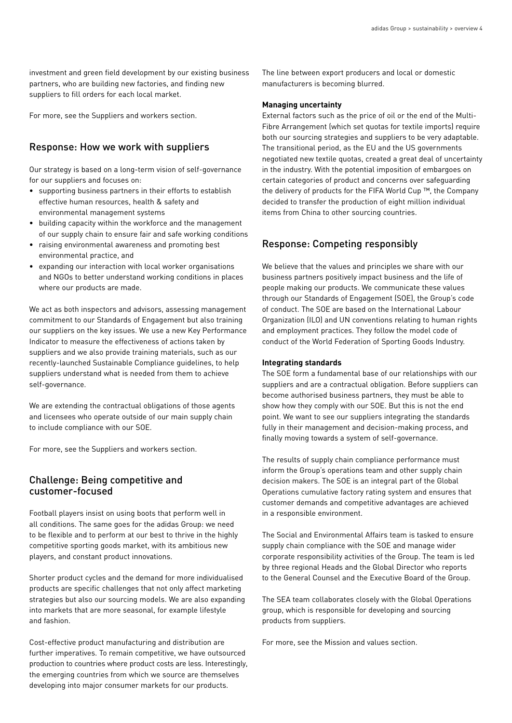investment and green field development by our existing business partners, who are building new factories, and finding new suppliers to fill orders for each local market.

For more, see the Suppliers and workers section.

## Response: How we work with suppliers

Our strategy is based on a long-term vision of self-governance for our suppliers and focuses on:

- supporting business partners in their efforts to establish effective human resources, health & safety and environmental management systems
- building capacity within the workforce and the management of our supply chain to ensure fair and safe working conditions
- raising environmental awareness and promoting best environmental practice, and
- expanding our interaction with local worker organisations and NGOs to better understand working conditions in places where our products are made.

We act as both inspectors and advisors, assessing management commitment to our Standards of Engagement but also training our suppliers on the key issues. We use a new Key Performance Indicator to measure the effectiveness of actions taken by suppliers and we also provide training materials, such as our recently-launched Sustainable Compliance guidelines, to help suppliers understand what is needed from them to achieve self-governance.

We are extending the contractual obligations of those agents and licensees who operate outside of our main supply chain to include compliance with our SOE.

For more, see the Suppliers and workers section.

## Challenge: Being competitive and customer-focused

Football players insist on using boots that perform well in all conditions. The same goes for the adidas Group: we need to be flexible and to perform at our best to thrive in the highly competitive sporting goods market, with its ambitious new players, and constant product innovations.

Shorter product cycles and the demand for more individualised products are specific challenges that not only affect marketing strategies but also our sourcing models. We are also expanding into markets that are more seasonal, for example lifestyle and fashion.

Cost-effective product manufacturing and distribution are further imperatives. To remain competitive, we have outsourced production to countries where product costs are less. Interestingly, the emerging countries from which we source are themselves developing into major consumer markets for our products.

The line between export producers and local or domestic manufacturers is becoming blurred.

#### **Managing uncertainty**

External factors such as the price of oil or the end of the Multi-Fibre Arrangement (which set quotas for textile imports) require both our sourcing strategies and suppliers to be very adaptable. The transitional period, as the EU and the US governments negotiated new textile quotas, created a great deal of uncertainty in the industry. With the potential imposition of embargoes on certain categories of product and concerns over safeguarding the delivery of products for the FIFA World Cup ™, the Company decided to transfer the production of eight million individual items from China to other sourcing countries.

## Response: Competing responsibly

We believe that the values and principles we share with our business partners positively impact business and the life of people making our products. We communicate these values through our Standards of Engagement (SOE), the Group's code of conduct. The SOE are based on the International Labour Organization (ILO) and UN conventions relating to human rights and employment practices. They follow the model code of conduct of the World Federation of Sporting Goods Industry.

#### **Integrating standards**

The SOE form a fundamental base of our relationships with our suppliers and are a contractual obligation. Before suppliers can become authorised business partners, they must be able to show how they comply with our SOE. But this is not the end point. We want to see our suppliers integrating the standards fully in their management and decision-making process, and finally moving towards a system of self-governance.

The results of supply chain compliance performance must inform the Group's operations team and other supply chain decision makers. The SOE is an integral part of the Global Operations cumulative factory rating system and ensures that customer demands and competitive advantages are achieved in a responsible environment.

The Social and Environmental Affairs team is tasked to ensure supply chain compliance with the SOE and manage wider corporate responsibility activities of the Group. The team is led by three regional Heads and the Global Director who reports to the General Counsel and the Executive Board of the Group.

The SEA team collaborates closely with the Global Operations group, which is responsible for developing and sourcing products from suppliers.

For more, see the Mission and values section.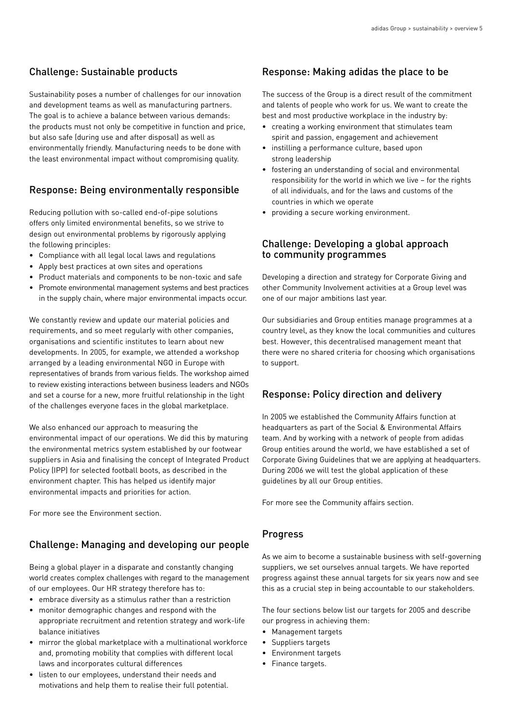# Challenge: Sustainable products

Sustainability poses a number of challenges for our innovation and development teams as well as manufacturing partners. The goal is to achieve a balance between various demands: the products must not only be competitive in function and price, but also safe (during use and after disposal) as well as environmentally friendly. Manufacturing needs to be done with the least environmental impact without compromising quality.

# Response: Being environmentally responsible

Reducing pollution with so-called end-of-pipe solutions offers only limited environmental benefits, so we strive to design out environmental problems by rigorously applying the following principles:

- Compliance with all legal local laws and regulations
- Apply best practices at own sites and operations
- Product materials and components to be non-toxic and safe
- Promote environmental management systems and best practices in the supply chain, where major environmental impacts occur.

We constantly review and update our material policies and requirements, and so meet regularly with other companies, organisations and scientific institutes to learn about new developments. In 2005, for example, we attended a workshop arranged by a leading environmental NGO in Europe with representatives of brands from various fields. The workshop aimed to review existing interactions between business leaders and NGOs and set a course for a new, more fruitful relationship in the light of the challenges everyone faces in the global marketplace.

We also enhanced our approach to measuring the environmental impact of our operations. We did this by maturing the environmental metrics system established by our footwear suppliers in Asia and finalising the concept of Integrated Product Policy (IPP) for selected football boots, as described in the environment chapter. This has helped us identify major environmental impacts and priorities for action.

For more see the Environment section.

# Challenge: Managing and developing our people

Being a global player in a disparate and constantly changing world creates complex challenges with regard to the management of our employees. Our HR strategy therefore has to:

- embrace diversity as a stimulus rather than a restriction
- monitor demographic changes and respond with the appropriate recruitment and retention strategy and work-life balance initiatives
- mirror the global marketplace with a multinational workforce and, promoting mobility that complies with different local laws and incorporates cultural differences
- listen to our employees, understand their needs and motivations and help them to realise their full potential.

# Response: Making adidas the place to be

The success of the Group is a direct result of the commitment and talents of people who work for us. We want to create the best and most productive workplace in the industry by:

- creating a working environment that stimulates team spirit and passion, engagement and achievement
- instilling a performance culture, based upon strong leadership
- fostering an understanding of social and environmental responsibility for the world in which we live – for the rights of all individuals, and for the laws and customs of the countries in which we operate
- providing a secure working environment.

# Challenge: Developing a global approach to community programmes

Developing a direction and strategy for Corporate Giving and other Community Involvement activities at a Group level was one of our major ambitions last year.

Our subsidiaries and Group entities manage programmes at a country level, as they know the local communities and cultures best. However, this decentralised management meant that there were no shared criteria for choosing which organisations to support.

# Response: Policy direction and delivery

In 2005 we established the Community Affairs function at headquarters as part of the Social & Environmental Affairs team. And by working with a network of people from adidas Group entities around the world, we have established a set of Corporate Giving Guidelines that we are applying at headquarters. During 2006 we will test the global application of these guidelines by all our Group entities.

For more see the Community affairs section.

# Progress

As we aim to become a sustainable business with self-governing suppliers, we set ourselves annual targets. We have reported progress against these annual targets for six years now and see this as a crucial step in being accountable to our stakeholders.

The four sections below list our targets for 2005 and describe our progress in achieving them:

- Management targets
- Suppliers targets
- Environment targets
- Finance targets.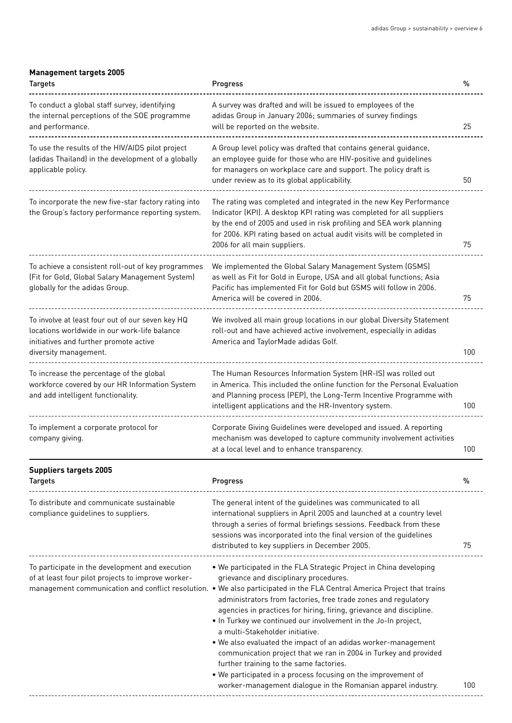#### **Management targets 2005**

| <b>Targets</b>                                                                                                                                                      | Progress                                                                                                                                                                                                                                                                                                                                                                                                                                                                                                                                                                                                                                                                                                                                                                                               | $\%$ |
|---------------------------------------------------------------------------------------------------------------------------------------------------------------------|--------------------------------------------------------------------------------------------------------------------------------------------------------------------------------------------------------------------------------------------------------------------------------------------------------------------------------------------------------------------------------------------------------------------------------------------------------------------------------------------------------------------------------------------------------------------------------------------------------------------------------------------------------------------------------------------------------------------------------------------------------------------------------------------------------|------|
| To conduct a global staff survey, identifying<br>the internal perceptions of the SOE programme<br>and performance.                                                  | A survey was drafted and will be issued to employees of the<br>adidas Group in January 2006; summaries of survey findings<br>will be reported on the website.                                                                                                                                                                                                                                                                                                                                                                                                                                                                                                                                                                                                                                          | 25   |
| To use the results of the HIV/AIDS pilot project<br>(adidas Thailand) in the development of a globally<br>applicable policy.                                        | A Group level policy was drafted that contains general guidance,<br>an employee guide for those who are HIV-positive and guidelines<br>for managers on workplace care and support. The policy draft is<br>under review as to its global applicability.                                                                                                                                                                                                                                                                                                                                                                                                                                                                                                                                                 | 50   |
| To incorporate the new five-star factory rating into<br>the Group's factory performance reporting system.                                                           | The rating was completed and integrated in the new Key Performance<br>Indicator (KPI). A desktop KPI rating was completed for all suppliers<br>by the end of 2005 and used in risk profiling and SEA work planning<br>for 2006. KPI rating based on actual audit visits will be completed in<br>2006 for all main suppliers.                                                                                                                                                                                                                                                                                                                                                                                                                                                                           | 75   |
| To achieve a consistent roll-out of key programmes<br>(Fit for Gold, Global Salary Management System)<br>globally for the adidas Group.                             | We implemented the Global Salary Management System (GSMS)<br>as well as Fit for Gold in Europe, USA and all global functions; Asia<br>Pacific has implemented Fit for Gold but GSMS will follow in 2006.<br>America will be covered in 2006.                                                                                                                                                                                                                                                                                                                                                                                                                                                                                                                                                           | 75   |
| To involve at least four out of our seven key HQ<br>locations worldwide in our work-life balance<br>initiatives and further promote active<br>diversity management. | We involved all main group locations in our global Diversity Statement<br>roll-out and have achieved active involvement, especially in adidas<br>America and TaylorMade adidas Golf.                                                                                                                                                                                                                                                                                                                                                                                                                                                                                                                                                                                                                   | 100  |
| To increase the percentage of the global<br>workforce covered by our HR Information System<br>and add intelligent functionality.                                    | The Human Resources Information System (HR-IS) was rolled out<br>in America. This included the online function for the Personal Evaluation<br>and Planning process (PEP), the Long-Term Incentive Programme with<br>intelligent applications and the HR-Inventory system.                                                                                                                                                                                                                                                                                                                                                                                                                                                                                                                              | 100  |
| To implement a corporate protocol for<br>company giving.                                                                                                            | Corporate Giving Guidelines were developed and issued. A reporting<br>mechanism was developed to capture community involvement activities<br>at a local level and to enhance transparency.                                                                                                                                                                                                                                                                                                                                                                                                                                                                                                                                                                                                             | 100  |
| <b>Suppliers targets 2005</b><br><b>Targets</b>                                                                                                                     | Progress                                                                                                                                                                                                                                                                                                                                                                                                                                                                                                                                                                                                                                                                                                                                                                                               | %    |
| To distribute and communicate sustainable<br>compliance guidelines to suppliers.                                                                                    | The general intent of the guidelines was communicated to all<br>international suppliers in April 2005 and launched at a country level<br>through a series of formal briefings sessions. Feedback from these<br>sessions was incorporated into the final version of the guidelines<br>distributed to key suppliers in December 2005.                                                                                                                                                                                                                                                                                                                                                                                                                                                                    | 75   |
| To participate in the development and execution<br>of at least four pilot projects to improve worker-                                                               | . We participated in the FLA Strategic Project in China developing<br>grievance and disciplinary procedures.<br>management communication and conflict resolution. • We also participated in the FLA Central America Project that trains<br>administrators from factories, free trade zones and regulatory<br>agencies in practices for hiring, firing, grievance and discipline.<br>. In Turkey we continued our involvement in the Jo-In project,<br>a multi-Stakeholder initiative.<br>. We also evaluated the impact of an adidas worker-management<br>communication project that we ran in 2004 in Turkey and provided<br>further training to the same factories.<br>. We participated in a process focusing on the improvement of<br>worker-management dialogue in the Romanian apparel industry. | 100  |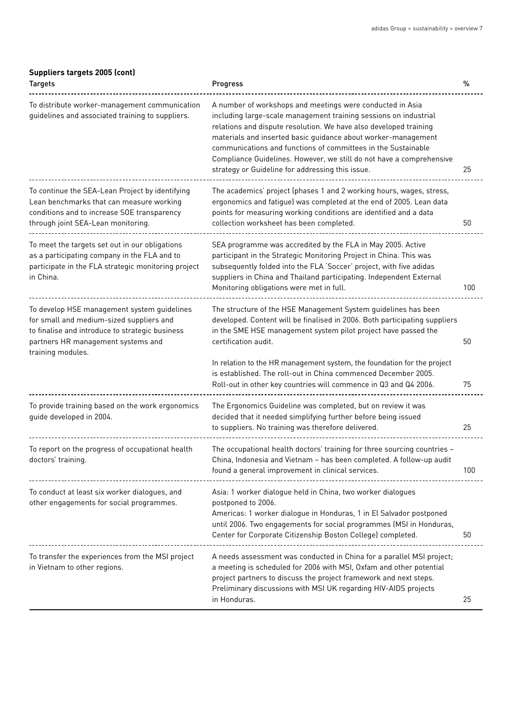## **Suppliers targets 2005 (cont)**

| <b>Targets</b>                                                                                                                                                                                        | Progress                                                                                                                                                                                                                                                                                                                                                                                                                                                         | %   |
|-------------------------------------------------------------------------------------------------------------------------------------------------------------------------------------------------------|------------------------------------------------------------------------------------------------------------------------------------------------------------------------------------------------------------------------------------------------------------------------------------------------------------------------------------------------------------------------------------------------------------------------------------------------------------------|-----|
| To distribute worker-management communication<br>guidelines and associated training to suppliers.                                                                                                     | A number of workshops and meetings were conducted in Asia<br>including large-scale management training sessions on industrial<br>relations and dispute resolution. We have also developed training<br>materials and inserted basic guidance about worker-management<br>communications and functions of committees in the Sustainable<br>Compliance Guidelines. However, we still do not have a comprehensive<br>strategy or Guideline for addressing this issue. | 25  |
| To continue the SEA-Lean Project by identifying<br>Lean benchmarks that can measure working<br>conditions and to increase SOE transparency<br>through joint SEA-Lean monitoring.                      | The academics' project (phases 1 and 2 working hours, wages, stress,<br>ergonomics and fatigue) was completed at the end of 2005. Lean data<br>points for measuring working conditions are identified and a data<br>collection worksheet has been completed.                                                                                                                                                                                                     | 50  |
| To meet the targets set out in our obligations<br>as a participating company in the FLA and to<br>participate in the FLA strategic monitoring project<br>in China.                                    | SEA programme was accredited by the FLA in May 2005. Active<br>participant in the Strategic Monitoring Project in China. This was<br>subsequently folded into the FLA 'Soccer' project, with five adidas<br>suppliers in China and Thailand participating. Independent External<br>Monitoring obligations were met in full.                                                                                                                                      | 100 |
| To develop HSE management system guidelines<br>for small and medium-sized suppliers and<br>to finalise and introduce to strategic business<br>partners HR management systems and<br>training modules. | The structure of the HSE Management System guidelines has been<br>developed. Content will be finalised in 2006. Both participating suppliers<br>in the SME HSE management system pilot project have passed the<br>certification audit.<br>In relation to the HR management system, the foundation for the project                                                                                                                                                | 50  |
|                                                                                                                                                                                                       | is established. The roll-out in China commenced December 2005.<br>Roll-out in other key countries will commence in Q3 and Q4 2006.                                                                                                                                                                                                                                                                                                                               | 75  |
| To provide training based on the work ergonomics<br>guide developed in 2004.                                                                                                                          | The Ergonomics Guideline was completed, but on review it was<br>decided that it needed simplifying further before being issued<br>to suppliers. No training was therefore delivered.                                                                                                                                                                                                                                                                             | 25  |
| To report on the progress of occupational health<br>doctors' training.                                                                                                                                | The occupational health doctors' training for three sourcing countries -<br>China, Indonesia and Vietnam - has been completed. A follow-up audit<br>found a general improvement in clinical services.                                                                                                                                                                                                                                                            | 100 |
| To conduct at least six worker dialogues, and<br>other engagements for social programmes.                                                                                                             | Asia: 1 worker dialogue held in China, two worker dialogues<br>postponed to 2006.<br>Americas: 1 worker dialogue in Honduras, 1 in El Salvador postponed<br>until 2006. Two engagements for social programmes (MSI in Honduras,<br>Center for Corporate Citizenship Boston College) completed.                                                                                                                                                                   | 50  |
| To transfer the experiences from the MSI project<br>in Vietnam to other regions.                                                                                                                      | A needs assessment was conducted in China for a parallel MSI project;<br>a meeting is scheduled for 2006 with MSI, Oxfam and other potential<br>project partners to discuss the project framework and next steps.<br>Preliminary discussions with MSI UK regarding HIV-AIDS projects<br>in Honduras.                                                                                                                                                             | 25  |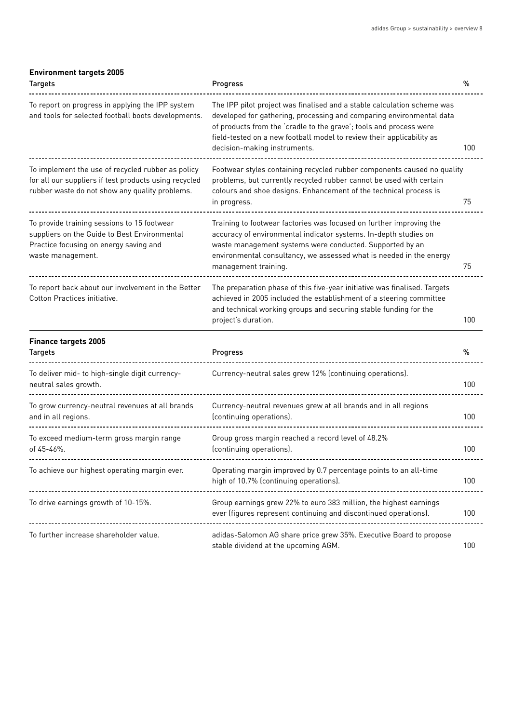## **Environment targets 2005**

| <b>Targets</b>                                                                                                                                               | Progress                                                                                                                                                                                                                                                                                                                       | %   |
|--------------------------------------------------------------------------------------------------------------------------------------------------------------|--------------------------------------------------------------------------------------------------------------------------------------------------------------------------------------------------------------------------------------------------------------------------------------------------------------------------------|-----|
| To report on progress in applying the IPP system<br>and tools for selected football boots developments.                                                      | The IPP pilot project was finalised and a stable calculation scheme was<br>developed for gathering, processing and comparing environmental data<br>of products from the 'cradle to the grave'; tools and process were<br>field-tested on a new football model to review their applicability as<br>decision-making instruments. | 100 |
| To implement the use of recycled rubber as policy<br>for all our suppliers if test products using recycled<br>rubber waste do not show any quality problems. | Footwear styles containing recycled rubber components caused no quality<br>problems, but currently recycled rubber cannot be used with certain<br>colours and shoe designs. Enhancement of the technical process is<br>in progress.                                                                                            | 75  |
| To provide training sessions to 15 footwear<br>suppliers on the Guide to Best Environmental<br>Practice focusing on energy saving and<br>waste management.   | Training to footwear factories was focused on further improving the<br>accuracy of environmental indicator systems. In-depth studies on<br>waste management systems were conducted. Supported by an<br>environmental consultancy, we assessed what is needed in the energy<br>management training.                             | 75  |
| To report back about our involvement in the Better<br>Cotton Practices initiative.                                                                           | The preparation phase of this five-year initiative was finalised. Targets<br>achieved in 2005 included the establishment of a steering committee<br>and technical working groups and securing stable funding for the<br>project's duration.                                                                                    | 100 |
| <b>Finance targets 2005</b><br><b>Targets</b>                                                                                                                | Progress                                                                                                                                                                                                                                                                                                                       | %   |
| To deliver mid- to high-single digit currency-<br>neutral sales growth.                                                                                      | Currency-neutral sales grew 12% (continuing operations).                                                                                                                                                                                                                                                                       | 100 |
| To grow currency-neutral revenues at all brands<br>and in all regions.                                                                                       | Currency-neutral revenues grew at all brands and in all regions<br>(continuing operations).                                                                                                                                                                                                                                    | 100 |
| To exceed medium-term gross margin range<br>of 45-46%.                                                                                                       | Group gross margin reached a record level of 48.2%<br>(continuing operations).                                                                                                                                                                                                                                                 | 100 |
| To achieve our highest operating margin ever.<br>---------------------------                                                                                 | Operating margin improved by 0.7 percentage points to an all-time<br>high of 10.7% (continuing operations).                                                                                                                                                                                                                    | 100 |
| To drive earnings growth of 10-15%.                                                                                                                          | Group earnings grew 22% to euro 383 million, the highest earnings<br>ever (figures represent continuing and discontinued operations).                                                                                                                                                                                          | 100 |
| To further increase shareholder value.                                                                                                                       | adidas-Salomon AG share price grew 35%. Executive Board to propose<br>stable dividend at the upcoming AGM.                                                                                                                                                                                                                     | 100 |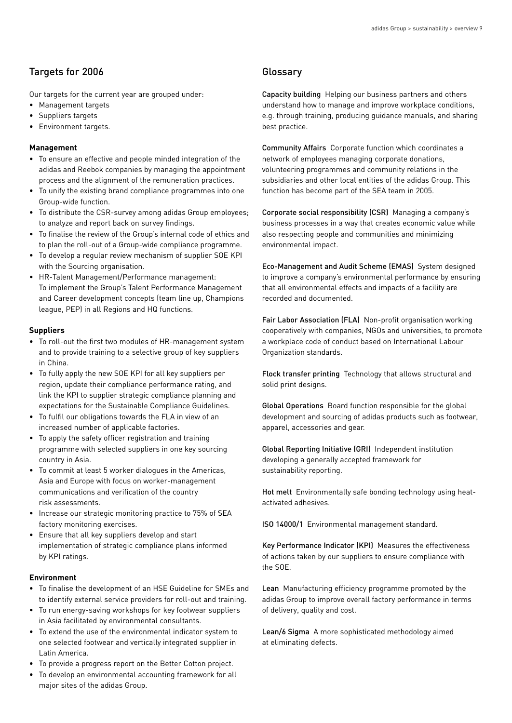# Targets for 2006

Our targets for the current year are grouped under:

- Management targets
- Suppliers targets
- Environment targets.

#### **Management**

- To ensure an effective and people minded integration of the adidas and Reebok companies by managing the appointment process and the alignment of the remuneration practices.
- To unify the existing brand compliance programmes into one Group-wide function.
- To distribute the CSR-survey among adidas Group employees; to analyze and report back on survey findings.
- To finalise the review of the Group's internal code of ethics and to plan the roll-out of a Group-wide compliance programme.
- To develop a regular review mechanism of supplier SOE KPI with the Sourcing organisation.
- HR-Talent Management/Performance management: To implement the Group's Talent Performance Management and Career development concepts (team line up, Champions league, PEP) in all Regions and HQ functions.

#### **Suppliers**

- To roll-out the first two modules of HR-management system and to provide training to a selective group of key suppliers in China.
- To fully apply the new SOE KPI for all key suppliers per region, update their compliance performance rating, and link the KPI to supplier strategic compliance planning and expectations for the Sustainable Compliance Guidelines.
- To fulfil our obligations towards the FLA in view of an increased number of applicable factories.
- To apply the safety officer registration and training programme with selected suppliers in one key sourcing country in Asia.
- To commit at least 5 worker dialogues in the Americas, Asia and Europe with focus on worker-management communications and verification of the country risk assessments.
- Increase our strategic monitoring practice to 75% of SEA factory monitoring exercises.
- Ensure that all key suppliers develop and start implementation of strategic compliance plans informed by KPI ratings.

#### **Environment**

- To finalise the development of an HSE Guideline for SMEs and to identify external service providers for roll-out and training.
- To run energy-saving workshops for key footwear suppliers in Asia facilitated by environmental consultants.
- To extend the use of the environmental indicator system to one selected footwear and vertically integrated supplier in Latin America.
- To provide a progress report on the Better Cotton project.
- To develop an environmental accounting framework for all major sites of the adidas Group.

## **Glossary**

Capacity building Helping our business partners and others understand how to manage and improve workplace conditions, e.g. through training, producing guidance manuals, and sharing best practice.

Community Affairs Corporate function which coordinates a network of employees managing corporate donations, volunteering programmes and community relations in the subsidiaries and other local entities of the adidas Group. This function has become part of the SEA team in 2005.

Corporate social responsibility (CSR) Managing a company's business processes in a way that creates economic value while also respecting people and communities and minimizing environmental impact.

Eco-Management and Audit Scheme (EMAS) System designed to improve a company's environmental performance by ensuring that all environmental effects and impacts of a facility are recorded and documented.

Fair Labor Association (FLA) Non-profit organisation working cooperatively with companies, NGOs and universities, to promote a workplace code of conduct based on International Labour Organization standards.

Flock transfer printing Technology that allows structural and solid print designs.

Global Operations Board function responsible for the global development and sourcing of adidas products such as footwear, apparel, accessories and gear.

Global Reporting Initiative (GRI) Independent institution developing a generally accepted framework for sustainability reporting.

Hot melt Environmentally safe bonding technology using heatactivated adhesives.

ISO 14000/1 Environmental management standard.

Key Performance Indicator (KPI) Measures the effectiveness of actions taken by our suppliers to ensure compliance with the SOE.

Lean Manufacturing efficiency programme promoted by the adidas Group to improve overall factory performance in terms of delivery, quality and cost.

Lean/6 Sigma A more sophisticated methodology aimed at eliminating defects.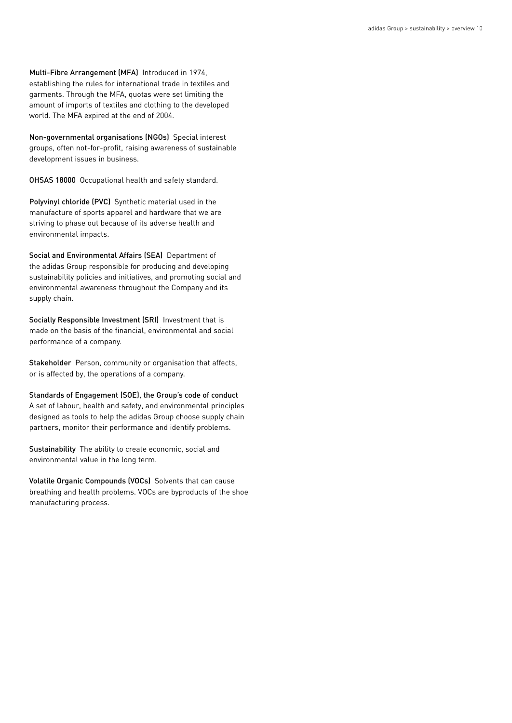Multi-Fibre Arrangement (MFA) Introduced in 1974, establishing the rules for international trade in textiles and garments. Through the MFA, quotas were set limiting the amount of imports of textiles and clothing to the developed world. The MFA expired at the end of 2004.

Non-governmental organisations (NGOs) Special interest groups, often not-for-profit, raising awareness of sustainable development issues in business.

OHSAS 18000 Occupational health and safety standard.

Polyvinyl chloride (PVC) Synthetic material used in the manufacture of sports apparel and hardware that we are striving to phase out because of its adverse health and environmental impacts.

Social and Environmental Affairs (SEA) Department of the adidas Group responsible for producing and developing sustainability policies and initiatives, and promoting social and environmental awareness throughout the Company and its supply chain.

Socially Responsible Investment (SRI) Investment that is made on the basis of the financial, environmental and social performance of a company.

Stakeholder Person, community or organisation that affects, or is affected by, the operations of a company.

Standards of Engagement (SOE), the Group's code of conduct A set of labour, health and safety, and environmental principles designed as tools to help the adidas Group choose supply chain partners, monitor their performance and identify problems.

Sustainability The ability to create economic, social and environmental value in the long term.

Volatile Organic Compounds (VOCs) Solvents that can cause breathing and health problems. VOCs are byproducts of the shoe manufacturing process.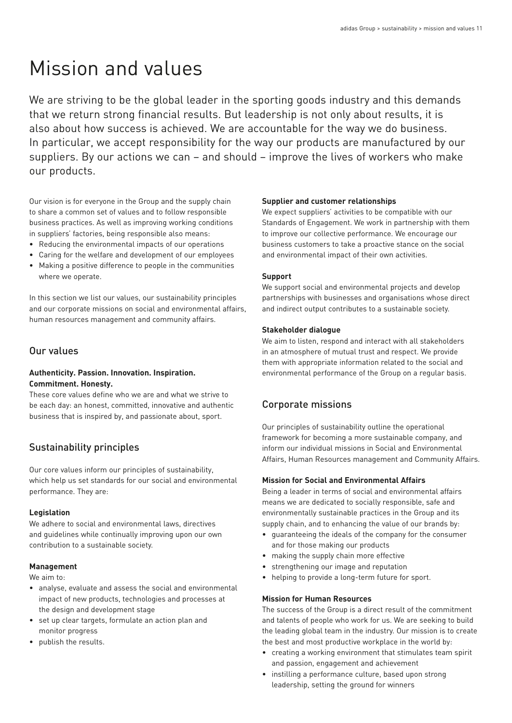# Mission and values

We are striving to be the global leader in the sporting goods industry and this demands that we return strong financial results. But leadership is not only about results, it is also about how success is achieved. We are accountable for the way we do business. In particular, we accept responsibility for the way our products are manufactured by our suppliers. By our actions we can – and should – improve the lives of workers who make our products.

Our vision is for everyone in the Group and the supply chain to share a common set of values and to follow responsible business practices. As well as improving working conditions in suppliers' factories, being responsible also means:

- Reducing the environmental impacts of our operations
- Caring for the welfare and development of our employees
- Making a positive difference to people in the communities where we operate.

In this section we list our values, our sustainability principles and our corporate missions on social and environmental affairs, human resources management and community affairs.

# Our values

## **Authenticity. Passion. Innovation. Inspiration. Commitment. Honesty.**

These core values define who we are and what we strive to be each day: an honest, committed, innovative and authentic business that is inspired by, and passionate about, sport.

# Sustainability principles

Our core values inform our principles of sustainability, which help us set standards for our social and environmental performance. They are:

#### **Legislation**

We adhere to social and environmental laws, directives and guidelines while continually improving upon our own contribution to a sustainable society.

#### **Management**

We aim to:

- analyse, evaluate and assess the social and environmental impact of new products, technologies and processes at the design and development stage
- set up clear targets, formulate an action plan and monitor progress
- publish the results.

## **Supplier and customer relationships**

We expect suppliers' activities to be compatible with our Standards of Engagement. We work in partnership with them to improve our collective performance. We encourage our business customers to take a proactive stance on the social and environmental impact of their own activities.

## **Support**

We support social and environmental projects and develop partnerships with businesses and organisations whose direct and indirect output contributes to a sustainable society.

#### **Stakeholder dialogue**

We aim to listen, respond and interact with all stakeholders in an atmosphere of mutual trust and respect. We provide them with appropriate information related to the social and environmental performance of the Group on a regular basis.

# Corporate missions

Our principles of sustainability outline the operational framework for becoming a more sustainable company, and inform our individual missions in Social and Environmental Affairs, Human Resources management and Community Affairs.

#### **Mission for Social and Environmental Affairs**

Being a leader in terms of social and environmental affairs means we are dedicated to socially responsible, safe and environmentally sustainable practices in the Group and its supply chain, and to enhancing the value of our brands by:

- guaranteeing the ideals of the company for the consumer and for those making our products
- making the supply chain more effective
- strengthening our image and reputation
- helping to provide a long-term future for sport.

## **Mission for Human Resources**

The success of the Group is a direct result of the commitment and talents of people who work for us. We are seeking to build the leading global team in the industry. Our mission is to create the best and most productive workplace in the world by:

- creating a working environment that stimulates team spirit and passion, engagement and achievement
- instilling a performance culture, based upon strong leadership, setting the ground for winners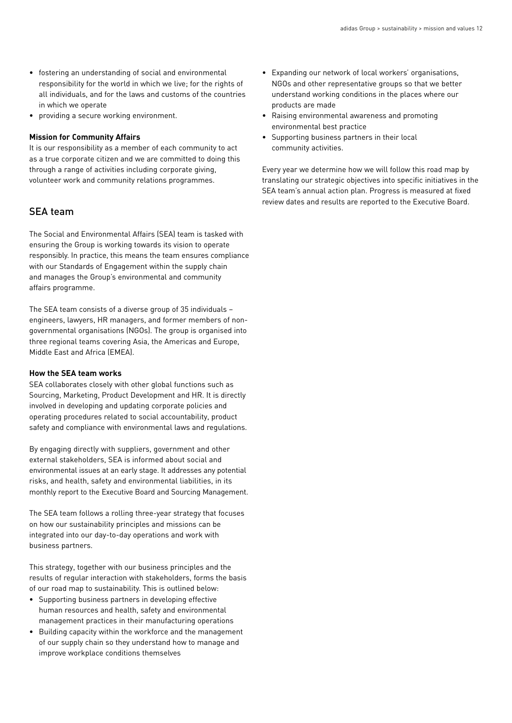- fostering an understanding of social and environmental responsibility for the world in which we live; for the rights of all individuals, and for the laws and customs of the countries in which we operate
- providing a secure working environment.

#### **Mission for Community Affairs**

It is our responsibility as a member of each community to act as a true corporate citizen and we are committed to doing this through a range of activities including corporate giving, volunteer work and community relations programmes.

# SEA team

The Social and Environmental Affairs (SEA) team is tasked with ensuring the Group is working towards its vision to operate responsibly. In practice, this means the team ensures compliance with our Standards of Engagement within the supply chain and manages the Group's environmental and community affairs programme.

The SEA team consists of a diverse group of 35 individuals – engineers, lawyers, HR managers, and former members of nongovernmental organisations (NGOs). The group is organised into three regional teams covering Asia, the Americas and Europe, Middle East and Africa (EMEA).

#### **How the SEA team works**

SEA collaborates closely with other global functions such as Sourcing, Marketing, Product Development and HR. It is directly involved in developing and updating corporate policies and operating procedures related to social accountability, product safety and compliance with environmental laws and regulations.

By engaging directly with suppliers, government and other external stakeholders, SEA is informed about social and environmental issues at an early stage. It addresses any potential risks, and health, safety and environmental liabilities, in its monthly report to the Executive Board and Sourcing Management.

The SEA team follows a rolling three-year strategy that focuses on how our sustainability principles and missions can be integrated into our day-to-day operations and work with business partners.

This strategy, together with our business principles and the results of regular interaction with stakeholders, forms the basis of our road map to sustainability. This is outlined below:

- Supporting business partners in developing effective human resources and health, safety and environmental management practices in their manufacturing operations
- Building capacity within the workforce and the management of our supply chain so they understand how to manage and improve workplace conditions themselves
- Expanding our network of local workers' organisations, NGOs and other representative groups so that we better understand working conditions in the places where our products are made
- Raising environmental awareness and promoting environmental best practice
- Supporting business partners in their local community activities.

Every year we determine how we will follow this road map by translating our strategic objectives into specific initiatives in the SEA team's annual action plan. Progress is measured at fixed review dates and results are reported to the Executive Board.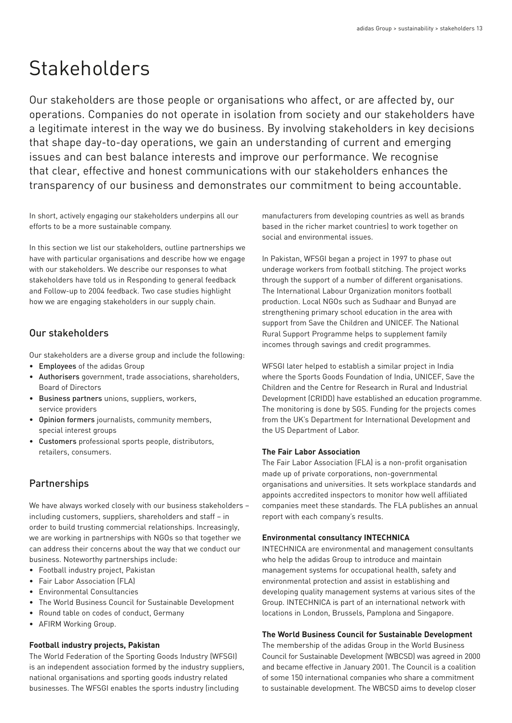# Stakeholders

Our stakeholders are those people or organisations who affect, or are affected by, our operations. Companies do not operate in isolation from society and our stakeholders have a legitimate interest in the way we do business. By involving stakeholders in key decisions that shape day-to-day operations, we gain an understanding of current and emerging issues and can best balance interests and improve our performance. We recognise that clear, effective and honest communications with our stakeholders enhances the transparency of our business and demonstrates our commitment to being accountable.

In short, actively engaging our stakeholders underpins all our efforts to be a more sustainable company.

In this section we list our stakeholders, outline partnerships we have with particular organisations and describe how we engage with our stakeholders. We describe our responses to what stakeholders have told us in Responding to general feedback and Follow-up to 2004 feedback. Two case studies highlight how we are engaging stakeholders in our supply chain.

# Our stakeholders

Our stakeholders are a diverse group and include the following:

- Employees of the adidas Group
- Authorisers government, trade associations, shareholders, Board of Directors
- Business partners unions, suppliers, workers, service providers
- Opinion formers journalists, community members, special interest groups
- Customers professional sports people, distributors, retailers, consumers.

# **Partnerships**

We have always worked closely with our business stakeholders – including customers, suppliers, shareholders and staff – in order to build trusting commercial relationships. Increasingly, we are working in partnerships with NGOs so that together we can address their concerns about the way that we conduct our business. Noteworthy partnerships include:

- Football industry project, Pakistan
- Fair Labor Association (FLA)
- Environmental Consultancies
- The World Business Council for Sustainable Development
- Round table on codes of conduct, Germany
- AFIRM Working Group.

#### **Football industry projects, Pakistan**

The World Federation of the Sporting Goods Industry (WFSGI) is an independent association formed by the industry suppliers, national organisations and sporting goods industry related businesses. The WFSGI enables the sports industry (including

manufacturers from developing countries as well as brands based in the richer market countries) to work together on social and environmental issues.

In Pakistan, WFSGI began a project in 1997 to phase out underage workers from football stitching. The project works through the support of a number of different organisations. The International Labour Organization monitors football production. Local NGOs such as Sudhaar and Bunyad are strengthening primary school education in the area with support from Save the Children and UNICEF. The National Rural Support Programme helps to supplement family incomes through savings and credit programmes.

WFSGI later helped to establish a similar project in India where the Sports Goods Foundation of India, UNICEF, Save the Children and the Centre for Research in Rural and Industrial Development (CRIDD) have established an education programme. The monitoring is done by SGS. Funding for the projects comes from the UK's Department for International Development and the US Department of Labor.

## **The Fair Labor Association**

The Fair Labor Association (FLA) is a non-profit organisation made up of private corporations, non-governmental organisations and universities. It sets workplace standards and appoints accredited inspectors to monitor how well affiliated companies meet these standards. The FLA publishes an annual report with each company's results.

#### **Environmental consultancy INTECHNICA**

INTECHNICA are environmental and management consultants who help the adidas Group to introduce and maintain management systems for occupational health, safety and environmental protection and assist in establishing and developing quality management systems at various sites of the Group. INTECHNICA is part of an international network with locations in London, Brussels, Pamplona and Singapore.

## **The World Business Council for Sustainable Development**

The membership of the adidas Group in the World Business Council for Sustainable Development (WBCSD) was agreed in 2000 and became effective in January 2001. The Council is a coalition of some 150 international companies who share a commitment to sustainable development. The WBCSD aims to develop closer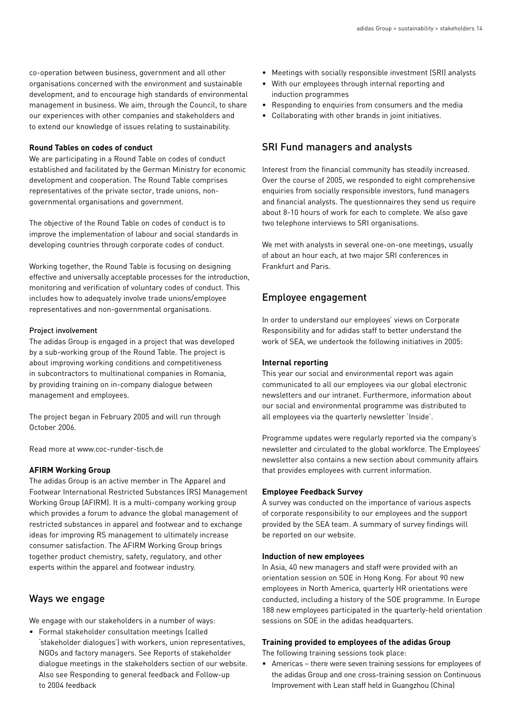co-operation between business, government and all other organisations concerned with the environment and sustainable development, and to encourage high standards of environmental management in business. We aim, through the Council, to share our experiences with other companies and stakeholders and to extend our knowledge of issues relating to sustainability.

#### **Round Tables on codes of conduct**

We are participating in a Round Table on codes of conduct established and facilitated by the German Ministry for economic development and cooperation. The Round Table comprises representatives of the private sector, trade unions, nongovernmental organisations and government.

The objective of the Round Table on codes of conduct is to improve the implementation of labour and social standards in developing countries through corporate codes of conduct.

Working together, the Round Table is focusing on designing effective and universally acceptable processes for the introduction, monitoring and verification of voluntary codes of conduct. This includes how to adequately involve trade unions/employee representatives and non-governmental organisations.

#### Project involvement

The adidas Group is engaged in a project that was developed by a sub-working group of the Round Table. The project is about improving working conditions and competitiveness in subcontractors to multinational companies in Romania, by providing training on in-company dialogue between management and employees.

The project began in February 2005 and will run through October 2006.

Read more at www.coc-runder-tisch.de

## **AFIRM Working Group**

The adidas Group is an active member in The Apparel and Footwear International Restricted Substances (RS) Management Working Group (AFIRM). It is a multi-company working group which provides a forum to advance the global management of restricted substances in apparel and footwear and to exchange ideas for improving RS management to ultimately increase consumer satisfaction. The AFIRM Working Group brings together product chemistry, safety, regulatory, and other experts within the apparel and footwear industry.

# Ways we engage

We engage with our stakeholders in a number of ways:

• Formal stakeholder consultation meetings (called 'stakeholder dialogues') with workers, union representatives, NGOs and factory managers. See Reports of stakeholder dialogue meetings in the stakeholders section of our website. Also see Responding to general feedback and Follow-up to 2004 feedback

- Meetings with socially responsible investment (SRI) analysts
- With our employees through internal reporting and induction programmes
- Responding to enquiries from consumers and the media
- Collaborating with other brands in joint initiatives.

# SRI Fund managers and analysts

Interest from the financial community has steadily increased. Over the course of 2005, we responded to eight comprehensive enquiries from socially responsible investors, fund managers and financial analysts. The questionnaires they send us require about 8-10 hours of work for each to complete. We also gave two telephone interviews to SRI organisations.

We met with analysts in several one-on-one meetings, usually of about an hour each, at two major SRI conferences in Frankfurt and Paris.

# Employee engagement

In order to understand our employees' views on Corporate Responsibility and for adidas staff to better understand the work of SEA, we undertook the following initiatives in 2005:

#### **Internal reporting**

This year our social and environmental report was again communicated to all our employees via our global electronic newsletters and our intranet. Furthermore, information about our social and environmental programme was distributed to all employees via the quarterly newsletter 'Inside'.

Programme updates were regularly reported via the company's newsletter and circulated to the global workforce. The Employees' newsletter also contains a new section about community affairs that provides employees with current information.

#### **Employee Feedback Survey**

A survey was conducted on the importance of various aspects of corporate responsibility to our employees and the support provided by the SEA team. A summary of survey findings will be reported on our website.

#### **Induction of new employees**

In Asia, 40 new managers and staff were provided with an orientation session on SOE in Hong Kong. For about 90 new employees in North America, quarterly HR orientations were conducted, including a history of the SOE programme. In Europe 188 new employees participated in the quarterly-held orientation sessions on SOE in the adidas headquarters.

#### **Training provided to employees of the adidas Group**

The following training sessions took place:

• Americas – there were seven training sessions for employees of the adidas Group and one cross-training session on Continuous Improvement with Lean staff held in Guangzhou (China)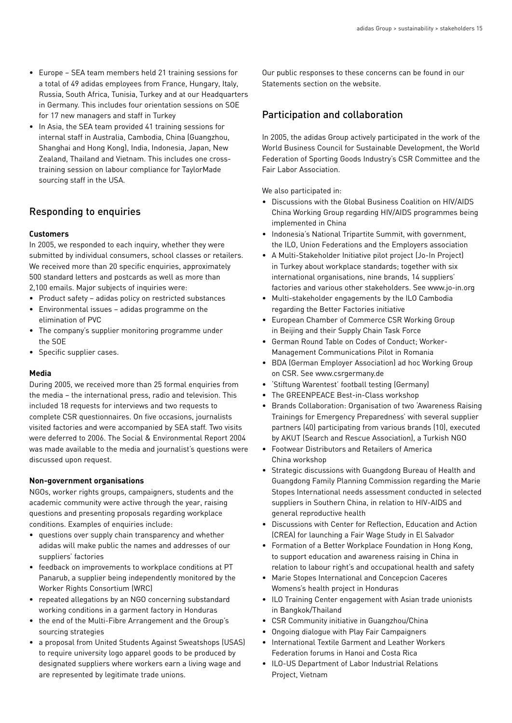- Europe SEA team members held 21 training sessions for a total of 49 adidas employees from France, Hungary, Italy, Russia, South Africa, Tunisia, Turkey and at our Headquarters in Germany. This includes four orientation sessions on SOE for 17 new managers and staff in Turkey
- In Asia, the SEA team provided 41 training sessions for internal staff in Australia, Cambodia, China (Guangzhou, Shanghai and Hong Kong), India, Indonesia, Japan, New Zealand, Thailand and Vietnam. This includes one crosstraining session on labour compliance for TaylorMade sourcing staff in the USA.

# Responding to enquiries

## **Customers**

In 2005, we responded to each inquiry, whether they were submitted by individual consumers, school classes or retailers. We received more than 20 specific enquiries, approximately 500 standard letters and postcards as well as more than 2,100 emails. Major subjects of inquiries were:

- Product safety adidas policy on restricted substances
- Environmental issues adidas programme on the elimination of PVC
- The company's supplier monitoring programme under the SOE
- Specific supplier cases.

#### **Media**

During 2005, we received more than 25 formal enquiries from the media – the international press, radio and television. This included 18 requests for interviews and two requests to complete CSR questionnaires. On five occasions, journalists visited factories and were accompanied by SEA staff. Two visits were deferred to 2006. The Social & Environmental Report 2004 was made available to the media and journalist's questions were discussed upon request.

#### **Non-government organisations**

NGOs, worker rights groups, campaigners, students and the academic community were active through the year, raising questions and presenting proposals regarding workplace conditions. Examples of enquiries include:

- questions over supply chain transparency and whether adidas will make public the names and addresses of our suppliers' factories
- feedback on improvements to workplace conditions at PT Panarub, a supplier being independently monitored by the Worker Rights Consortium (WRC)
- repeated allegations by an NGO concerning substandard working conditions in a garment factory in Honduras
- the end of the Multi-Fibre Arrangement and the Group's sourcing strategies
- a proposal from United Students Against Sweatshops (USAS) to require university logo apparel goods to be produced by designated suppliers where workers earn a living wage and are represented by legitimate trade unions.

Our public responses to these concerns can be found in our Statements section on the website.

# Participation and collaboration

In 2005, the adidas Group actively participated in the work of the World Business Council for Sustainable Development, the World Federation of Sporting Goods Industry's CSR Committee and the Fair Labor Association.

We also participated in:

- Discussions with the Global Business Coalition on HIV/AIDS China Working Group regarding HIV/AIDS programmes being implemented in China
- Indonesia's National Tripartite Summit, with government, the ILO, Union Federations and the Employers association
- A Multi-Stakeholder Initiative pilot project (Jo-In Project) in Turkey about workplace standards; together with six international organisations, nine brands, 14 suppliers' factories and various other stakeholders. See www.jo-in.org
- Multi-stakeholder engagements by the ILO Cambodia regarding the Better Factories initiative
- European Chamber of Commerce CSR Working Group in Beijing and their Supply Chain Task Force
- German Round Table on Codes of Conduct; Worker-Management Communications Pilot in Romania
- BDA (German Employer Association) ad hoc Working Group on CSR. See www.csrgermany.de
- 'Stiftung Warentest' football testing (Germany)
- The GREENPEACE Best-in-Class workshop
- Brands Collaboration: Organisation of two 'Awareness Raising Trainings for Emergency Preparedness' with several supplier partners (40) participating from various brands (10), executed by AKUT (Search and Rescue Association), a Turkish NGO
- Footwear Distributors and Retailers of America China workshop
- Strategic discussions with Guangdong Bureau of Health and Guangdong Family Planning Commission regarding the Marie Stopes International needs assessment conducted in selected suppliers in Southern China, in relation to HIV-AIDS and general reproductive health
- Discussions with Center for Reflection, Education and Action (CREA) for launching a Fair Wage Study in El Salvador
- Formation of a Better Workplace Foundation in Hong Kong, to support education and awareness raising in China in relation to labour right's and occupational health and safety
- Marie Stopes International and Concepcion Caceres Womens's health project in Honduras
- ILO Training Center engagement with Asian trade unionists in Bangkok/Thailand
- CSR Community initiative in Guangzhou/China
- Ongoing dialogue with Play Fair Campaigners
- International Textile Garment and Leather Workers Federation forums in Hanoi and Costa Rica
- ILO-US Department of Labor Industrial Relations Project, Vietnam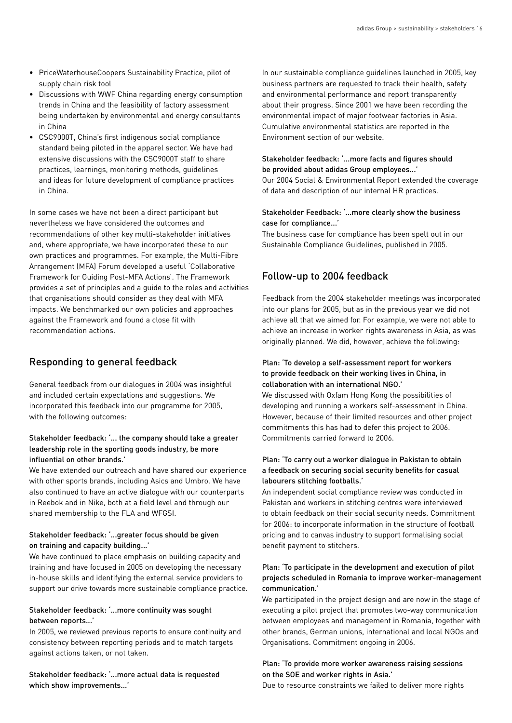- PriceWaterhouseCoopers Sustainability Practice, pilot of supply chain risk tool
- Discussions with WWF China regarding energy consumption trends in China and the feasibility of factory assessment being undertaken by environmental and energy consultants in China
- CSC9000T, China's first indigenous social compliance standard being piloted in the apparel sector. We have had extensive discussions with the CSC9000T staff to share practices, learnings, monitoring methods, guidelines and ideas for future development of compliance practices in China.

In some cases we have not been a direct participant but nevertheless we have considered the outcomes and recommendations of other key multi-stakeholder initiatives and, where appropriate, we have incorporated these to our own practices and programmes. For example, the Multi-Fibre Arrangement (MFA) Forum developed a useful 'Collaborative Framework for Guiding Post-MFA Actions'. The Framework provides a set of principles and a guide to the roles and activities that organisations should consider as they deal with MFA impacts. We benchmarked our own policies and approaches against the Framework and found a close fit with recommendation actions.

# Responding to general feedback

General feedback from our dialogues in 2004 was insightful and included certain expectations and suggestions. We incorporated this feedback into our programme for 2005, with the following outcomes:

#### Stakeholder feedback: '... the company should take a greater leadership role in the sporting goods industry, be more influential on other brands.'

We have extended our outreach and have shared our experience with other sports brands, including Asics and Umbro. We have also continued to have an active dialogue with our counterparts in Reebok and in Nike, both at a field level and through our shared membership to the FLA and WFGSI.

## Stakeholder feedback: '...greater focus should be given on training and capacity building...'

We have continued to place emphasis on building capacity and training and have focused in 2005 on developing the necessary in-house skills and identifying the external service providers to support our drive towards more sustainable compliance practice.

#### Stakeholder feedback: '...more continuity was sought between reports...'

In 2005, we reviewed previous reports to ensure continuity and consistency between reporting periods and to match targets against actions taken, or not taken.

Stakeholder feedback: '...more actual data is requested which show improvements...'

In our sustainable compliance guidelines launched in 2005, key business partners are requested to track their health, safety and environmental performance and report transparently about their progress. Since 2001 we have been recording the environmental impact of major footwear factories in Asia. Cumulative environmental statistics are reported in the Environment section of our website.

## Stakeholder feedback: '...more facts and figures should be provided about adidas Group employees...'

Our 2004 Social & Environmental Report extended the coverage of data and description of our internal HR practices.

## Stakeholder Feedback: '...more clearly show the business case for compliance...'

The business case for compliance has been spelt out in our Sustainable Compliance Guidelines, published in 2005.

# Follow-up to 2004 feedback

Feedback from the 2004 stakeholder meetings was incorporated into our plans for 2005, but as in the previous year we did not achieve all that we aimed for. For example, we were not able to achieve an increase in worker rights awareness in Asia, as was originally planned. We did, however, achieve the following:

### Plan: 'To develop a self-assessment report for workers to provide feedback on their working lives in China, in collaboration with an international NGO.'

We discussed with Oxfam Hong Kong the possibilities of developing and running a workers self-assessment in China. However, because of their limited resources and other project commitments this has had to defer this project to 2006. Commitments carried forward to 2006.

## Plan: 'To carry out a worker dialogue in Pakistan to obtain a feedback on securing social security benefits for casual labourers stitching footballs.'

An independent social compliance review was conducted in Pakistan and workers in stitching centres were interviewed to obtain feedback on their social security needs. Commitment for 2006: to incorporate information in the structure of football pricing and to canvas industry to support formalising social benefit payment to stitchers.

## Plan: 'To participate in the development and execution of pilot projects scheduled in Romania to improve worker-management communication.'

We participated in the project design and are now in the stage of executing a pilot project that promotes two-way communication between employees and management in Romania, together with other brands, German unions, international and local NGOs and Organisations. Commitment ongoing in 2006.

## Plan: 'To provide more worker awareness raising sessions on the SOE and worker rights in Asia.'

Due to resource constraints we failed to deliver more rights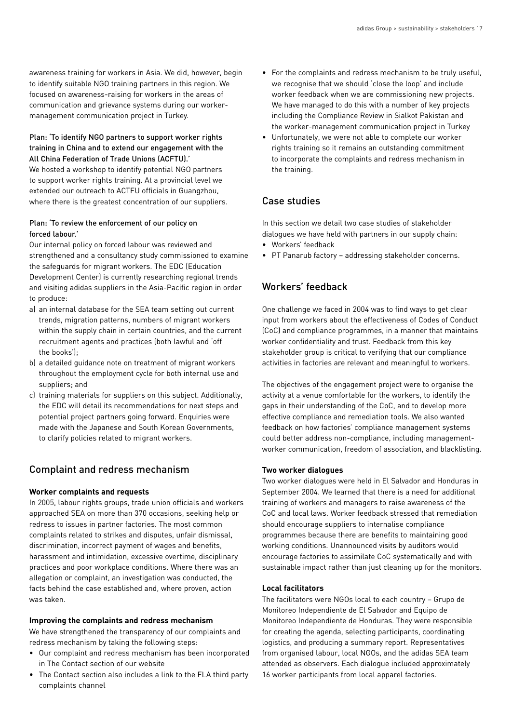awareness training for workers in Asia. We did, however, begin to identify suitable NGO training partners in this region. We focused on awareness-raising for workers in the areas of communication and grievance systems during our workermanagement communication project in Turkey.

## Plan: 'To identify NGO partners to support worker rights training in China and to extend our engagement with the All China Federation of Trade Unions (ACFTU).'

We hosted a workshop to identify potential NGO partners to support worker rights training. At a provincial level we extended our outreach to ACTFU officials in Guangzhou, where there is the greatest concentration of our suppliers.

## Plan: 'To review the enforcement of our policy on forced labour.'

Our internal policy on forced labour was reviewed and strengthened and a consultancy study commissioned to examine the safeguards for migrant workers. The EDC (Education Development Center) is currently researching regional trends and visiting adidas suppliers in the Asia-Pacific region in order to produce:

- a) an internal database for the SEA team setting out current trends, migration patterns, numbers of migrant workers within the supply chain in certain countries, and the current recruitment agents and practices (both lawful and 'off the books');
- b) a detailed guidance note on treatment of migrant workers throughout the employment cycle for both internal use and suppliers; and
- c) training materials for suppliers on this subject. Additionally, the EDC will detail its recommendations for next steps and potential project partners going forward. Enquiries were made with the Japanese and South Korean Governments, to clarify policies related to migrant workers.

# Complaint and redress mechanism

## **Worker complaints and requests**

In 2005, labour rights groups, trade union officials and workers approached SEA on more than 370 occasions, seeking help or redress to issues in partner factories. The most common complaints related to strikes and disputes, unfair dismissal, discrimination, incorrect payment of wages and benefits, harassment and intimidation, excessive overtime, disciplinary practices and poor workplace conditions. Where there was an allegation or complaint, an investigation was conducted, the facts behind the case established and, where proven, action was taken.

## **Improving the complaints and redress mechanism**

We have strengthened the transparency of our complaints and redress mechanism by taking the following steps:

- Our complaint and redress mechanism has been incorporated in The Contact section of our website
- The Contact section also includes a link to the FLA third party complaints channel
- For the complaints and redress mechanism to be truly useful, we recognise that we should 'close the loop' and include worker feedback when we are commissioning new projects. We have managed to do this with a number of key projects including the Compliance Review in Sialkot Pakistan and the worker-management communication project in Turkey
- Unfortunately, we were not able to complete our worker rights training so it remains an outstanding commitment to incorporate the complaints and redress mechanism in the training.

# Case studies

In this section we detail two case studies of stakeholder dialogues we have held with partners in our supply chain:

- Workers' feedback
- PT Panarub factory addressing stakeholder concerns.

# Workers' feedback

One challenge we faced in 2004 was to find ways to get clear input from workers about the effectiveness of Codes of Conduct (CoC) and compliance programmes, in a manner that maintains worker confidentiality and trust. Feedback from this key stakeholder group is critical to verifying that our compliance activities in factories are relevant and meaningful to workers.

The objectives of the engagement project were to organise the activity at a venue comfortable for the workers, to identify the gaps in their understanding of the CoC, and to develop more effective compliance and remediation tools. We also wanted feedback on how factories' compliance management systems could better address non-compliance, including managementworker communication, freedom of association, and blacklisting.

## **Two worker dialogues**

Two worker dialogues were held in El Salvador and Honduras in September 2004. We learned that there is a need for additional training of workers and managers to raise awareness of the CoC and local laws. Worker feedback stressed that remediation should encourage suppliers to internalise compliance programmes because there are benefits to maintaining good working conditions. Unannounced visits by auditors would encourage factories to assimilate CoC systematically and with sustainable impact rather than just cleaning up for the monitors.

## **Local facilitators**

The facilitators were NGOs local to each country – Grupo de Monitoreo Independiente de El Salvador and Equipo de Monitoreo Independiente de Honduras. They were responsible for creating the agenda, selecting participants, coordinating logistics, and producing a summary report. Representatives from organised labour, local NGOs, and the adidas SEA team attended as observers. Each dialogue included approximately 16 worker participants from local apparel factories.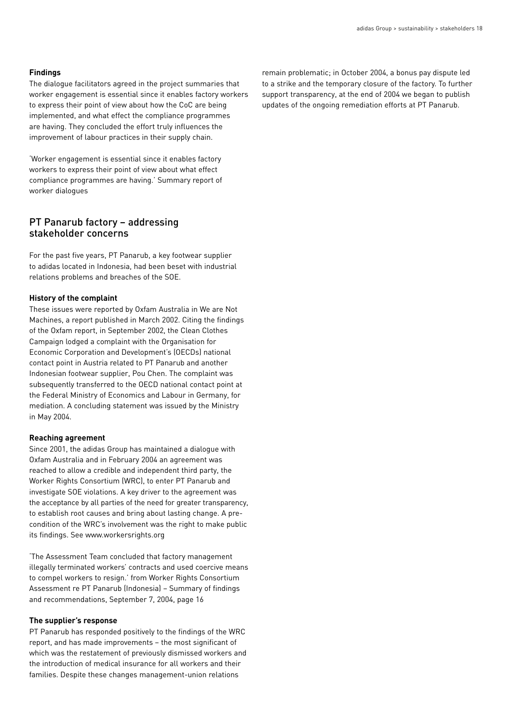#### **Findings**

The dialogue facilitators agreed in the project summaries that worker engagement is essential since it enables factory workers to express their point of view about how the CoC are being implemented, and what effect the compliance programmes are having. They concluded the effort truly influences the improvement of labour practices in their supply chain.

'Worker engagement is essential since it enables factory workers to express their point of view about what effect compliance programmes are having.' Summary report of worker dialogues

## PT Panarub factory – addressing stakeholder concerns

For the past five years, PT Panarub, a key footwear supplier to adidas located in Indonesia, had been beset with industrial relations problems and breaches of the SOE.

#### **History of the complaint**

These issues were reported by Oxfam Australia in We are Not Machines, a report published in March 2002. Citing the findings of the Oxfam report, in September 2002, the Clean Clothes Campaign lodged a complaint with the Organisation for Economic Corporation and Development's (OECDs) national contact point in Austria related to PT Panarub and another Indonesian footwear supplier, Pou Chen. The complaint was subsequently transferred to the OECD national contact point at the Federal Ministry of Economics and Labour in Germany, for mediation. A concluding statement was issued by the Ministry in May 2004.

#### **Reaching agreement**

Since 2001, the adidas Group has maintained a dialogue with Oxfam Australia and in February 2004 an agreement was reached to allow a credible and independent third party, the Worker Rights Consortium (WRC), to enter PT Panarub and investigate SOE violations. A key driver to the agreement was the acceptance by all parties of the need for greater transparency, to establish root causes and bring about lasting change. A precondition of the WRC's involvement was the right to make public its findings. See www.workersrights.org

'The Assessment Team concluded that factory management illegally terminated workers' contracts and used coercive means to compel workers to resign.' from Worker Rights Consortium Assessment re PT Panarub (Indonesia) – Summary of findings and recommendations, September 7, 2004, page 16

#### **The supplier's response**

PT Panarub has responded positively to the findings of the WRC report, and has made improvements – the most significant of which was the restatement of previously dismissed workers and the introduction of medical insurance for all workers and their families. Despite these changes management-union relations

remain problematic; in October 2004, a bonus pay dispute led to a strike and the temporary closure of the factory. To further support transparency, at the end of 2004 we began to publish updates of the ongoing remediation efforts at PT Panarub.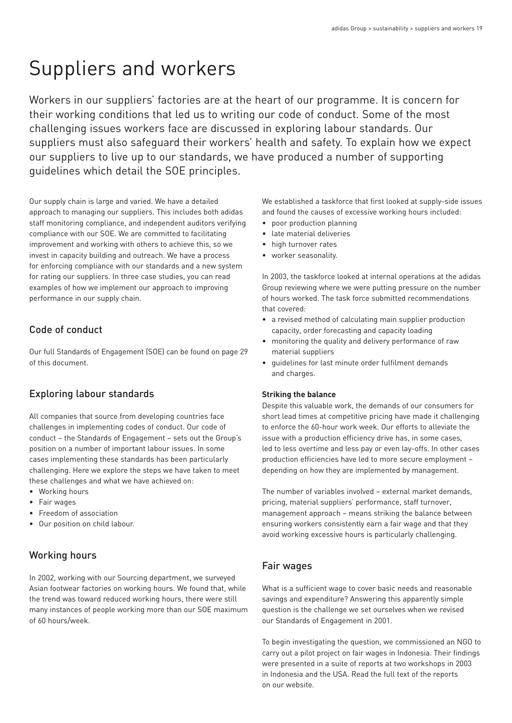# Suppliers and workers

Workers in our suppliers' factories are at the heart of our programme. It is concern for their working conditions that led us to writing our code of conduct. Some of the most challenging issues workers face are discussed in exploring labour standards. Our suppliers must also safeguard their workers' health and safety. To explain how we expect our suppliers to live up to our standards, we have produced a number of supporting guidelines which detail the SOE principles.

Our supply chain is large and varied. We have a detailed approach to managing our suppliers. This includes both adidas staff monitoring compliance, and independent auditors verifying compliance with our SOE. We are committed to facilitating improvement and working with others to achieve this, so we invest in capacity building and outreach. We have a process for enforcing compliance with our standards and a new system for rating our suppliers. In three case studies, you can read examples of how we implement our approach to improving performance in our supply chain.

# Code of conduct

Our full Standards of Engagement (SOE) can be found on page 29 of this document.

# Exploring labour standards

All companies that source from developing countries face challenges in implementing codes of conduct. Our code of conduct – the Standards of Engagement – sets out the Group's position on a number of important labour issues. In some cases implementing these standards has been particularly challenging. Here we explore the steps we have taken to meet these challenges and what we have achieved on:

- Working hours
- Fair wages
- Freedom of association
- Our position on child labour.

# Working hours

In 2002, working with our Sourcing department, we surveyed Asian footwear factories on working hours. We found that, while the trend was toward reduced working hours, there were still many instances of people working more than our SOE maximum of 60 hours/week.

We established a taskforce that first looked at supply-side issues and found the causes of excessive working hours included:

- poor production planning
- late material deliveries
- high turnover rates
- worker seasonality.

In 2003, the taskforce looked at internal operations at the adidas Group reviewing where we were putting pressure on the number of hours worked. The task force submitted recommendations that covered:

- a revised method of calculating main supplier production capacity, order forecasting and capacity loading
- monitoring the quality and delivery performance of raw material suppliers
- guidelines for last minute order fulfilment demands and charges.

#### **Striking the balance**

Despite this valuable work, the demands of our consumers for short lead times at competitive pricing have made it challenging to enforce the 60-hour work week. Our efforts to alleviate the issue with a production efficiency drive has, in some cases, led to less overtime and less pay or even lay-offs. In other cases production efficiencies have led to more secure employment – depending on how they are implemented by management.

The number of variables involved – external market demands, pricing, material suppliers' performance, staff turnover, management approach – means striking the balance between ensuring workers consistently earn a fair wage and that they avoid working excessive hours is particularly challenging.

# Fair wages

What is a sufficient wage to cover basic needs and reasonable savings and expenditure? Answering this apparently simple question is the challenge we set ourselves when we revised our Standards of Engagement in 2001.

To begin investigating the question, we commissioned an NGO to carry out a pilot project on fair wages in Indonesia. Their findings were presented in a suite of reports at two workshops in 2003 in Indonesia and the USA. Read the full text of the reports on our website.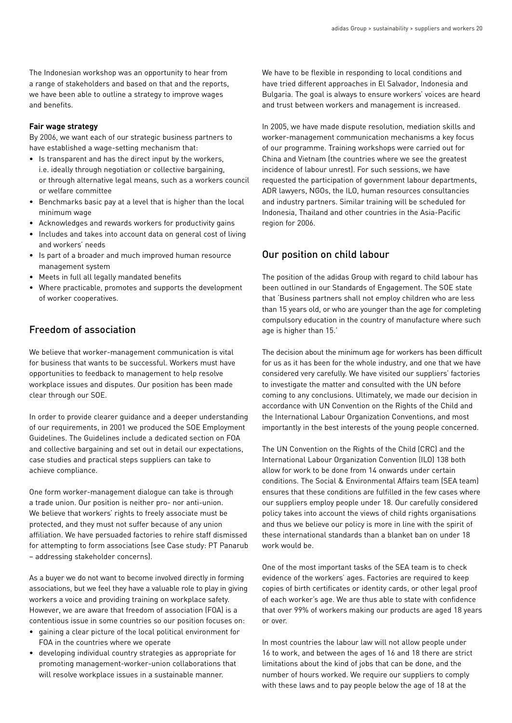The Indonesian workshop was an opportunity to hear from a range of stakeholders and based on that and the reports, we have been able to outline a strategy to improve wages and benefits.

#### **Fair wage strategy**

By 2006, we want each of our strategic business partners to have established a wage-setting mechanism that:

- Is transparent and has the direct input by the workers, i.e. ideally through negotiation or collective bargaining, or through alternative legal means, such as a workers council or welfare committee
- Benchmarks basic pay at a level that is higher than the local minimum wage
- Acknowledges and rewards workers for productivity gains
- Includes and takes into account data on general cost of living and workers' needs
- Is part of a broader and much improved human resource management system
- Meets in full all legally mandated benefits
- Where practicable, promotes and supports the development of worker cooperatives.

# Freedom of association

We believe that worker-management communication is vital for business that wants to be successful. Workers must have opportunities to feedback to management to help resolve workplace issues and disputes. Our position has been made clear through our SOE.

In order to provide clearer guidance and a deeper understanding of our requirements, in 2001 we produced the SOE Employment Guidelines. The Guidelines include a dedicated section on FOA and collective bargaining and set out in detail our expectations, case studies and practical steps suppliers can take to achieve compliance.

One form worker-management dialogue can take is through a trade union. Our position is neither pro- nor anti-union. We believe that workers' rights to freely associate must be protected, and they must not suffer because of any union affiliation. We have persuaded factories to rehire staff dismissed for attempting to form associations (see Case study: PT Panarub – addressing stakeholder concerns).

As a buyer we do not want to become involved directly in forming associations, but we feel they have a valuable role to play in giving workers a voice and providing training on workplace safety. However, we are aware that freedom of association (FOA) is a contentious issue in some countries so our position focuses on:

- gaining a clear picture of the local political environment for FOA in the countries where we operate
- developing individual country strategies as appropriate for promoting management-worker-union collaborations that will resolve workplace issues in a sustainable manner.

We have to be flexible in responding to local conditions and have tried different approaches in El Salvador, Indonesia and Bulgaria. The goal is always to ensure workers' voices are heard and trust between workers and management is increased.

In 2005, we have made dispute resolution, mediation skills and worker-management communication mechanisms a key focus of our programme. Training workshops were carried out for China and Vietnam (the countries where we see the greatest incidence of labour unrest). For such sessions, we have requested the participation of government labour departments, ADR lawyers, NGOs, the ILO, human resources consultancies and industry partners. Similar training will be scheduled for Indonesia, Thailand and other countries in the Asia-Pacific region for 2006.

# Our position on child labour

The position of the adidas Group with regard to child labour has been outlined in our Standards of Engagement. The SOE state that 'Business partners shall not employ children who are less than 15 years old, or who are younger than the age for completing compulsory education in the country of manufacture where such age is higher than 15.'

The decision about the minimum age for workers has been difficult for us as it has been for the whole industry, and one that we have considered very carefully. We have visited our suppliers' factories to investigate the matter and consulted with the UN before coming to any conclusions. Ultimately, we made our decision in accordance with UN Convention on the Rights of the Child and the International Labour Organization Conventions, and most importantly in the best interests of the young people concerned.

The UN Convention on the Rights of the Child (CRC) and the International Labour Organization Convention (ILO) 138 both allow for work to be done from 14 onwards under certain conditions. The Social & Environmental Affairs team (SEA team) ensures that these conditions are fulfilled in the few cases where our suppliers employ people under 18. Our carefully considered policy takes into account the views of child rights organisations and thus we believe our policy is more in line with the spirit of these international standards than a blanket ban on under 18 work would be.

One of the most important tasks of the SEA team is to check evidence of the workers' ages. Factories are required to keep copies of birth certificates or identity cards, or other legal proof of each worker's age. We are thus able to state with confidence that over 99% of workers making our products are aged 18 years or over.

In most countries the labour law will not allow people under 16 to work, and between the ages of 16 and 18 there are strict limitations about the kind of jobs that can be done, and the number of hours worked. We require our suppliers to comply with these laws and to pay people below the age of 18 at the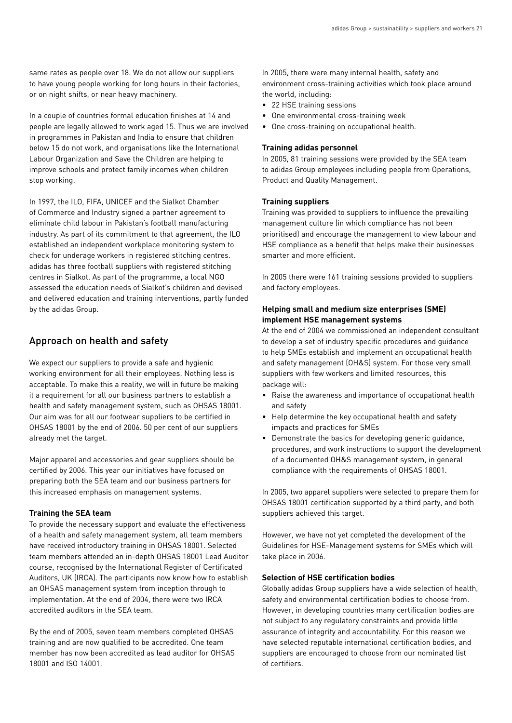same rates as people over 18. We do not allow our suppliers to have young people working for long hours in their factories, or on night shifts, or near heavy machinery.

In a couple of countries formal education finishes at 14 and people are legally allowed to work aged 15. Thus we are involved in programmes in Pakistan and India to ensure that children below 15 do not work, and organisations like the International Labour Organization and Save the Children are helping to improve schools and protect family incomes when children stop working.

In 1997, the ILO, FIFA, UNICEF and the Sialkot Chamber of Commerce and Industry signed a partner agreement to eliminate child labour in Pakistan's football manufacturing industry. As part of its commitment to that agreement, the ILO established an independent workplace monitoring system to check for underage workers in registered stitching centres. adidas has three football suppliers with registered stitching centres in Sialkot. As part of the programme, a local NGO assessed the education needs of Sialkot's children and devised and delivered education and training interventions, partly funded by the adidas Group.

# Approach on health and safety

We expect our suppliers to provide a safe and hygienic working environment for all their employees. Nothing less is acceptable. To make this a reality, we will in future be making it a requirement for all our business partners to establish a health and safety management system, such as OHSAS 18001. Our aim was for all our footwear suppliers to be certified in OHSAS 18001 by the end of 2006. 50 per cent of our suppliers already met the target.

Major apparel and accessories and gear suppliers should be certified by 2006. This year our initiatives have focused on preparing both the SEA team and our business partners for this increased emphasis on management systems.

#### **Training the SEA team**

To provide the necessary support and evaluate the effectiveness of a health and safety management system, all team members have received introductory training in OHSAS 18001. Selected team members attended an in-depth OHSAS 18001 Lead Auditor course, recognised by the International Register of Certificated Auditors, UK (IRCA). The participants now know how to establish an OHSAS management system from inception through to implementation. At the end of 2004, there were two IRCA accredited auditors in the SEA team.

By the end of 2005, seven team members completed OHSAS training and are now qualified to be accredited. One team member has now been accredited as lead auditor for OHSAS 18001 and ISO 14001.

In 2005, there were many internal health, safety and environment cross-training activities which took place around the world, including:

- 22 HSE training sessions
- One environmental cross-training week
- One cross-training on occupational health.

#### **Training adidas personnel**

In 2005, 81 training sessions were provided by the SEA team to adidas Group employees including people from Operations, Product and Quality Management.

#### **Training suppliers**

Training was provided to suppliers to influence the prevailing management culture (in which compliance has not been prioritised) and encourage the management to view labour and HSE compliance as a benefit that helps make their businesses smarter and more efficient.

In 2005 there were 161 training sessions provided to suppliers and factory employees.

## **Helping small and medium size enterprises (SME) implement HSE management systems**

At the end of 2004 we commissioned an independent consultant to develop a set of industry specific procedures and guidance to help SMEs establish and implement an occupational health and safety management (OH&S) system. For those very small suppliers with few workers and limited resources, this package will:

- Raise the awareness and importance of occupational health and safety
- Help determine the key occupational health and safety impacts and practices for SMEs
- Demonstrate the basics for developing generic guidance, procedures, and work instructions to support the development of a documented OH&S management system, in general compliance with the requirements of OHSAS 18001.

In 2005, two apparel suppliers were selected to prepare them for OHSAS 18001 certification supported by a third party, and both suppliers achieved this target.

However, we have not yet completed the development of the Guidelines for HSE-Management systems for SMEs which will take place in 2006.

#### **Selection of HSE certification bodies**

Globally adidas Group suppliers have a wide selection of health, safety and environmental certification bodies to choose from. However, in developing countries many certification bodies are not subject to any regulatory constraints and provide little assurance of integrity and accountability. For this reason we have selected reputable international certification bodies, and suppliers are encouraged to choose from our nominated list of certifiers.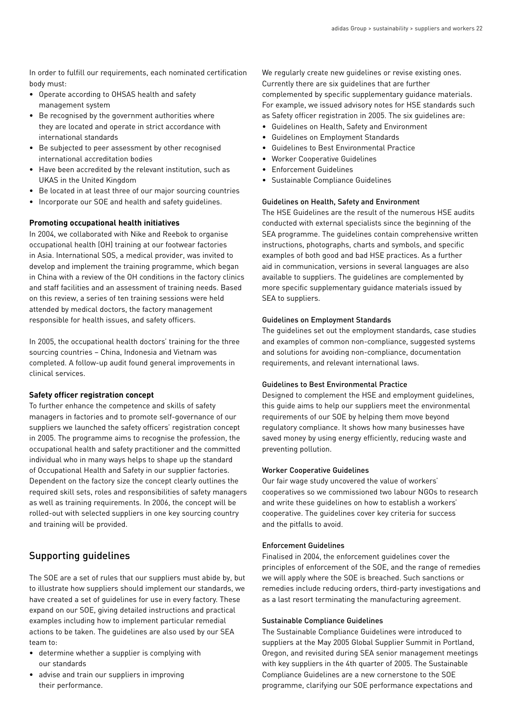In order to fulfill our requirements, each nominated certification body must:

- Operate according to OHSAS health and safety management system
- Be recognised by the government authorities where they are located and operate in strict accordance with international standards
- Be subjected to peer assessment by other recognised international accreditation bodies
- Have been accredited by the relevant institution, such as UKAS in the United Kingdom
- Be located in at least three of our major sourcing countries
- Incorporate our SOE and health and safety guidelines.

#### **Promoting occupational health initiatives**

In 2004, we collaborated with Nike and Reebok to organise occupational health (OH) training at our footwear factories in Asia. International SOS, a medical provider, was invited to develop and implement the training programme, which began in China with a review of the OH conditions in the factory clinics and staff facilities and an assessment of training needs. Based on this review, a series of ten training sessions were held attended by medical doctors, the factory management responsible for health issues, and safety officers.

In 2005, the occupational health doctors' training for the three sourcing countries – China, Indonesia and Vietnam was completed. A follow-up audit found general improvements in clinical services.

#### **Safety officer registration concept**

To further enhance the competence and skills of safety managers in factories and to promote self-governance of our suppliers we launched the safety officers' registration concept in 2005. The programme aims to recognise the profession, the occupational health and safety practitioner and the committed individual who in many ways helps to shape up the standard of Occupational Health and Safety in our supplier factories. Dependent on the factory size the concept clearly outlines the required skill sets, roles and responsibilities of safety managers as well as training requirements. In 2006, the concept will be rolled-out with selected suppliers in one key sourcing country and training will be provided.

## Supporting guidelines

The SOE are a set of rules that our suppliers must abide by, but to illustrate how suppliers should implement our standards, we have created a set of guidelines for use in every factory. These expand on our SOE, giving detailed instructions and practical examples including how to implement particular remedial actions to be taken. The guidelines are also used by our SEA team to:

- determine whether a supplier is complying with our standards
- advise and train our suppliers in improving their performance.

We regularly create new guidelines or revise existing ones. Currently there are six guidelines that are further complemented by specific supplementary guidance materials. For example, we issued advisory notes for HSE standards such as Safety officer registration in 2005. The six guidelines are:

- Guidelines on Health, Safety and Environment
- Guidelines on Employment Standards
- Guidelines to Best Environmental Practice
- Worker Cooperative Guidelines
- Enforcement Guidelines
- Sustainable Compliance Guidelines

#### Guidelines on Health, Safety and Environment

The HSE Guidelines are the result of the numerous HSE audits conducted with external specialists since the beginning of the SEA programme. The guidelines contain comprehensive written instructions, photographs, charts and symbols, and specific examples of both good and bad HSE practices. As a further aid in communication, versions in several languages are also available to suppliers. The guidelines are complemented by more specific supplementary guidance materials issued by SEA to suppliers.

#### Guidelines on Employment Standards

The guidelines set out the employment standards, case studies and examples of common non-compliance, suggested systems and solutions for avoiding non-compliance, documentation requirements, and relevant international laws.

#### Guidelines to Best Environmental Practice

Designed to complement the HSE and employment guidelines, this guide aims to help our suppliers meet the environmental requirements of our SOE by helping them move beyond regulatory compliance. It shows how many businesses have saved money by using energy efficiently, reducing waste and preventing pollution.

#### Worker Cooperative Guidelines

Our fair wage study uncovered the value of workers' cooperatives so we commissioned two labour NGOs to research and write these guidelines on how to establish a workers' cooperative. The guidelines cover key criteria for success and the pitfalls to avoid.

#### Enforcement Guidelines

Finalised in 2004, the enforcement guidelines cover the principles of enforcement of the SOE, and the range of remedies we will apply where the SOE is breached. Such sanctions or remedies include reducing orders, third-party investigations and as a last resort terminating the manufacturing agreement.

#### Sustainable Compliance Guidelines

The Sustainable Compliance Guidelines were introduced to suppliers at the May 2005 Global Supplier Summit in Portland, Oregon, and revisited during SEA senior management meetings with key suppliers in the 4th quarter of 2005. The Sustainable Compliance Guidelines are a new cornerstone to the SOE programme, clarifying our SOE performance expectations and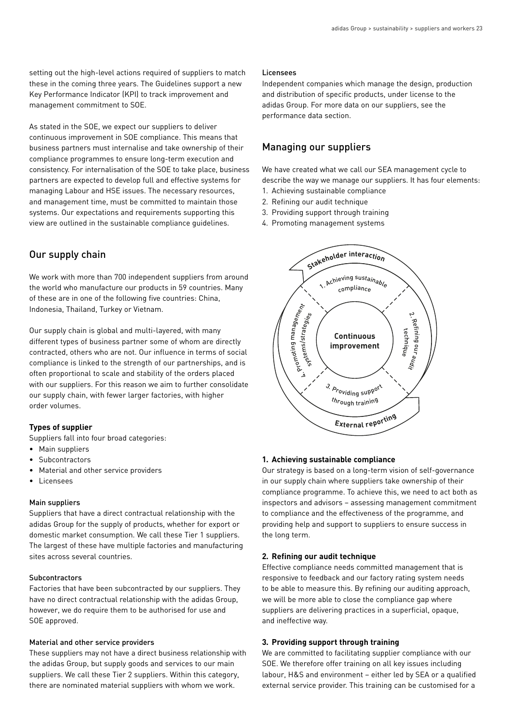setting out the high-level actions required of suppliers to match these in the coming three years. The Guidelines support a new Key Performance Indicator (KPI) to track improvement and management commitment to SOE.

As stated in the SOE, we expect our suppliers to deliver continuous improvement in SOE compliance. This means that business partners must internalise and take ownership of their compliance programmes to ensure long-term execution and consistency. For internalisation of the SOE to take place, business partners are expected to develop full and effective systems for managing Labour and HSE issues. The necessary resources, and management time, must be committed to maintain those systems. Our expectations and requirements supporting this view are outlined in the sustainable compliance guidelines.

# Our supply chain

We work with more than 700 independent suppliers from around the world who manufacture our products in 59 countries. Many of these are in one of the following five countries: China, Indonesia, Thailand, Turkey or Vietnam.

Our supply chain is global and multi-layered, with many different types of business partner some of whom are directly contracted, others who are not. Our influence in terms of social compliance is linked to the strength of our partnerships, and is often proportional to scale and stability of the orders placed with our suppliers. For this reason we aim to further consolidate our supply chain, with fewer larger factories, with higher order volumes.

#### **Types of supplier**

Suppliers fall into four broad categories:

- Main suppliers
- Subcontractors
- Material and other service providers
- Licensees

#### Main suppliers

Suppliers that have a direct contractual relationship with the adidas Group for the supply of products, whether for export or domestic market consumption. We call these Tier 1 suppliers. The largest of these have multiple factories and manufacturing sites across several countries.

#### **Subcontractors**

Factories that have been subcontracted by our suppliers. They have no direct contractual relationship with the adidas Group, however, we do require them to be authorised for use and SOE approved.

#### Material and other service providers

These suppliers may not have a direct business relationship with the adidas Group, but supply goods and services to our main suppliers. We call these Tier 2 suppliers. Within this category, there are nominated material suppliers with whom we work.

#### Licensees

Independent companies which manage the design, production and distribution of specific products, under license to the adidas Group. For more data on our suppliers, see the performance data section.

## Managing our suppliers

We have created what we call our SEA management cycle to describe the way we manage our suppliers. It has four elements:

- 1. Achieving sustainable compliance
- 2. Refining our audit technique
- 3. Providing support through training
- 4. Promoting management systems



#### **1. Achieving sustainable compliance**

Our strategy is based on a long-term vision of self-governance in our supply chain where suppliers take ownership of their compliance programme. To achieve this, we need to act both as inspectors and advisors – assessing management commitment to compliance and the effectiveness of the programme, and providing help and support to suppliers to ensure success in the long term.

#### **2. Refining our audit technique**

Effective compliance needs committed management that is responsive to feedback and our factory rating system needs to be able to measure this. By refining our auditing approach, we will be more able to close the compliance gap where suppliers are delivering practices in a superficial, opaque, and ineffective way.

#### **3. Providing support through training**

We are committed to facilitating supplier compliance with our SOE. We therefore offer training on all key issues including labour, H&S and environment – either led by SEA or a qualified external service provider. This training can be customised for a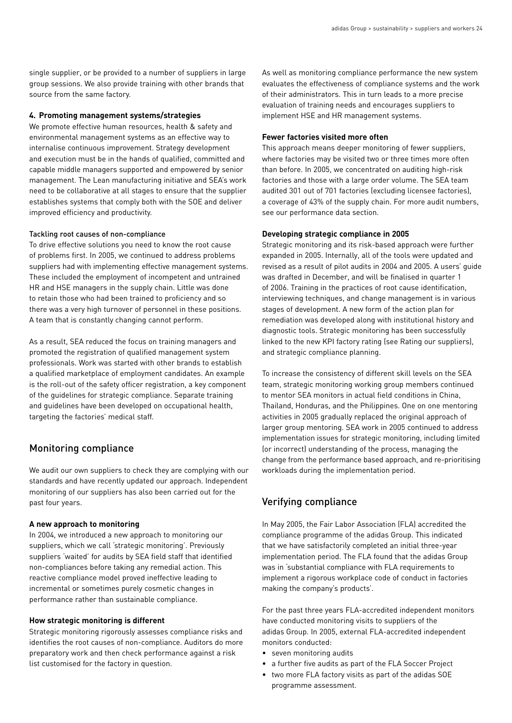single supplier, or be provided to a number of suppliers in large group sessions. We also provide training with other brands that source from the same factory.

#### **4. Promoting management systems/strategies**

We promote effective human resources, health & safety and environmental management systems as an effective way to internalise continuous improvement. Strategy development and execution must be in the hands of qualified, committed and capable middle managers supported and empowered by senior management. The Lean manufacturing initiative and SEA's work need to be collaborative at all stages to ensure that the supplier establishes systems that comply both with the SOE and deliver improved efficiency and productivity.

#### Tackling root causes of non-compliance

To drive effective solutions you need to know the root cause of problems first. In 2005, we continued to address problems suppliers had with implementing effective management systems. These included the employment of incompetent and untrained HR and HSE managers in the supply chain. Little was done to retain those who had been trained to proficiency and so there was a very high turnover of personnel in these positions. A team that is constantly changing cannot perform.

As a result, SEA reduced the focus on training managers and promoted the registration of qualified management system professionals. Work was started with other brands to establish a qualified marketplace of employment candidates. An example is the roll-out of the safety officer registration, a key component of the guidelines for strategic compliance. Separate training and guidelines have been developed on occupational health, targeting the factories' medical staff.

## Monitoring compliance

We audit our own suppliers to check they are complying with our standards and have recently updated our approach. Independent monitoring of our suppliers has also been carried out for the past four years.

#### **A new approach to monitoring**

In 2004, we introduced a new approach to monitoring our suppliers, which we call 'strategic monitoring'. Previously suppliers 'waited' for audits by SEA field staff that identified non-compliances before taking any remedial action. This reactive compliance model proved ineffective leading to incremental or sometimes purely cosmetic changes in performance rather than sustainable compliance.

#### **How strategic monitoring is different**

Strategic monitoring rigorously assesses compliance risks and identifies the root causes of non-compliance. Auditors do more preparatory work and then check performance against a risk list customised for the factory in question.

As well as monitoring compliance performance the new system evaluates the effectiveness of compliance systems and the work of their administrators. This in turn leads to a more precise evaluation of training needs and encourages suppliers to implement HSE and HR management systems.

#### **Fewer factories visited more often**

This approach means deeper monitoring of fewer suppliers, where factories may be visited two or three times more often than before. In 2005, we concentrated on auditing high-risk factories and those with a large order volume. The SEA team audited 301 out of 701 factories (excluding licensee factories), a coverage of 43% of the supply chain. For more audit numbers, see our performance data section.

#### **Developing strategic compliance in 2005**

Strategic monitoring and its risk-based approach were further expanded in 2005. Internally, all of the tools were updated and revised as a result of pilot audits in 2004 and 2005. A users' guide was drafted in December, and will be finalised in quarter 1 of 2006. Training in the practices of root cause identification, interviewing techniques, and change management is in various stages of development. A new form of the action plan for remediation was developed along with institutional history and diagnostic tools. Strategic monitoring has been successfully linked to the new KPI factory rating (see Rating our suppliers), and strategic compliance planning.

To increase the consistency of different skill levels on the SEA team, strategic monitoring working group members continued to mentor SEA monitors in actual field conditions in China, Thailand, Honduras, and the Philippines. One on one mentoring activities in 2005 gradually replaced the original approach of larger group mentoring. SEA work in 2005 continued to address implementation issues for strategic monitoring, including limited (or incorrect) understanding of the process, managing the change from the performance based approach, and re-prioritising workloads during the implementation period.

# Verifying compliance

In May 2005, the Fair Labor Association (FLA) accredited the compliance programme of the adidas Group. This indicated that we have satisfactorily completed an initial three-year implementation period. The FLA found that the adidas Group was in 'substantial compliance with FLA requirements to implement a rigorous workplace code of conduct in factories making the company's products'.

For the past three years FLA-accredited independent monitors have conducted monitoring visits to suppliers of the adidas Group. In 2005, external FLA-accredited independent monitors conducted:

- seven monitoring audits
- a further five audits as part of the FLA Soccer Project
- two more FLA factory visits as part of the adidas SOE programme assessment.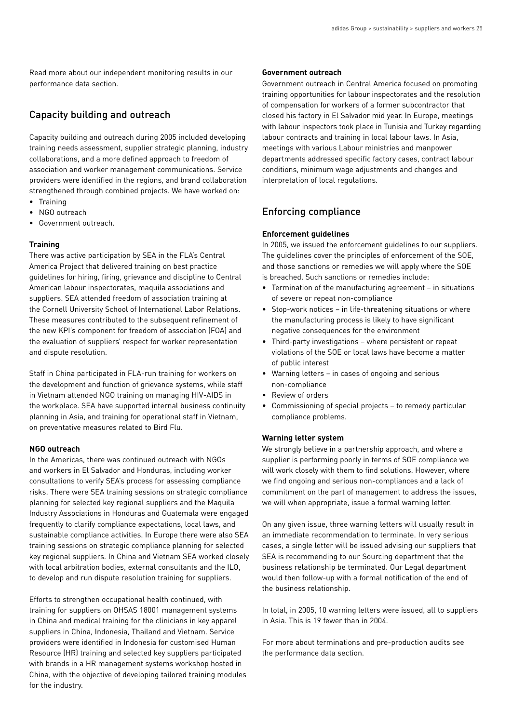Read more about our independent monitoring results in our performance data section.

# Capacity building and outreach

Capacity building and outreach during 2005 included developing training needs assessment, supplier strategic planning, industry collaborations, and a more defined approach to freedom of association and worker management communications. Service providers were identified in the regions, and brand collaboration strengthened through combined projects. We have worked on:

- Training
- NGO outreach
- Government outreach.

#### **Training**

There was active participation by SEA in the FLA's Central America Project that delivered training on best practice guidelines for hiring, firing, grievance and discipline to Central American labour inspectorates, maquila associations and suppliers. SEA attended freedom of association training at the Cornell University School of International Labor Relations. These measures contributed to the subsequent refinement of the new KPI's component for freedom of association (FOA) and the evaluation of suppliers' respect for worker representation and dispute resolution.

Staff in China participated in FLA-run training for workers on the development and function of grievance systems, while staff in Vietnam attended NGO training on managing HIV-AIDS in the workplace. SEA have supported internal business continuity planning in Asia, and training for operational staff in Vietnam, on preventative measures related to Bird Flu.

#### **NGO outreach**

In the Americas, there was continued outreach with NGOs and workers in El Salvador and Honduras, including worker consultations to verify SEA's process for assessing compliance risks. There were SEA training sessions on strategic compliance planning for selected key regional suppliers and the Maquila Industry Associations in Honduras and Guatemala were engaged frequently to clarify compliance expectations, local laws, and sustainable compliance activities. In Europe there were also SEA training sessions on strategic compliance planning for selected key regional suppliers. In China and Vietnam SEA worked closely with local arbitration bodies, external consultants and the ILO, to develop and run dispute resolution training for suppliers.

Efforts to strengthen occupational health continued, with training for suppliers on OHSAS 18001 management systems in China and medical training for the clinicians in key apparel suppliers in China, Indonesia, Thailand and Vietnam. Service providers were identified in Indonesia for customised Human Resource (HR) training and selected key suppliers participated with brands in a HR management systems workshop hosted in China, with the objective of developing tailored training modules for the industry.

#### **Government outreach**

Government outreach in Central America focused on promoting training opportunities for labour inspectorates and the resolution of compensation for workers of a former subcontractor that closed his factory in El Salvador mid year. In Europe, meetings with labour inspectors took place in Tunisia and Turkey regarding labour contracts and training in local labour laws. In Asia, meetings with various Labour ministries and manpower departments addressed specific factory cases, contract labour conditions, minimum wage adjustments and changes and interpretation of local regulations.

# Enforcing compliance

#### **Enforcement guidelines**

In 2005, we issued the enforcement guidelines to our suppliers. The guidelines cover the principles of enforcement of the SOE, and those sanctions or remedies we will apply where the SOE is breached. Such sanctions or remedies include:

- Termination of the manufacturing agreement in situations of severe or repeat non-compliance
- Stop-work notices in life-threatening situations or where the manufacturing process is likely to have significant negative consequences for the environment
- Third-party investigations where persistent or repeat violations of the SOE or local laws have become a matter of public interest
- Warning letters in cases of ongoing and serious non-compliance
- Review of orders
- Commissioning of special projects to remedy particular compliance problems.

#### **Warning letter system**

We strongly believe in a partnership approach, and where a supplier is performing poorly in terms of SOE compliance we will work closely with them to find solutions. However, where we find ongoing and serious non-compliances and a lack of commitment on the part of management to address the issues, we will when appropriate, issue a formal warning letter.

On any given issue, three warning letters will usually result in an immediate recommendation to terminate. In very serious cases, a single letter will be issued advising our suppliers that SEA is recommending to our Sourcing department that the business relationship be terminated. Our Legal department would then follow-up with a formal notification of the end of the business relationship.

In total, in 2005, 10 warning letters were issued, all to suppliers in Asia. This is 19 fewer than in 2004.

For more about terminations and pre-production audits see the performance data section.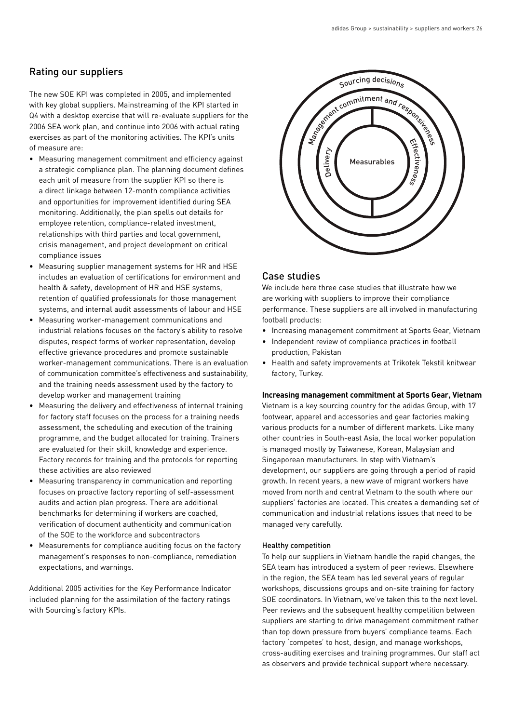# Rating our suppliers

The new SOE KPI was completed in 2005, and implemented with key global suppliers. Mainstreaming of the KPI started in Q4 with a desktop exercise that will re-evaluate suppliers for the 2006 SEA work plan, and continue into 2006 with actual rating exercises as part of the monitoring activities. The KPI's units of measure are:

- Measuring management commitment and efficiency against a strategic compliance plan. The planning document defines each unit of measure from the supplier KPI so there is a direct linkage between 12-month compliance activities and opportunities for improvement identified during SEA monitoring. Additionally, the plan spells out details for employee retention, compliance-related investment, relationships with third parties and local government, crisis management, and project development on critical compliance issues
- Measuring supplier management systems for HR and HSE includes an evaluation of certifications for environment and health & safety, development of HR and HSE systems, retention of qualified professionals for those management systems, and internal audit assessments of labour and HSE
- Measuring worker-management communications and industrial relations focuses on the factory's ability to resolve disputes, respect forms of worker representation, develop effective grievance procedures and promote sustainable worker-management communications. There is an evaluation of communication committee's effectiveness and sustainability, and the training needs assessment used by the factory to develop worker and management training
- Measuring the delivery and effectiveness of internal training for factory staff focuses on the process for a training needs assessment, the scheduling and execution of the training programme, and the budget allocated for training. Trainers are evaluated for their skill, knowledge and experience. Factory records for training and the protocols for reporting these activities are also reviewed
- Measuring transparency in communication and reporting focuses on proactive factory reporting of self-assessment audits and action plan progress. There are additional benchmarks for determining if workers are coached, verification of document authenticity and communication of the SOE to the workforce and subcontractors
- Measurements for compliance auditing focus on the factory management's responses to non-compliance, remediation expectations, and warnings.

Additional 2005 activities for the Key Performance Indicator included planning for the assimilation of the factory ratings with Sourcing's factory KPIs.



# Case studies

We include here three case studies that illustrate how we are working with suppliers to improve their compliance performance. These suppliers are all involved in manufacturing football products:

- Increasing management commitment at Sports Gear, Vietnam
- Independent review of compliance practices in football production, Pakistan
- Health and safety improvements at Trikotek Tekstil knitwear factory, Turkey.

#### **Increasing management commitment at Sports Gear, Vietnam**

Vietnam is a key sourcing country for the adidas Group, with 17 footwear, apparel and accessories and gear factories making various products for a number of different markets. Like many other countries in South-east Asia, the local worker population is managed mostly by Taiwanese, Korean, Malaysian and Singaporean manufacturers. In step with Vietnam's development, our suppliers are going through a period of rapid growth. In recent years, a new wave of migrant workers have moved from north and central Vietnam to the south where our suppliers' factories are located. This creates a demanding set of communication and industrial relations issues that need to be managed very carefully.

#### Healthy competition

To help our suppliers in Vietnam handle the rapid changes, the SEA team has introduced a system of peer reviews. Elsewhere in the region, the SEA team has led several years of regular workshops, discussions groups and on-site training for factory SOE coordinators. In Vietnam, we've taken this to the next level. Peer reviews and the subsequent healthy competition between suppliers are starting to drive management commitment rather than top down pressure from buyers' compliance teams. Each factory 'competes' to host, design, and manage workshops, cross-auditing exercises and training programmes. Our staff act as observers and provide technical support where necessary.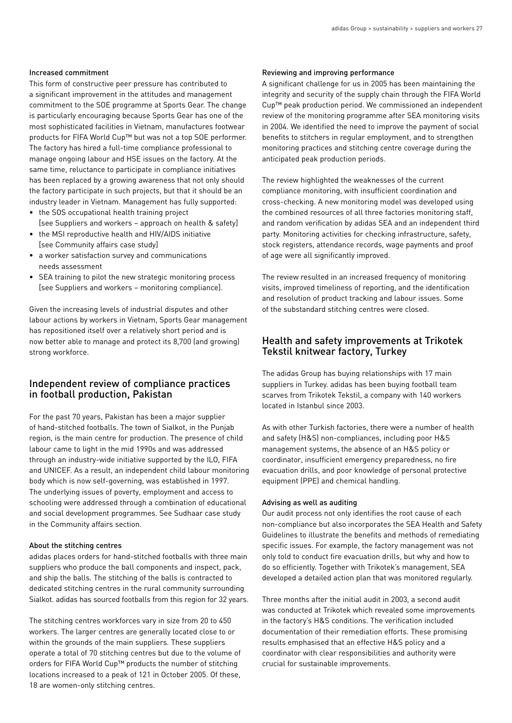#### Increased commitment

This form of constructive peer pressure has contributed to a significant improvement in the attitudes and management commitment to the SOE programme at Sports Gear. The change is particularly encouraging because Sports Gear has one of the most sophisticated facilities in Vietnam, manufactures footwear products for FIFA World Cup™ but was not a top SOE performer. The factory has hired a full-time compliance professional to manage ongoing labour and HSE issues on the factory. At the same time, reluctance to participate in compliance initiatives has been replaced by a growing awareness that not only should the factory participate in such projects, but that it should be an industry leader in Vietnam. Management has fully supported:

- the SOS occupational health training project [see Suppliers and workers – approach on health & safety]
- the MSI reproductive health and HIV/AIDS initiative [see Community affairs case study]
- a worker satisfaction survey and communications needs assessment
- SEA training to pilot the new strategic monitoring process [see Suppliers and workers – monitoring compliance].

Given the increasing levels of industrial disputes and other labour actions by workers in Vietnam, Sports Gear management has repositioned itself over a relatively short period and is now better able to manage and protect its 8,700 (and growing) strong workforce.

## Independent review of compliance practices in football production, Pakistan

For the past 70 years, Pakistan has been a major supplier of hand-stitched footballs. The town of Sialkot, in the Punjab region, is the main centre for production. The presence of child labour came to light in the mid 1990s and was addressed through an industry-wide initiative supported by the ILO, FIFA and UNICEF. As a result, an independent child labour monitoring body which is now self-governing, was established in 1997. The underlying issues of poverty, employment and access to schooling were addressed through a combination of educational and social development programmes. See Sudhaar case study in the Community affairs section.

#### About the stitching centres

adidas places orders for hand-stitched footballs with three main suppliers who produce the ball components and inspect, pack, and ship the balls. The stitching of the balls is contracted to dedicated stitching centres in the rural community surrounding Sialkot. adidas has sourced footballs from this region for 32 years.

The stitching centres workforces vary in size from 20 to 450 workers. The larger centres are generally located close to or within the grounds of the main suppliers. These suppliers operate a total of 70 stitching centres but due to the volume of orders for FIFA World Cup™ products the number of stitching locations increased to a peak of 121 in October 2005. Of these, 18 are women-only stitching centres.

#### Reviewing and improving performance

A significant challenge for us in 2005 has been maintaining the integrity and security of the supply chain through the FIFA World Cup™ peak production period. We commissioned an independent review of the monitoring programme after SEA monitoring visits in 2004. We identified the need to improve the payment of social benefits to stitchers in regular employment, and to strengthen monitoring practices and stitching centre coverage during the anticipated peak production periods.

The review highlighted the weaknesses of the current compliance monitoring, with insufficient coordination and cross-checking. A new monitoring model was developed using the combined resources of all three factories monitoring staff, and random verification by adidas SEA and an independent third party. Monitoring activities for checking infrastructure, safety, stock registers, attendance records, wage payments and proof of age were all significantly improved.

The review resulted in an increased frequency of monitoring visits, improved timeliness of reporting, and the identification and resolution of product tracking and labour issues. Some of the substandard stitching centres were closed.

## Health and safety improvements at Trikotek Tekstil knitwear factory, Turkey

The adidas Group has buying relationships with 17 main suppliers in Turkey. adidas has been buying football team scarves from Trikotek Tekstil, a company with 140 workers located in Istanbul since 2003.

As with other Turkish factories, there were a number of health and safety (H&S) non-compliances, including poor H&S management systems, the absence of an H&S policy or coordinator, insufficient emergency preparedness, no fire evacuation drills, and poor knowledge of personal protective equipment (PPE) and chemical handling.

#### Advising as well as auditing

Our audit process not only identifies the root cause of each non-compliance but also incorporates the SEA Health and Safety Guidelines to illustrate the benefits and methods of remediating specific issues. For example, the factory management was not only told to conduct fire evacuation drills, but why and how to do so efficiently. Together with Trikotek's management, SEA developed a detailed action plan that was monitored regularly.

Three months after the initial audit in 2003, a second audit was conducted at Trikotek which revealed some improvements in the factory's H&S conditions. The verification included documentation of their remediation efforts. These promising results emphasised that an effective H&S policy and a coordinator with clear responsibilities and authority were crucial for sustainable improvements.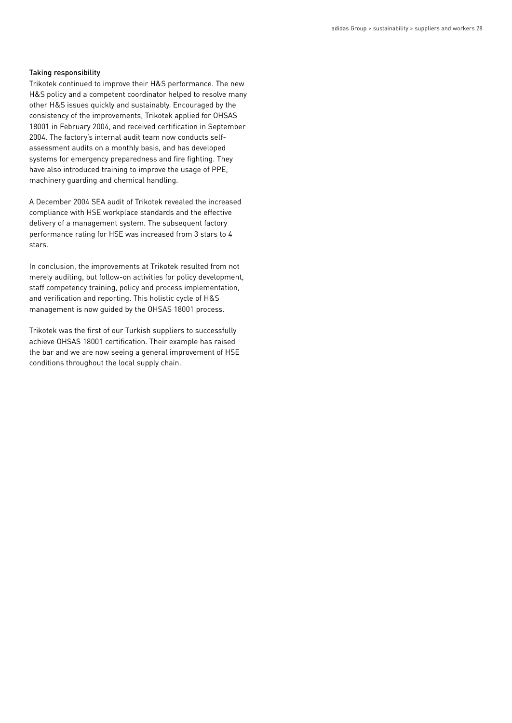#### Taking responsibility

Trikotek continued to improve their H&S performance. The new H&S policy and a competent coordinator helped to resolve many other H&S issues quickly and sustainably. Encouraged by the consistency of the improvements, Trikotek applied for OHSAS 18001 in February 2004, and received certification in September 2004. The factory's internal audit team now conducts selfassessment audits on a monthly basis, and has developed systems for emergency preparedness and fire fighting. They have also introduced training to improve the usage of PPE, machinery guarding and chemical handling.

A December 2004 SEA audit of Trikotek revealed the increased compliance with HSE workplace standards and the effective delivery of a management system. The subsequent factory performance rating for HSE was increased from 3 stars to 4 stars.

In conclusion, the improvements at Trikotek resulted from not merely auditing, but follow-on activities for policy development, staff competency training, policy and process implementation, and verification and reporting. This holistic cycle of H&S management is now guided by the OHSAS 18001 process.

Trikotek was the first of our Turkish suppliers to successfully achieve OHSAS 18001 certification. Their example has raised the bar and we are now seeing a general improvement of HSE conditions throughout the local supply chain.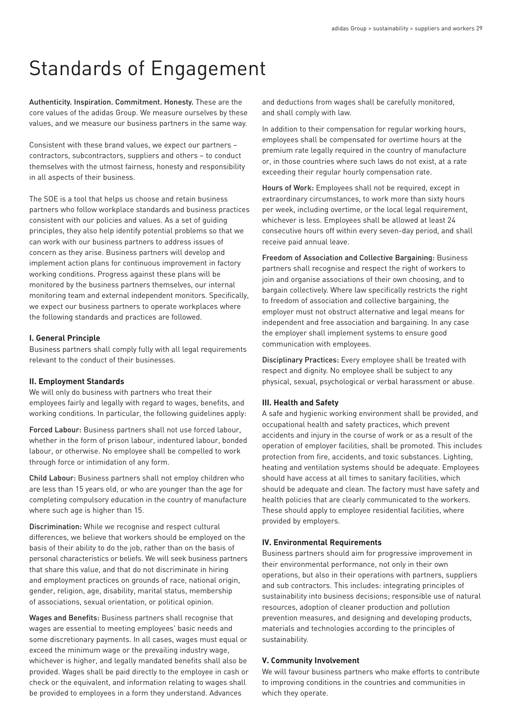# Standards of Engagement

Authenticity. Inspiration. Commitment. Honesty. These are the core values of the adidas Group. We measure ourselves by these values, and we measure our business partners in the same way.

Consistent with these brand values, we expect our partners – contractors, subcontractors, suppliers and others – to conduct themselves with the utmost fairness, honesty and responsibility in all aspects of their business.

The SOE is a tool that helps us choose and retain business partners who follow workplace standards and business practices consistent with our policies and values. As a set of guiding principles, they also help identify potential problems so that we can work with our business partners to address issues of concern as they arise. Business partners will develop and implement action plans for continuous improvement in factory working conditions. Progress against these plans will be monitored by the business partners themselves, our internal monitoring team and external independent monitors. Specifically, we expect our business partners to operate workplaces where the following standards and practices are followed.

#### **I. General Principle**

Business partners shall comply fully with all legal requirements relevant to the conduct of their businesses.

#### **II. Employment Standards**

We will only do business with partners who treat their employees fairly and legally with regard to wages, benefits, and working conditions. In particular, the following guidelines apply:

Forced Labour: Business partners shall not use forced labour, whether in the form of prison labour, indentured labour, bonded labour, or otherwise. No employee shall be compelled to work through force or intimidation of any form.

Child Labour: Business partners shall not employ children who are less than 15 years old, or who are younger than the age for completing compulsory education in the country of manufacture where such age is higher than 15.

Discrimination: While we recognise and respect cultural differences, we believe that workers should be employed on the basis of their ability to do the job, rather than on the basis of personal characteristics or beliefs. We will seek business partners that share this value, and that do not discriminate in hiring and employment practices on grounds of race, national origin, gender, religion, age, disability, marital status, membership of associations, sexual orientation, or political opinion.

Wages and Benefits: Business partners shall recognise that wages are essential to meeting employees' basic needs and some discretionary payments. In all cases, wages must equal or exceed the minimum wage or the prevailing industry wage, whichever is higher, and legally mandated benefits shall also be provided. Wages shall be paid directly to the employee in cash or check or the equivalent, and information relating to wages shall be provided to employees in a form they understand. Advances

and deductions from wages shall be carefully monitored, and shall comply with law.

In addition to their compensation for regular working hours, employees shall be compensated for overtime hours at the premium rate legally required in the country of manufacture or, in those countries where such laws do not exist, at a rate exceeding their regular hourly compensation rate.

Hours of Work: Employees shall not be required, except in extraordinary circumstances, to work more than sixty hours per week, including overtime, or the local legal requirement, whichever is less. Employees shall be allowed at least 24 consecutive hours off within every seven-day period, and shall receive paid annual leave.

Freedom of Association and Collective Bargaining: Business partners shall recognise and respect the right of workers to join and organise associations of their own choosing, and to bargain collectively. Where law specifically restricts the right to freedom of association and collective bargaining, the employer must not obstruct alternative and legal means for independent and free association and bargaining. In any case the employer shall implement systems to ensure good communication with employees.

Disciplinary Practices: Every employee shall be treated with respect and dignity. No employee shall be subject to any physical, sexual, psychological or verbal harassment or abuse.

#### **III. Health and Safety**

A safe and hygienic working environment shall be provided, and occupational health and safety practices, which prevent accidents and injury in the course of work or as a result of the operation of employer facilities, shall be promoted. This includes protection from fire, accidents, and toxic substances. Lighting, heating and ventilation systems should be adequate. Employees should have access at all times to sanitary facilities, which should be adequate and clean. The factory must have safety and health policies that are clearly communicated to the workers. These should apply to employee residential facilities, where provided by employers.

## **IV. Environmental Requirements**

Business partners should aim for progressive improvement in their environmental performance, not only in their own operations, but also in their operations with partners, suppliers and sub contractors. This includes: integrating principles of sustainability into business decisions; responsible use of natural resources, adoption of cleaner production and pollution prevention measures, and designing and developing products, materials and technologies according to the principles of sustainability.

#### **V. Community Involvement**

We will favour business partners who make efforts to contribute to improving conditions in the countries and communities in which they operate.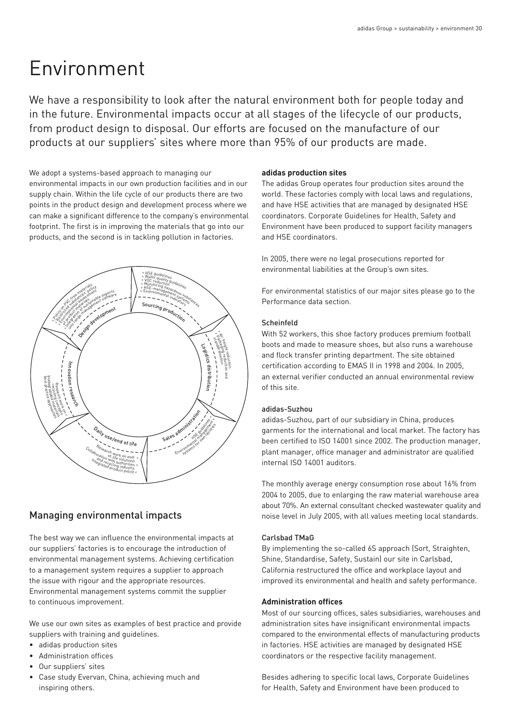# Environment

We have a responsibility to look after the natural environment both for people today and in the future. Environmental impacts occur at all stages of the lifecycle of our products, from product design to disposal. Our efforts are focused on the manufacture of our products at our suppliers' sites where more than 95% of our products are made.

We adopt a systems-based approach to managing our environmental impacts in our own production facilities and in our supply chain. Within the life cycle of our products there are two points in the product design and development process where we can make a significant difference to the company's environmental footprint. The first is in improving the materials that go into our products, and the second is in tackling pollution in factories.



# Managing environmental impacts

The best way we can influence the environmental impacts at our suppliers' factories is to encourage the introduction of environmental management systems. Achieving certification to a management system requires a supplier to approach the issue with rigour and the appropriate resources. Environmental management systems commit the supplier to continuous improvement.

We use our own sites as examples of best practice and provide suppliers with training and guidelines.

- adidas production sites
- Administration offices
- Our suppliers' sites
- Case study Evervan, China, achieving much and inspiring others.

## **adidas production sites**

The adidas Group operates four production sites around the world. These factories comply with local laws and regulations, and have HSE activities that are managed by designated HSE coordinators. Corporate Guidelines for Health, Safety and Environment have been produced to support facility managers and HSE coordinators.

In 2005, there were no legal prosecutions reported for environmental liabilities at the Group's own sites.

For environmental statistics of our major sites please go to the Performance data section.

## Scheinfeld

With 52 workers, this shoe factory produces premium football boots and made to measure shoes, but also runs a warehouse and flock transfer printing department. The site obtained certification according to EMAS II in 1998 and 2004. In 2005, an external verifier conducted an annual environmental review of this site.

# adidas-Suzhou

adidas-Suzhou, part of our subsidiary in China, produces garments for the international and local market. The factory has been certified to ISO 14001 since 2002. The production manager, plant manager, office manager and administrator are qualified internal ISO 14001 auditors.

The monthly average energy consumption rose about 16% from 2004 to 2005, due to enlarging the raw material warehouse area about 70%. An external consultant checked wastewater quality and noise level in July 2005, with all values meeting local standards.

## Carlsbad TMaG

By implementing the so-called 6S approach (Sort, Straighten, Shine, Standardise, Safety, Sustain) our site in Carlsbad, California restructured the office and workplace layout and improved its environmental and health and safety performance.

# **Administration offices**

Most of our sourcing offices, sales subsidiaries, warehouses and administration sites have insignificant environmental impacts compared to the environmental effects of manufacturing products in factories. HSE activities are managed by designated HSE coordinators or the respective facility management.

Besides adhering to specific local laws, Corporate Guidelines for Health, Safety and Environment have been produced to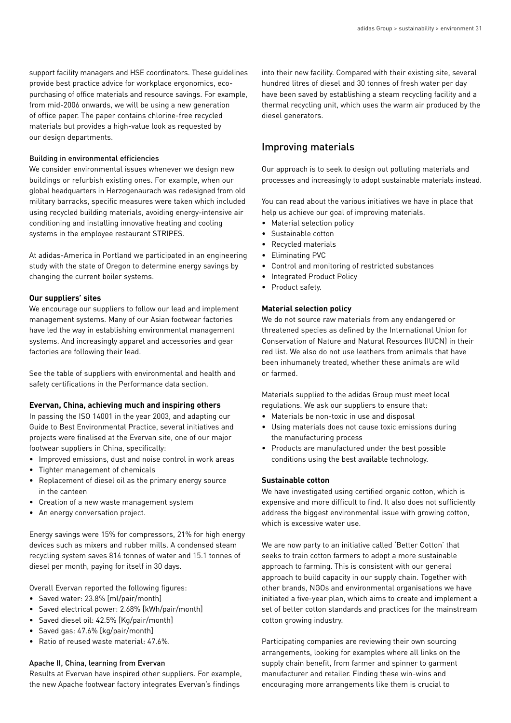support facility managers and HSE coordinators. These guidelines provide best practice advice for workplace ergonomics, ecopurchasing of office materials and resource savings. For example, from mid-2006 onwards, we will be using a new generation of office paper. The paper contains chlorine-free recycled materials but provides a high-value look as requested by our design departments.

#### Building in environmental efficiencies

We consider environmental issues whenever we design new buildings or refurbish existing ones. For example, when our global headquarters in Herzogenaurach was redesigned from old military barracks, specific measures were taken which included using recycled building materials, avoiding energy-intensive air conditioning and installing innovative heating and cooling systems in the employee restaurant STRIPES.

At adidas-America in Portland we participated in an engineering study with the state of Oregon to determine energy savings by changing the current boiler systems.

#### **Our suppliers' sites**

We encourage our suppliers to follow our lead and implement management systems. Many of our Asian footwear factories have led the way in establishing environmental management systems. And increasingly apparel and accessories and gear factories are following their lead.

See the table of suppliers with environmental and health and safety certifications in the Performance data section.

#### **Evervan, China, achieving much and inspiring others**

In passing the ISO 14001 in the year 2003, and adapting our Guide to Best Environmental Practice, several initiatives and projects were finalised at the Evervan site, one of our major footwear suppliers in China, specifically:

- Improved emissions, dust and noise control in work areas
- Tighter management of chemicals
- Replacement of diesel oil as the primary energy source in the canteen
- Creation of a new waste management system
- An energy conversation project.

Energy savings were 15% for compressors, 21% for high energy devices such as mixers and rubber mills. A condensed steam recycling system saves 814 tonnes of water and 15.1 tonnes of diesel per month, paying for itself in 30 days.

Overall Evervan reported the following figures:

- Saved water: 23.8% [ml/pair/month]
- Saved electrical power: 2.68% [kWh/pair/month]
- Saved diesel oil: 42.5% [Kg/pair/month]
- Saved gas: 47.6% [kg/pair/month]
- Ratio of reused waste material: 47.6%.

#### Apache II, China, learning from Evervan

Results at Evervan have inspired other suppliers. For example, the new Apache footwear factory integrates Evervan's findings

into their new facility. Compared with their existing site, several hundred litres of diesel and 30 tonnes of fresh water per day have been saved by establishing a steam recycling facility and a thermal recycling unit, which uses the warm air produced by the diesel generators.

# Improving materials

Our approach is to seek to design out polluting materials and processes and increasingly to adopt sustainable materials instead.

You can read about the various initiatives we have in place that help us achieve our goal of improving materials.

- Material selection policy
- Sustainable cotton
- Recycled materials
- Eliminating PVC
- Control and monitoring of restricted substances
- Integrated Product Policy
- Product safety.

## **Material selection policy**

We do not source raw materials from any endangered or threatened species as defined by the International Union for Conservation of Nature and Natural Resources (IUCN) in their red list. We also do not use leathers from animals that have been inhumanely treated, whether these animals are wild or farmed.

Materials supplied to the adidas Group must meet local regulations. We ask our suppliers to ensure that:

- Materials be non-toxic in use and disposal
- Using materials does not cause toxic emissions during the manufacturing process
- Products are manufactured under the best possible conditions using the best available technology.

#### **Sustainable cotton**

We have investigated using certified organic cotton, which is expensive and more difficult to find. It also does not sufficiently address the biggest environmental issue with growing cotton, which is excessive water use.

We are now party to an initiative called 'Better Cotton' that seeks to train cotton farmers to adopt a more sustainable approach to farming. This is consistent with our general approach to build capacity in our supply chain. Together with other brands, NGOs and environmental organisations we have initiated a five-year plan, which aims to create and implement a set of better cotton standards and practices for the mainstream cotton growing industry.

Participating companies are reviewing their own sourcing arrangements, looking for examples where all links on the supply chain benefit, from farmer and spinner to garment manufacturer and retailer. Finding these win-wins and encouraging more arrangements like them is crucial to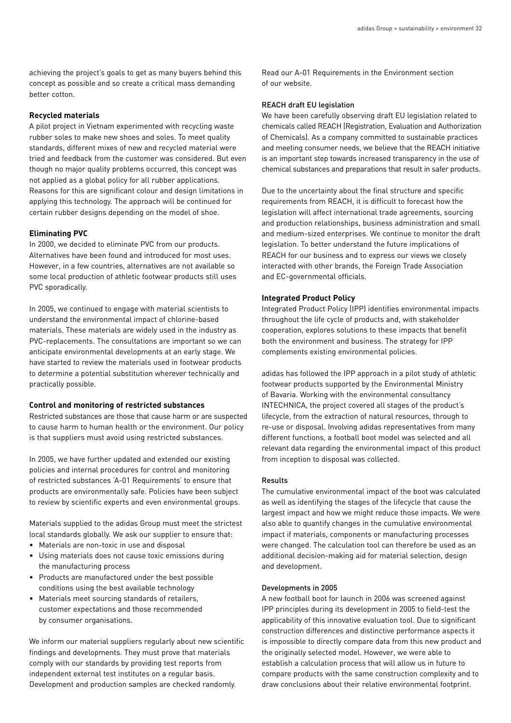achieving the project's goals to get as many buyers behind this concept as possible and so create a critical mass demanding better cotton.

#### **Recycled materials**

A pilot project in Vietnam experimented with recycling waste rubber soles to make new shoes and soles. To meet quality standards, different mixes of new and recycled material were tried and feedback from the customer was considered. But even though no major quality problems occurred, this concept was not applied as a global policy for all rubber applications. Reasons for this are significant colour and design limitations in applying this technology. The approach will be continued for certain rubber designs depending on the model of shoe.

#### **Eliminating PVC**

In 2000, we decided to eliminate PVC from our products. Alternatives have been found and introduced for most uses. However, in a few countries, alternatives are not available so some local production of athletic footwear products still uses PVC sporadically.

In 2005, we continued to engage with material scientists to understand the environmental impact of chlorine-based materials. These materials are widely used in the industry as PVC-replacements. The consultations are important so we can anticipate environmental developments at an early stage. We have started to review the materials used in footwear products to determine a potential substitution wherever technically and practically possible.

#### **Control and monitoring of restricted substances**

Restricted substances are those that cause harm or are suspected to cause harm to human health or the environment. Our policy is that suppliers must avoid using restricted substances.

In 2005, we have further updated and extended our existing policies and internal procedures for control and monitoring of restricted substances 'A-01 Requirements' to ensure that products are environmentally safe. Policies have been subject to review by scientific experts and even environmental groups.

Materials supplied to the adidas Group must meet the strictest local standards globally. We ask our supplier to ensure that:

- Materials are non-toxic in use and disposal
- Using materials does not cause toxic emissions during the manufacturing process
- Products are manufactured under the best possible conditions using the best available technology
- Materials meet sourcing standards of retailers, customer expectations and those recommended by consumer organisations.

We inform our material suppliers regularly about new scientific findings and developments. They must prove that materials comply with our standards by providing test reports from independent external test institutes on a regular basis. Development and production samples are checked randomly.

Read our A-01 Requirements in the Environment section of our website.

#### REACH draft EU legislation

We have been carefully observing draft EU legislation related to chemicals called REACH (Registration, Evaluation and Authorization of Chemicals). As a company committed to sustainable practices and meeting consumer needs, we believe that the REACH initiative is an important step towards increased transparency in the use of chemical substances and preparations that result in safer products.

Due to the uncertainty about the final structure and specific requirements from REACH, it is difficult to forecast how the legislation will affect international trade agreements, sourcing and production relationships, business administration and small and medium-sized enterprises. We continue to monitor the draft legislation. To better understand the future implications of REACH for our business and to express our views we closely interacted with other brands, the Foreign Trade Association and EC-governmental officials.

#### **Integrated Product Policy**

Integrated Product Policy (IPP) identifies environmental impacts throughout the life cycle of products and, with stakeholder cooperation, explores solutions to these impacts that benefit both the environment and business. The strategy for IPP complements existing environmental policies.

adidas has followed the IPP approach in a pilot study of athletic footwear products supported by the Environmental Ministry of Bavaria. Working with the environmental consultancy INTECHNICA, the project covered all stages of the product's lifecycle, from the extraction of natural resources, through to re-use or disposal. Involving adidas representatives from many different functions, a football boot model was selected and all relevant data regarding the environmental impact of this product from inception to disposal was collected.

#### Results

The cumulative environmental impact of the boot was calculated as well as identifying the stages of the lifecycle that cause the largest impact and how we might reduce those impacts. We were also able to quantify changes in the cumulative environmental impact if materials, components or manufacturing processes were changed. The calculation tool can therefore be used as an additional decision-making aid for material selection, design and development.

#### Developments in 2005

A new football boot for launch in 2006 was screened against IPP principles during its development in 2005 to field-test the applicability of this innovative evaluation tool. Due to significant construction differences and distinctive performance aspects it is impossible to directly compare data from this new product and the originally selected model. However, we were able to establish a calculation process that will allow us in future to compare products with the same construction complexity and to draw conclusions about their relative environmental footprint.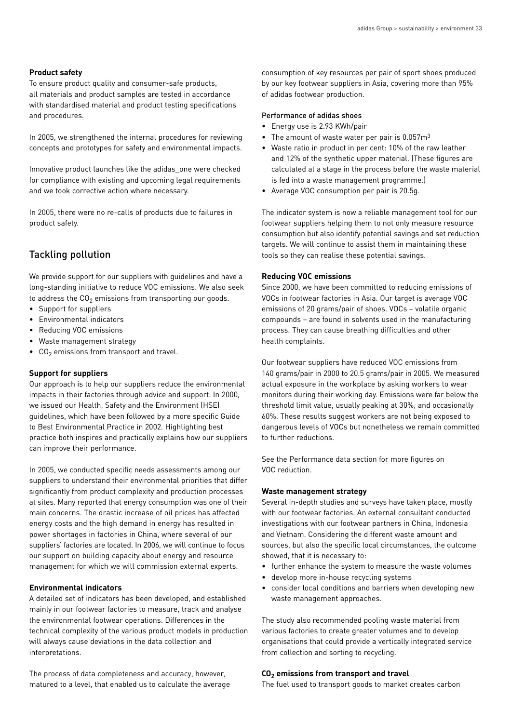#### **Product safety**

To ensure product quality and consumer-safe products, all materials and product samples are tested in accordance with standardised material and product testing specifications and procedures.

In 2005, we strengthened the internal procedures for reviewing concepts and prototypes for safety and environmental impacts.

Innovative product launches like the adidas\_one were checked for compliance with existing and upcoming legal requirements and we took corrective action where necessary.

In 2005, there were no re-calls of products due to failures in product safety.

# Tackling pollution

We provide support for our suppliers with guidelines and have a long-standing initiative to reduce VOC emissions. We also seek to address the  $CO<sub>2</sub>$  emissions from transporting our goods.

- Support for suppliers
- Environmental indicators
- Reducing VOC emissions
- Waste management strategy
- $\bullet$  CO<sub>2</sub> emissions from transport and travel.

#### **Support for suppliers**

Our approach is to help our suppliers reduce the environmental impacts in their factories through advice and support. In 2000, we issued our Health, Safety and the Environment (HSE) guidelines, which have been followed by a more specific Guide to Best Environmental Practice in 2002. Highlighting best practice both inspires and practically explains how our suppliers can improve their performance.

In 2005, we conducted specific needs assessments among our suppliers to understand their environmental priorities that differ significantly from product complexity and production processes at sites. Many reported that energy consumption was one of their main concerns. The drastic increase of oil prices has affected energy costs and the high demand in energy has resulted in power shortages in factories in China, where several of our suppliers' factories are located. In 2006, we will continue to focus our support on building capacity about energy and resource management for which we will commission external experts.

#### **Environmental indicators**

A detailed set of indicators has been developed, and established mainly in our footwear factories to measure, track and analyse the environmental footwear operations. Differences in the technical complexity of the various product models in production will always cause deviations in the data collection and interpretations.

The process of data completeness and accuracy, however, matured to a level, that enabled us to calculate the average consumption of key resources per pair of sport shoes produced by our key footwear suppliers in Asia, covering more than 95% of adidas footwear production.

#### Performance of adidas shoes

- Energy use is 2.93 KWh/pair
- The amount of waste water per pair is  $0.057m<sup>3</sup>$
- Waste ratio in product in per cent: 10% of the raw leather and 12% of the synthetic upper material. (These figures are calculated at a stage in the process before the waste material is fed into a waste management programme.)
- Average VOC consumption per pair is 20.5g.

The indicator system is now a reliable management tool for our footwear suppliers helping them to not only measure resource consumption but also identify potential savings and set reduction targets. We will continue to assist them in maintaining these tools so they can realise these potential savings.

#### **Reducing VOC emissions**

Since 2000, we have been committed to reducing emissions of VOCs in footwear factories in Asia. Our target is average VOC emissions of 20 grams/pair of shoes. VOCs – volatile organic compounds – are found in solvents used in the manufacturing process. They can cause breathing difficulties and other health complaints.

Our footwear suppliers have reduced VOC emissions from 140 grams/pair in 2000 to 20.5 grams/pair in 2005. We measured actual exposure in the workplace by asking workers to wear monitors during their working day. Emissions were far below the threshold limit value, usually peaking at 30%, and occasionally 60%. These results suggest workers are not being exposed to dangerous levels of VOCs but nonetheless we remain committed to further reductions.

See the Performance data section for more figures on VOC reduction.

#### **Waste management strategy**

Several in-depth studies and surveys have taken place, mostly with our footwear factories. An external consultant conducted investigations with our footwear partners in China, Indonesia and Vietnam. Considering the different waste amount and sources, but also the specific local circumstances, the outcome showed, that it is necessary to:

- further enhance the system to measure the waste volumes
- develop more in-house recycling systems
- consider local conditions and barriers when developing new waste management approaches.

The study also recommended pooling waste material from various factories to create greater volumes and to develop organisations that could provide a vertically integrated service from collection and sorting to recycling.

#### **CO2 emissions from transport and travel**

The fuel used to transport goods to market creates carbon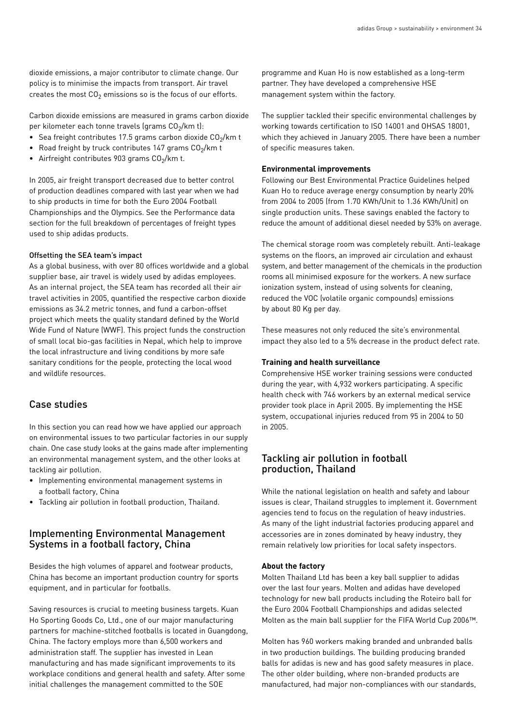dioxide emissions, a major contributor to climate change. Our policy is to minimise the impacts from transport. Air travel creates the most  $CO<sub>2</sub>$  emissions so is the focus of our efforts.

Carbon dioxide emissions are measured in grams carbon dioxide per kilometer each tonne travels (grams  $CO<sub>2</sub>/km$  t):

- Sea freight contributes 17.5 grams carbon dioxide  $CO<sub>2</sub>/km$  t
- Road freight by truck contributes 147 grams  $CO<sub>2</sub>/km$  t
- Airfreight contributes 903 grams  $CO<sub>2</sub>/km$  t.

In 2005, air freight transport decreased due to better control of production deadlines compared with last year when we had to ship products in time for both the Euro 2004 Football Championships and the Olympics. See the Performance data section for the full breakdown of percentages of freight types used to ship adidas products.

#### Offsetting the SEA team's impact

As a global business, with over 80 offices worldwide and a global supplier base, air travel is widely used by adidas employees. As an internal project, the SEA team has recorded all their air travel activities in 2005, quantified the respective carbon dioxide emissions as 34.2 metric tonnes, and fund a carbon-offset project which meets the quality standard defined by the World Wide Fund of Nature (WWF). This project funds the construction of small local bio-gas facilities in Nepal, which help to improve the local infrastructure and living conditions by more safe sanitary conditions for the people, protecting the local wood and wildlife resources.

## Case studies

In this section you can read how we have applied our approach on environmental issues to two particular factories in our supply chain. One case study looks at the gains made after implementing an environmental management system, and the other looks at tackling air pollution.

- Implementing environmental management systems in a football factory, China
- Tackling air pollution in football production, Thailand.

## Implementing Environmental Management Systems in a football factory, China

Besides the high volumes of apparel and footwear products, China has become an important production country for sports equipment, and in particular for footballs.

Saving resources is crucial to meeting business targets. Kuan Ho Sporting Goods Co, Ltd., one of our major manufacturing partners for machine-stitched footballs is located in Guangdong, China. The factory employs more than 6,500 workers and administration staff. The supplier has invested in Lean manufacturing and has made significant improvements to its workplace conditions and general health and safety. After some initial challenges the management committed to the SOE

programme and Kuan Ho is now established as a long-term partner. They have developed a comprehensive HSE management system within the factory.

The supplier tackled their specific environmental challenges by working towards certification to ISO 14001 and OHSAS 18001, which they achieved in January 2005. There have been a number of specific measures taken.

#### **Environmental improvements**

Following our Best Environmental Practice Guidelines helped Kuan Ho to reduce average energy consumption by nearly 20% from 2004 to 2005 (from 1.70 KWh/Unit to 1.36 KWh/Unit) on single production units. These savings enabled the factory to reduce the amount of additional diesel needed by 53% on average.

The chemical storage room was completely rebuilt. Anti-leakage systems on the floors, an improved air circulation and exhaust system, and better management of the chemicals in the production rooms all minimised exposure for the workers. A new surface ionization system, instead of using solvents for cleaning, reduced the VOC (volatile organic compounds) emissions by about 80 Kg per day.

These measures not only reduced the site's environmental impact they also led to a 5% decrease in the product defect rate.

#### **Training and health surveillance**

Comprehensive HSE worker training sessions were conducted during the year, with 4,932 workers participating. A specific health check with 746 workers by an external medical service provider took place in April 2005. By implementing the HSE system, occupational injuries reduced from 95 in 2004 to 50 in 2005.

## Tackling air pollution in football production, Thailand

While the national legislation on health and safety and labour issues is clear, Thailand struggles to implement it. Government agencies tend to focus on the regulation of heavy industries. As many of the light industrial factories producing apparel and accessories are in zones dominated by heavy industry, they remain relatively low priorities for local safety inspectors.

#### **About the factory**

Molten Thailand Ltd has been a key ball supplier to adidas over the last four years. Molten and adidas have developed technology for new ball products including the Roteiro ball for the Euro 2004 Football Championships and adidas selected Molten as the main ball supplier for the FIFA World Cup 2006™.

Molten has 960 workers making branded and unbranded balls in two production buildings. The building producing branded balls for adidas is new and has good safety measures in place. The other older building, where non-branded products are manufactured, had major non-compliances with our standards,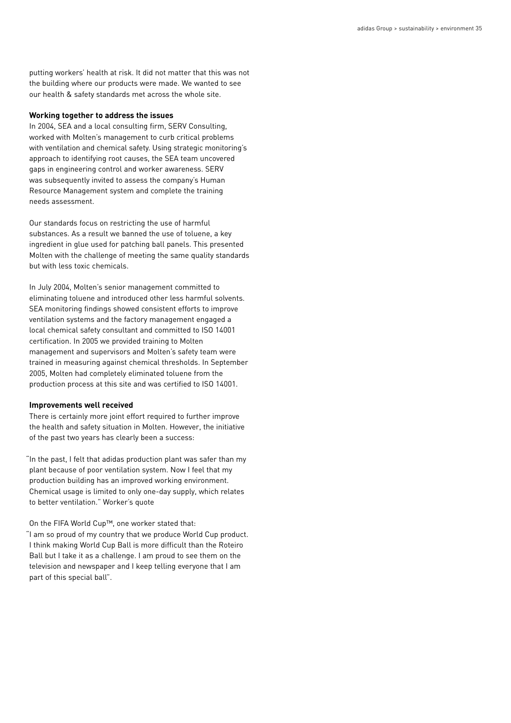putting workers' health at risk. It did not matter that this was not the building where our products were made. We wanted to see our health & safety standards met across the whole site.

#### **Working together to address the issues**

In 2004, SEA and a local consulting firm, SERV Consulting, worked with Molten's management to curb critical problems with ventilation and chemical safety. Using strategic monitoring's approach to identifying root causes, the SEA team uncovered gaps in engineering control and worker awareness. SERV was subsequently invited to assess the company's Human Resource Management system and complete the training needs assessment.

Our standards focus on restricting the use of harmful substances. As a result we banned the use of toluene, a key ingredient in glue used for patching ball panels. This presented Molten with the challenge of meeting the same quality standards but with less toxic chemicals.

In July 2004, Molten's senior management committed to eliminating toluene and introduced other less harmful solvents. SEA monitoring findings showed consistent efforts to improve ventilation systems and the factory management engaged a local chemical safety consultant and committed to ISO 14001 certification. In 2005 we provided training to Molten management and supervisors and Molten's safety team were trained in measuring against chemical thresholds. In September 2005, Molten had completely eliminated toluene from the production process at this site and was certified to ISO 14001.

#### **Improvements well received**

There is certainly more joint effort required to further improve the health and safety situation in Molten. However, the initiative of the past two years has clearly been a success:

"In the past, I felt that adidas production plant was safer than my plant because of poor ventilation system. Now I feel that my production building has an improved working environment. Chemical usage is limited to only one-day supply, which relates to better ventilation." Worker's quote

#### On the FIFA World Cup™, one worker stated that:

"I am so proud of my country that we produce World Cup product. I think making World Cup Ball is more difficult than the Roteiro Ball but I take it as a challenge. I am proud to see them on the television and newspaper and I keep telling everyone that I am part of this special ball".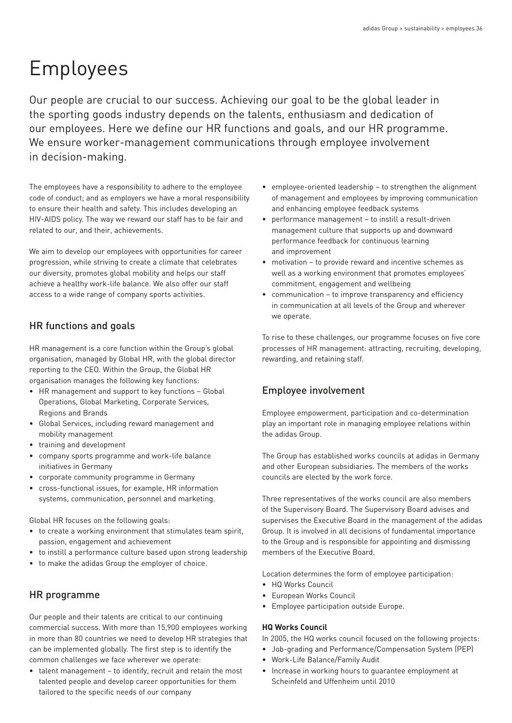# Employees

Our people are crucial to our success. Achieving our goal to be the global leader in the sporting goods industry depends on the talents, enthusiasm and dedication of our employees. Here we define our HR functions and goals, and our HR programme. We ensure worker-management communications through employee involvement in decision-making.

The employees have a responsibility to adhere to the employee code of conduct; and as employers we have a moral responsibility to ensure their health and safety. This includes developing an HIV-AIDS policy. The way we reward our staff has to be fair and related to our, and their, achievements.

We aim to develop our employees with opportunities for career progression, while striving to create a climate that celebrates our diversity, promotes global mobility and helps our staff achieve a healthy work-life balance. We also offer our staff access to a wide range of company sports activities.

# HR functions and goals

HR management is a core function within the Group's global organisation, managed by Global HR, with the global director reporting to the CEO. Within the Group, the Global HR organisation manages the following key functions:

- HR management and support to key functions Global Operations, Global Marketing, Corporate Services, Regions and Brands
- Global Services, including reward management and mobility management
- training and development
- company sports programme and work-life balance initiatives in Germany
- corporate community programme in Germany
- cross-functional issues, for example, HR information systems, communication, personnel and marketing.

Global HR focuses on the following goals:

- to create a working environment that stimulates team spirit, passion, engagement and achievement
- to instill a performance culture based upon strong leadership
- to make the adidas Group the employer of choice.

# HR programme

Our people and their talents are critical to our continuing commercial success. With more than 15,900 employees working in more than 80 countries we need to develop HR strategies that can be implemented globally. The first step is to identify the common challenges we face wherever we operate:

• talent management – to identify, recruit and retain the most talented people and develop career opportunities for them tailored to the specific needs of our company

- employee-oriented leadership to strengthen the alignment of management and employees by improving communication and enhancing employee feedback systems
- performance management to instill a result-driven management culture that supports up and downward performance feedback for continuous learning and improvement
- motivation to provide reward and incentive schemes as well as a working environment that promotes employees' commitment, engagement and wellbeing
- communication to improve transparency and efficiency in communication at all levels of the Group and wherever we operate.

To rise to these challenges, our programme focuses on five core processes of HR management: attracting, recruiting, developing, rewarding, and retaining staff.

# Employee involvement

Employee empowerment, participation and co-determination play an important role in managing employee relations within the adidas Group.

The Group has established works councils at adidas in Germany and other European subsidiaries. The members of the works councils are elected by the work force.

Three representatives of the works council are also members of the Supervisory Board. The Supervisory Board advises and supervises the Executive Board in the management of the adidas Group. It is involved in all decisions of fundamental importance to the Group and is responsible for appointing and dismissing members of the Executive Board.

Location determines the form of employee participation:

- HQ Works Council
- European Works Council
- Employee participation outside Europe.

# **HQ Works Council**

In 2005, the HQ works council focused on the following projects:

- Job-grading and Performance/Compensation System (PEP)
- Work-Life Balance/Family Audit
- Increase in working hours to guarantee employment at Scheinfeld and Uffenheim until 2010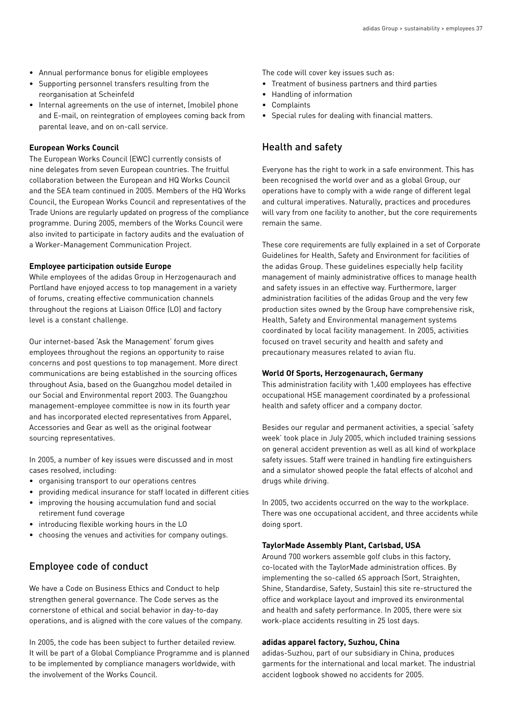- Annual performance bonus for eligible employees
- Supporting personnel transfers resulting from the reorganisation at Scheinfeld
- Internal agreements on the use of internet, (mobile) phone and E-mail, on reintegration of employees coming back from parental leave, and on on-call service.

#### **European Works Council**

The European Works Council (EWC) currently consists of nine delegates from seven European countries. The fruitful collaboration between the European and HQ Works Council and the SEA team continued in 2005. Members of the HQ Works Council, the European Works Council and representatives of the Trade Unions are regularly updated on progress of the compliance programme. During 2005, members of the Works Council were also invited to participate in factory audits and the evaluation of a Worker-Management Communication Project.

#### **Employee participation outside Europe**

While employees of the adidas Group in Herzogenaurach and Portland have enjoyed access to top management in a variety of forums, creating effective communication channels throughout the regions at Liaison Office (LO) and factory level is a constant challenge.

Our internet-based 'Ask the Management' forum gives employees throughout the regions an opportunity to raise concerns and post questions to top management. More direct communications are being established in the sourcing offices throughout Asia, based on the Guangzhou model detailed in our Social and Environmental report 2003. The Guangzhou management-employee committee is now in its fourth year and has incorporated elected representatives from Apparel, Accessories and Gear as well as the original footwear sourcing representatives.

In 2005, a number of key issues were discussed and in most cases resolved, including:

- organising transport to our operations centres
- providing medical insurance for staff located in different cities
- improving the housing accumulation fund and social retirement fund coverage
- introducing flexible working hours in the LO
- choosing the venues and activities for company outings.

# Employee code of conduct

We have a Code on Business Ethics and Conduct to help strengthen general governance. The Code serves as the cornerstone of ethical and social behavior in day-to-day operations, and is aligned with the core values of the company.

In 2005, the code has been subject to further detailed review. It will be part of a Global Compliance Programme and is planned to be implemented by compliance managers worldwide, with the involvement of the Works Council.

The code will cover key issues such as:

- Treatment of business partners and third parties
- Handling of information
- Complaints
- Special rules for dealing with financial matters.

# Health and safety

Everyone has the right to work in a safe environment. This has been recognised the world over and as a global Group, our operations have to comply with a wide range of different legal and cultural imperatives. Naturally, practices and procedures will vary from one facility to another, but the core requirements remain the same.

These core requirements are fully explained in a set of Corporate Guidelines for Health, Safety and Environment for facilities of the adidas Group. These guidelines especially help facility management of mainly administrative offices to manage health and safety issues in an effective way. Furthermore, larger administration facilities of the adidas Group and the very few production sites owned by the Group have comprehensive risk, Health, Safety and Environmental management systems coordinated by local facility management. In 2005, activities focused on travel security and health and safety and precautionary measures related to avian flu.

#### **World Of Sports, Herzogenaurach, Germany**

This administration facility with 1,400 employees has effective occupational HSE management coordinated by a professional health and safety officer and a company doctor.

Besides our regular and permanent activities, a special 'safety week' took place in July 2005, which included training sessions on general accident prevention as well as all kind of workplace safety issues. Staff were trained in handling fire extinguishers and a simulator showed people the fatal effects of alcohol and drugs while driving.

In 2005, two accidents occurred on the way to the workplace. There was one occupational accident, and three accidents while doing sport.

#### **TaylorMade Assembly Plant, Carlsbad, USA**

Around 700 workers assemble golf clubs in this factory, co-located with the TaylorMade administration offices. By implementing the so-called 6S approach (Sort, Straighten, Shine, Standardise, Safety, Sustain) this site re-structured the office and workplace layout and improved its environmental and health and safety performance. In 2005, there were six work-place accidents resulting in 25 lost days.

#### **adidas apparel factory, Suzhou, China**

adidas-Suzhou, part of our subsidiary in China, produces garments for the international and local market. The industrial accident logbook showed no accidents for 2005.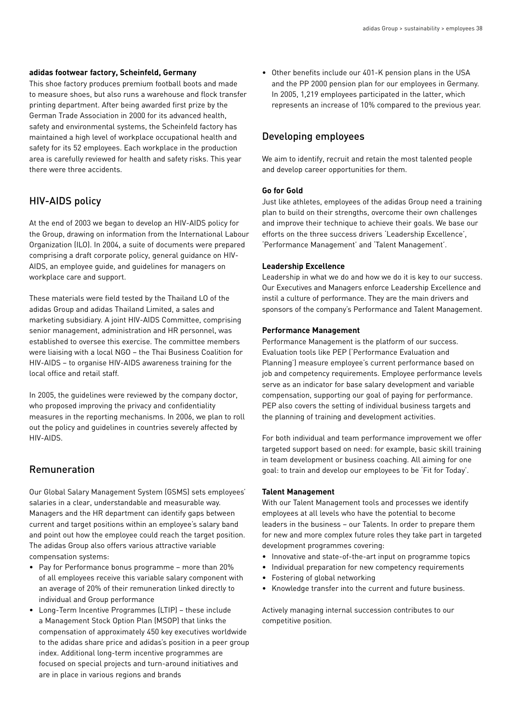#### **adidas footwear factory, Scheinfeld, Germany**

This shoe factory produces premium football boots and made to measure shoes, but also runs a warehouse and flock transfer printing department. After being awarded first prize by the German Trade Association in 2000 for its advanced health, safety and environmental systems, the Scheinfeld factory has maintained a high level of workplace occupational health and safety for its 52 employees. Each workplace in the production area is carefully reviewed for health and safety risks. This year there were three accidents.

# HIV-AIDS policy

At the end of 2003 we began to develop an HIV-AIDS policy for the Group, drawing on information from the International Labour Organization (ILO). In 2004, a suite of documents were prepared comprising a draft corporate policy, general guidance on HIV-AIDS, an employee guide, and guidelines for managers on workplace care and support.

These materials were field tested by the Thailand LO of the adidas Group and adidas Thailand Limited, a sales and marketing subsidiary. A joint HIV-AIDS Committee, comprising senior management, administration and HR personnel, was established to oversee this exercise. The committee members were liaising with a local NGO – the Thai Business Coalition for HIV-AIDS – to organise HIV-AIDS awareness training for the local office and retail staff.

In 2005, the guidelines were reviewed by the company doctor, who proposed improving the privacy and confidentiality measures in the reporting mechanisms. In 2006, we plan to roll out the policy and guidelines in countries severely affected by HIV-AIDS.

# Remuneration

Our Global Salary Management System (GSMS) sets employees' salaries in a clear, understandable and measurable way. Managers and the HR department can identify gaps between current and target positions within an employee's salary band and point out how the employee could reach the target position. The adidas Group also offers various attractive variable compensation systems:

- Pay for Performance bonus programme more than 20% of all employees receive this variable salary component with an average of 20% of their remuneration linked directly to individual and Group performance
- Long-Term Incentive Programmes (LTIP) these include a Management Stock Option Plan (MSOP) that links the compensation of approximately 450 key executives worldwide to the adidas share price and adidas's position in a peer group index. Additional long-term incentive programmes are focused on special projects and turn-around initiatives and are in place in various regions and brands

• Other benefits include our 401-K pension plans in the USA and the PP 2000 pension plan for our employees in Germany. In 2005, 1,219 employees participated in the latter, which represents an increase of 10% compared to the previous year.

# Developing employees

We aim to identify, recruit and retain the most talented people and develop career opportunities for them.

#### **Go for Gold**

Just like athletes, employees of the adidas Group need a training plan to build on their strengths, overcome their own challenges and improve their technique to achieve their goals. We base our efforts on the three success drivers 'Leadership Excellence', 'Performance Management' and 'Talent Management'.

#### **Leadership Excellence**

Leadership in what we do and how we do it is key to our success. Our Executives and Managers enforce Leadership Excellence and instil a culture of performance. They are the main drivers and sponsors of the company's Performance and Talent Management.

#### **Performance Management**

Performance Management is the platform of our success. Evaluation tools like PEP ('Performance Evaluation and Planning') measure employee's current performance based on job and competency requirements. Employee performance levels serve as an indicator for base salary development and variable compensation, supporting our goal of paying for performance. PEP also covers the setting of individual business targets and the planning of training and development activities.

For both individual and team performance improvement we offer targeted support based on need: for example, basic skill training in team development or business coaching. All aiming for one goal: to train and develop our employees to be 'Fit for Today'.

#### **Talent Management**

With our Talent Management tools and processes we identify employees at all levels who have the potential to become leaders in the business – our Talents. In order to prepare them for new and more complex future roles they take part in targeted development programmes covering:

- Innovative and state-of-the-art input on programme topics
- Individual preparation for new competency requirements
- Fostering of global networking
- Knowledge transfer into the current and future business.

Actively managing internal succession contributes to our competitive position.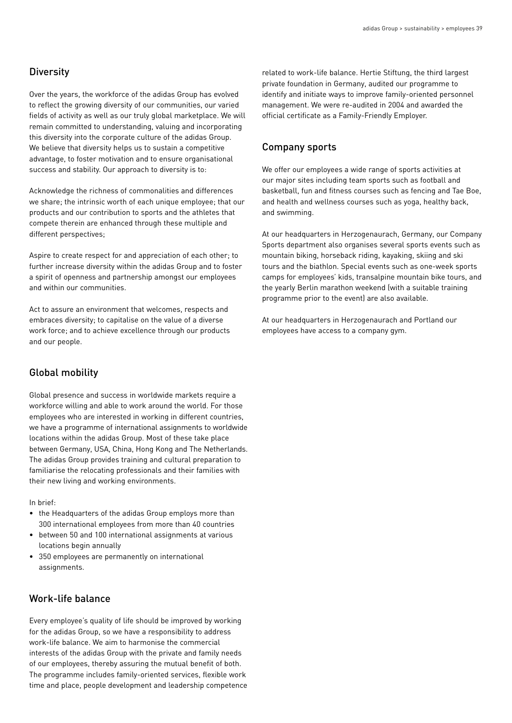# **Diversity**

Over the years, the workforce of the adidas Group has evolved to reflect the growing diversity of our communities, our varied fields of activity as well as our truly global marketplace. We will remain committed to understanding, valuing and incorporating this diversity into the corporate culture of the adidas Group. We believe that diversity helps us to sustain a competitive advantage, to foster motivation and to ensure organisational success and stability. Our approach to diversity is to:

Acknowledge the richness of commonalities and differences we share; the intrinsic worth of each unique employee; that our products and our contribution to sports and the athletes that compete therein are enhanced through these multiple and different perspectives;

Aspire to create respect for and appreciation of each other; to further increase diversity within the adidas Group and to foster a spirit of openness and partnership amongst our employees and within our communities.

Act to assure an environment that welcomes, respects and embraces diversity; to capitalise on the value of a diverse work force; and to achieve excellence through our products and our people.

# Global mobility

Global presence and success in worldwide markets require a workforce willing and able to work around the world. For those employees who are interested in working in different countries, we have a programme of international assignments to worldwide locations within the adidas Group. Most of these take place between Germany, USA, China, Hong Kong and The Netherlands. The adidas Group provides training and cultural preparation to familiarise the relocating professionals and their families with their new living and working environments.

In brief:

- the Headquarters of the adidas Group employs more than 300 international employees from more than 40 countries
- between 50 and 100 international assignments at various locations begin annually
- 350 employees are permanently on international assignments.

# Work-life balance

Every employee's quality of life should be improved by working for the adidas Group, so we have a responsibility to address work-life balance. We aim to harmonise the commercial interests of the adidas Group with the private and family needs of our employees, thereby assuring the mutual benefit of both. The programme includes family-oriented services, flexible work time and place, people development and leadership competence related to work-life balance. Hertie Stiftung, the third largest private foundation in Germany, audited our programme to identify and initiate ways to improve family-oriented personnel management. We were re-audited in 2004 and awarded the official certificate as a Family-Friendly Employer.

## Company sports

We offer our employees a wide range of sports activities at our major sites including team sports such as football and basketball, fun and fitness courses such as fencing and Tae Boe, and health and wellness courses such as yoga, healthy back, and swimming.

At our headquarters in Herzogenaurach, Germany, our Company Sports department also organises several sports events such as mountain biking, horseback riding, kayaking, skiing and ski tours and the biathlon. Special events such as one-week sports camps for employees' kids, transalpine mountain bike tours, and the yearly Berlin marathon weekend (with a suitable training programme prior to the event) are also available.

At our headquarters in Herzogenaurach and Portland our employees have access to a company gym.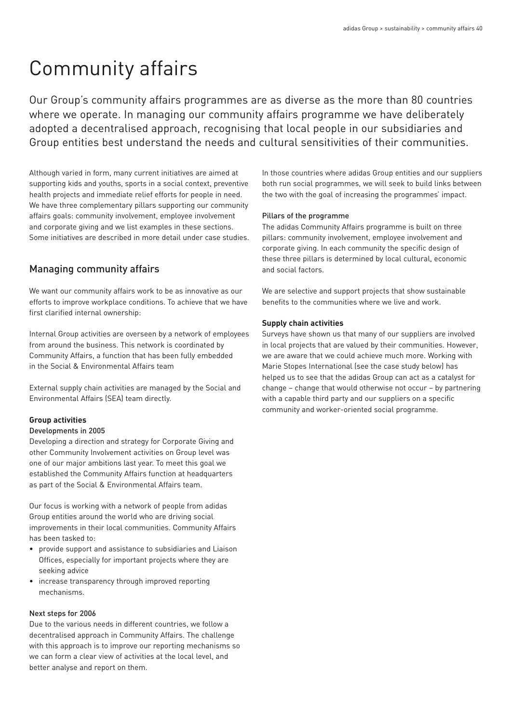# Community affairs

Our Group's community affairs programmes are as diverse as the more than 80 countries where we operate. In managing our community affairs programme we have deliberately adopted a decentralised approach, recognising that local people in our subsidiaries and Group entities best understand the needs and cultural sensitivities of their communities.

Although varied in form, many current initiatives are aimed at supporting kids and youths, sports in a social context, preventive health projects and immediate relief efforts for people in need. We have three complementary pillars supporting our community affairs goals: community involvement, employee involvement and corporate giving and we list examples in these sections. Some initiatives are described in more detail under case studies.

# Managing community affairs

We want our community affairs work to be as innovative as our efforts to improve workplace conditions. To achieve that we have first clarified internal ownership:

Internal Group activities are overseen by a network of employees from around the business. This network is coordinated by Community Affairs, a function that has been fully embedded in the Social & Environmental Affairs team

External supply chain activities are managed by the Social and Environmental Affairs (SEA) team directly.

#### **Group activities**

#### Developments in 2005

Developing a direction and strategy for Corporate Giving and other Community Involvement activities on Group level was one of our major ambitions last year. To meet this goal we established the Community Affairs function at headquarters as part of the Social & Environmental Affairs team.

Our focus is working with a network of people from adidas Group entities around the world who are driving social improvements in their local communities. Community Affairs has been tasked to:

- provide support and assistance to subsidiaries and Liaison Offices, especially for important projects where they are seeking advice
- increase transparency through improved reporting mechanisms.

### Next steps for 2006

Due to the various needs in different countries, we follow a decentralised approach in Community Affairs. The challenge with this approach is to improve our reporting mechanisms so we can form a clear view of activities at the local level, and better analyse and report on them.

In those countries where adidas Group entities and our suppliers both run social programmes, we will seek to build links between the two with the goal of increasing the programmes' impact.

#### Pillars of the programme

The adidas Community Affairs programme is built on three pillars: community involvement, employee involvement and corporate giving. In each community the specific design of these three pillars is determined by local cultural, economic and social factors.

We are selective and support projects that show sustainable benefits to the communities where we live and work.

#### **Supply chain activities**

Surveys have shown us that many of our suppliers are involved in local projects that are valued by their communities. However, we are aware that we could achieve much more. Working with Marie Stopes International (see the case study below) has helped us to see that the adidas Group can act as a catalyst for change – change that would otherwise not occur – by partnering with a capable third party and our suppliers on a specific community and worker-oriented social programme.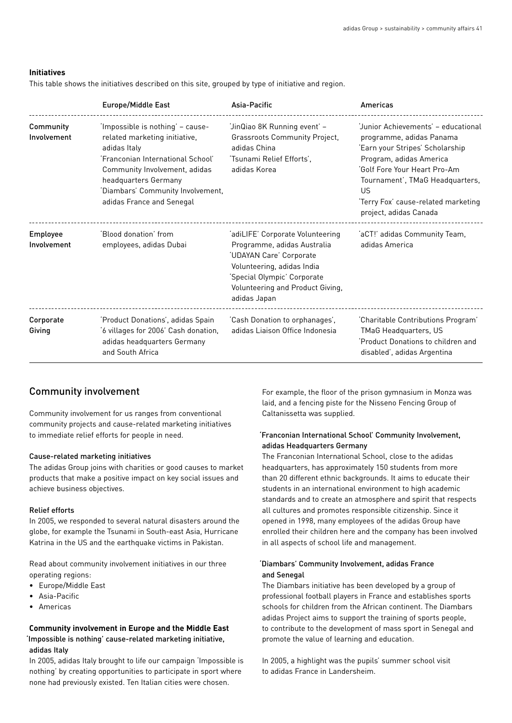#### **Initiatives**

This table shows the initiatives described on this site, grouped by type of initiative and region.

|                          | <b>Europe/Middle East</b>                                                                                                                                                                                                                         | Asia-Pacific                                                                                                                                                                                                | Americas                                                                                                                                                                                                                                                                |
|--------------------------|---------------------------------------------------------------------------------------------------------------------------------------------------------------------------------------------------------------------------------------------------|-------------------------------------------------------------------------------------------------------------------------------------------------------------------------------------------------------------|-------------------------------------------------------------------------------------------------------------------------------------------------------------------------------------------------------------------------------------------------------------------------|
| Community<br>Involvement | 'Impossible is nothing' - cause-<br>related marketing initiative,<br>adidas Italy<br>'Franconian International School'<br>Community Involvement, adidas<br>headquarters Germany<br>'Diambars' Community Involvement,<br>adidas France and Senegal | 'JinQiao 8K Running event' -<br><b>Grassroots Community Project,</b><br>adidas China<br>'Tsunami Relief Efforts',<br>adidas Korea                                                                           | 'Junior Achievements' - educational<br>programme, adidas Panama<br>'Earn your Stripes' Scholarship<br>Program, adidas America<br>'Golf Fore Your Heart Pro-Am<br>Tournament', TMaG Headquarters,<br>US<br>'Terry Fox' cause-related marketing<br>project, adidas Canada |
| Employee<br>Involvement  | 'Blood donation' from<br>employees, adidas Dubai                                                                                                                                                                                                  | 'adiLIFE' Corporate Volunteering<br>Programme, adidas Australia<br>'UDAYAN Care' Corporate<br>Volunteering, adidas India<br>'Special Olympic' Corporate<br>Volunteering and Product Giving,<br>adidas Japan | 'aCT!' adidas Community Team,<br>adidas America                                                                                                                                                                                                                         |
| Corporate<br>Giving      | 'Product Donations', adidas Spain<br>'6 villages for 2006' Cash donation,<br>adidas headquarters Germany<br>and South Africa                                                                                                                      | 'Cash Donation to orphanages',<br>adidas Liaison Office Indonesia                                                                                                                                           | 'Charitable Contributions Program'<br>TMaG Headquarters, US<br>'Product Donations to children and<br>disabled', adidas Argentina                                                                                                                                        |

## Community involvement

Community involvement for us ranges from conventional community projects and cause-related marketing initiatives to immediate relief efforts for people in need.

#### Cause-related marketing initiatives

The adidas Group joins with charities or good causes to market products that make a positive impact on key social issues and achieve business objectives.

#### Relief efforts

In 2005, we responded to several natural disasters around the globe, for example the Tsunami in South-east Asia, Hurricane Katrina in the US and the earthquake victims in Pakistan.

Read about community involvement initiatives in our three operating regions:

- Europe/Middle East
- Asia-Pacific
- Americas

## **Community involvement in Europe and the Middle East** 'Impossible is nothing' cause-related marketing initiative, adidas Italy

In 2005, adidas Italy brought to life our campaign 'Impossible is nothing' by creating opportunities to participate in sport where none had previously existed. Ten Italian cities were chosen.

For example, the floor of the prison gymnasium in Monza was laid, and a fencing piste for the Nisseno Fencing Group of Caltanissetta was supplied.

## 'Franconian International School' Community Involvement, adidas Headquarters Germany

The Franconian International School, close to the adidas headquarters, has approximately 150 students from more than 20 different ethnic backgrounds. It aims to educate their students in an international environment to high academic standards and to create an atmosphere and spirit that respects all cultures and promotes responsible citizenship. Since it opened in 1998, many employees of the adidas Group have enrolled their children here and the company has been involved in all aspects of school life and management.

#### 'Diambars' Community Involvement, adidas France and Senegal

The Diambars initiative has been developed by a group of professional football players in France and establishes sports schools for children from the African continent. The Diambars adidas Project aims to support the training of sports people, to contribute to the development of mass sport in Senegal and promote the value of learning and education.

In 2005, a highlight was the pupils' summer school visit to adidas France in Landersheim.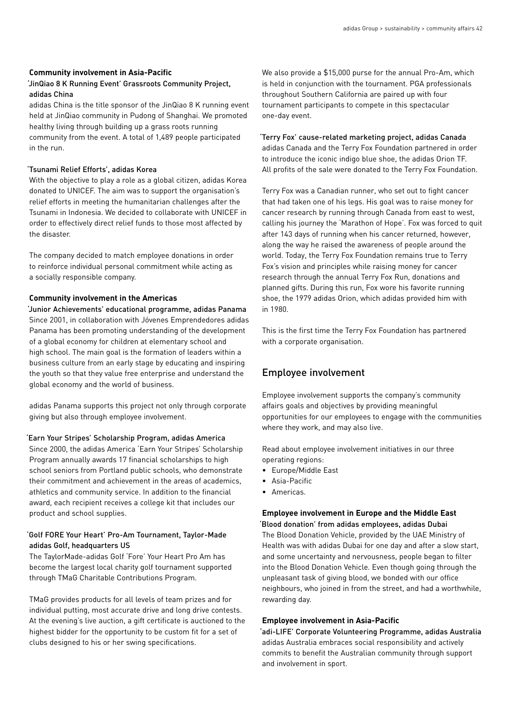#### **Community involvement in Asia-Pacific**

#### 'JinQiao 8 K Running Event' Grassroots Community Project, adidas China

adidas China is the title sponsor of the JinQiao 8 K running event held at JinQiao community in Pudong of Shanghai. We promoted healthy living through building up a grass roots running community from the event. A total of 1,489 people participated in the run.

#### 'Tsunami Relief Efforts', adidas Korea

With the objective to play a role as a global citizen, adidas Korea donated to UNICEF. The aim was to support the organisation's relief efforts in meeting the humanitarian challenges after the Tsunami in Indonesia. We decided to collaborate with UNICEF in order to effectively direct relief funds to those most affected by the disaster.

The company decided to match employee donations in order to reinforce individual personal commitment while acting as a socially responsible company.

#### **Community involvement in the Americas**

'Junior Achievements' educational programme, adidas Panama Since 2001, in collaboration with Jóvenes Emprendedores adidas Panama has been promoting understanding of the development of a global economy for children at elementary school and high school. The main goal is the formation of leaders within a business culture from an early stage by educating and inspiring the youth so that they value free enterprise and understand the global economy and the world of business.

adidas Panama supports this project not only through corporate giving but also through employee involvement.

#### 'Earn Your Stripes' Scholarship Program, adidas America

Since 2000, the adidas America 'Earn Your Stripes' Scholarship Program annually awards 17 financial scholarships to high school seniors from Portland public schools, who demonstrate their commitment and achievement in the areas of academics, athletics and community service. In addition to the financial award, each recipient receives a college kit that includes our product and school supplies.

### 'Golf FORE Your Heart' Pro-Am Tournament, Taylor-Made adidas Golf, headquarters US

The TaylorMade-adidas Golf 'Fore' Your Heart Pro Am has become the largest local charity golf tournament supported through TMaG Charitable Contributions Program.

TMaG provides products for all levels of team prizes and for individual putting, most accurate drive and long drive contests. At the evening's live auction, a gift certificate is auctioned to the highest bidder for the opportunity to be custom fit for a set of clubs designed to his or her swing specifications.

We also provide a \$15,000 purse for the annual Pro-Am, which is held in conjunction with the tournament. PGA professionals throughout Southern California are paired up with four tournament participants to compete in this spectacular one-day event.

### 'Terry Fox' cause-related marketing project, adidas Canada adidas Canada and the Terry Fox Foundation partnered in order to introduce the iconic indigo blue shoe, the adidas Orion TF. All profits of the sale were donated to the Terry Fox Foundation.

Terry Fox was a Canadian runner, who set out to fight cancer that had taken one of his legs. His goal was to raise money for cancer research by running through Canada from east to west, calling his journey the 'Marathon of Hope'. Fox was forced to quit after 143 days of running when his cancer returned, however, along the way he raised the awareness of people around the world. Today, the Terry Fox Foundation remains true to Terry Fox's vision and principles while raising money for cancer research through the annual Terry Fox Run, donations and planned gifts. During this run, Fox wore his favorite running shoe, the 1979 adidas Orion, which adidas provided him with in 1980.

This is the first time the Terry Fox Foundation has partnered with a corporate organisation.

# Employee involvement

Employee involvement supports the company's community affairs goals and objectives by providing meaningful opportunities for our employees to engage with the communities where they work, and may also live.

Read about employee involvement initiatives in our three operating regions:

- Europe/Middle East
- Asia-Pacific
- Americas.

#### **Employee involvement in Europe and the Middle East**  'Blood donation' from adidas employees, adidas Dubai

The Blood Donation Vehicle, provided by the UAE Ministry of Health was with adidas Dubai for one day and after a slow start, and some uncertainty and nervousness, people began to filter into the Blood Donation Vehicle. Even though going through the unpleasant task of giving blood, we bonded with our office neighbours, who joined in from the street, and had a worthwhile, rewarding day.

#### **Employee involvement in Asia-Pacific**

'adi-LIFE' Corporate Volunteering Programme, adidas Australia adidas Australia embraces social responsibility and actively commits to benefit the Australian community through support and involvement in sport.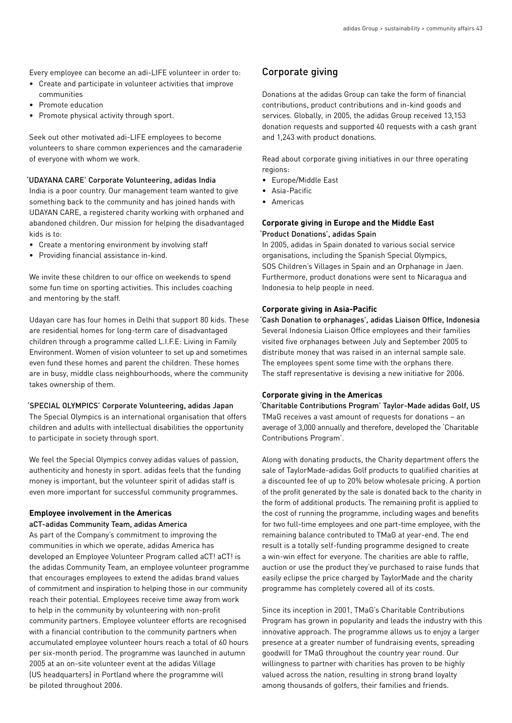Every employee can become an adi-LIFE volunteer in order to:

- Create and participate in volunteer activities that improve communities
- Promote education
- Promote physical activity through sport.

Seek out other motivated adi-LIFE employees to become volunteers to share common experiences and the camaraderie of everyone with whom we work.

#### 'UDAYANA CARE' Corporate Volunteering, adidas India

India is a poor country. Our management team wanted to give something back to the community and has joined hands with UDAYAN CARE, a registered charity working with orphaned and abandoned children. Our mission for helping the disadvantaged kids is to:

- Create a mentoring environment by involving staff
- Providing financial assistance in-kind.

We invite these children to our office on weekends to spend some fun time on sporting activities. This includes coaching and mentoring by the staff.

Udayan care has four homes in Delhi that support 80 kids. These are residential homes for long-term care of disadvantaged children through a programme called L.I.F.E: Living in Family Environment. Women of vision volunteer to set up and sometimes even fund these homes and parent the children. These homes are in busy, middle class neighbourhoods, where the community takes ownership of them.

## 'SPECIAL OLYMPICS' Corporate Volunteering, adidas Japan

The Special Olympics is an international organisation that offers children and adults with intellectual disabilities the opportunity to participate in society through sport.

We feel the Special Olympics convey adidas values of passion, authenticity and honesty in sport. adidas feels that the funding money is important, but the volunteer spirit of adidas staff is even more important for successful community programmes.

# **Employee involvement in the Americas**

aCT-adidas Community Team, adidas America

As part of the Company's commitment to improving the communities in which we operate, adidas America has developed an Employee Volunteer Program called aCT! aCT! is the adidas Community Team, an employee volunteer programme that encourages employees to extend the adidas brand values of commitment and inspiration to helping those in our community reach their potential. Employees receive time away from work to help in the community by volunteering with non-profit community partners. Employee volunteer efforts are recognised with a financial contribution to the community partners when accumulated employee volunteer hours reach a total of 60 hours per six-month period. The programme was launched in autumn 2005 at an on-site volunteer event at the adidas Village (US headquarters) in Portland where the programme will be piloted throughout 2006.

## Corporate giving

Donations at the adidas Group can take the form of financial contributions, product contributions and in-kind goods and services. Globally, in 2005, the adidas Group received 13,153 donation requests and supported 40 requests with a cash grant and 1,243 with product donations.

Read about corporate giving initiatives in our three operating regions:

- Europe/Middle East
- Asia-Pacific
- Americas

#### **Corporate giving in Europe and the Middle East** 'Product Donations', adidas Spain

In 2005, adidas in Spain donated to various social service organisations, including the Spanish Special Olympics, SOS Children's Villages in Spain and an Orphanage in Jaen. Furthermore, product donations were sent to Nicaragua and Indonesia to help people in need.

#### **Corporate giving in Asia-Pacific**

'Cash Donation to orphanages', adidas Liaison Office, Indonesia Several Indonesia Liaison Office employees and their families visited five orphanages between July and September 2005 to distribute money that was raised in an internal sample sale. The employees spent some time with the orphans there. The staff representative is devising a new initiative for 2006.

#### **Corporate giving in the Americas**

'Charitable Contributions Program' Taylor-Made adidas Golf, US TMaG receives a vast amount of requests for donations – an average of 3,000 annually and therefore, developed the 'Charitable Contributions Program'.

Along with donating products, the Charity department offers the sale of TaylorMade-adidas Golf products to qualified charities at a discounted fee of up to 20% below wholesale pricing. A portion of the profit generated by the sale is donated back to the charity in the form of additional products. The remaining profit is applied to the cost of running the programme, including wages and benefits for two full-time employees and one part-time employee, with the remaining balance contributed to TMaG at year-end. The end result is a totally self-funding programme designed to create a win-win effect for everyone. The charities are able to raffle, auction or use the product they've purchased to raise funds that easily eclipse the price charged by TaylorMade and the charity programme has completely covered all of its costs.

Since its inception in 2001, TMaG's Charitable Contributions Program has grown in popularity and leads the industry with this innovative approach. The programme allows us to enjoy a larger presence at a greater number of fundraising events, spreading goodwill for TMaG throughout the country year round. Our willingness to partner with charities has proven to be highly valued across the nation, resulting in strong brand loyalty among thousands of golfers, their families and friends.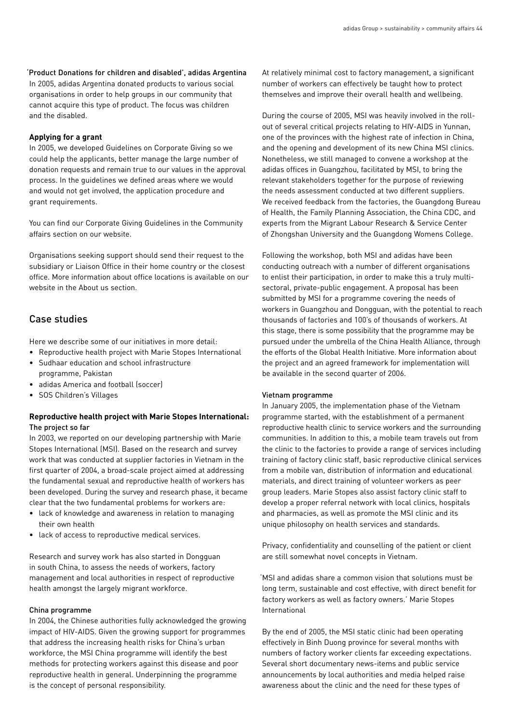#### 'Product Donations for children and disabled', adidas Argentina

In 2005, adidas Argentina donated products to various social organisations in order to help groups in our community that cannot acquire this type of product. The focus was children and the disabled.

#### **Applying for a grant**

In 2005, we developed Guidelines on Corporate Giving so we could help the applicants, better manage the large number of donation requests and remain true to our values in the approval process. In the guidelines we defined areas where we would and would not get involved, the application procedure and grant requirements.

You can find our Corporate Giving Guidelines in the Community affairs section on our website.

Organisations seeking support should send their request to the subsidiary or Liaison Office in their home country or the closest office. More information about office locations is available on our website in the About us section.

# Case studies

Here we describe some of our initiatives in more detail:

- Reproductive health project with Marie Stopes International
- Sudhaar education and school infrastructure programme, Pakistan
- adidas America and football (soccer)
- SOS Children's Villages

## **Reproductive health project with Marie Stopes International:**  The project so far

In 2003, we reported on our developing partnership with Marie Stopes International (MSI). Based on the research and survey work that was conducted at supplier factories in Vietnam in the first quarter of 2004, a broad-scale project aimed at addressing the fundamental sexual and reproductive health of workers has been developed. During the survey and research phase, it became clear that the two fundamental problems for workers are:

- lack of knowledge and awareness in relation to managing their own health
- lack of access to reproductive medical services.

Research and survey work has also started in Dongguan in south China, to assess the needs of workers, factory management and local authorities in respect of reproductive health amongst the largely migrant workforce.

#### China programme

In 2004, the Chinese authorities fully acknowledged the growing impact of HIV-AIDS. Given the growing support for programmes that address the increasing health risks for China's urban workforce, the MSI China programme will identify the best methods for protecting workers against this disease and poor reproductive health in general. Underpinning the programme is the concept of personal responsibility.

At relatively minimal cost to factory management, a significant number of workers can effectively be taught how to protect themselves and improve their overall health and wellbeing.

During the course of 2005, MSI was heavily involved in the rollout of several critical projects relating to HIV-AIDS in Yunnan, one of the provinces with the highest rate of infection in China, and the opening and development of its new China MSI clinics. Nonetheless, we still managed to convene a workshop at the adidas offices in Guangzhou, facilitated by MSI, to bring the relevant stakeholders together for the purpose of reviewing the needs assessment conducted at two different suppliers. We received feedback from the factories, the Guangdong Bureau of Health, the Family Planning Association, the China CDC, and experts from the Migrant Labour Research & Service Center of Zhongshan University and the Guangdong Womens College.

Following the workshop, both MSI and adidas have been conducting outreach with a number of different organisations to enlist their participation, in order to make this a truly multisectoral, private-public engagement. A proposal has been submitted by MSI for a programme covering the needs of workers in Guangzhou and Dongguan, with the potential to reach thousands of factories and 100's of thousands of workers. At this stage, there is some possibility that the programme may be pursued under the umbrella of the China Health Alliance, through the efforts of the Global Health Initiative. More information about the project and an agreed framework for implementation will be available in the second quarter of 2006.

#### Vietnam programme

In January 2005, the implementation phase of the Vietnam programme started, with the establishment of a permanent reproductive health clinic to service workers and the surrounding communities. In addition to this, a mobile team travels out from the clinic to the factories to provide a range of services including training of factory clinic staff, basic reproductive clinical services from a mobile van, distribution of information and educational materials, and direct training of volunteer workers as peer group leaders. Marie Stopes also assist factory clinic staff to develop a proper referral network with local clinics, hospitals and pharmacies, as well as promote the MSI clinic and its unique philosophy on health services and standards.

Privacy, confidentiality and counselling of the patient or client are still somewhat novel concepts in Vietnam.

'MSI and adidas share a common vision that solutions must be long term, sustainable and cost effective, with direct benefit for factory workers as well as factory owners.' Marie Stopes International

By the end of 2005, the MSI static clinic had been operating effectively in Binh Duong province for several months with numbers of factory worker clients far exceeding expectations. Several short documentary news-items and public service announcements by local authorities and media helped raise awareness about the clinic and the need for these types of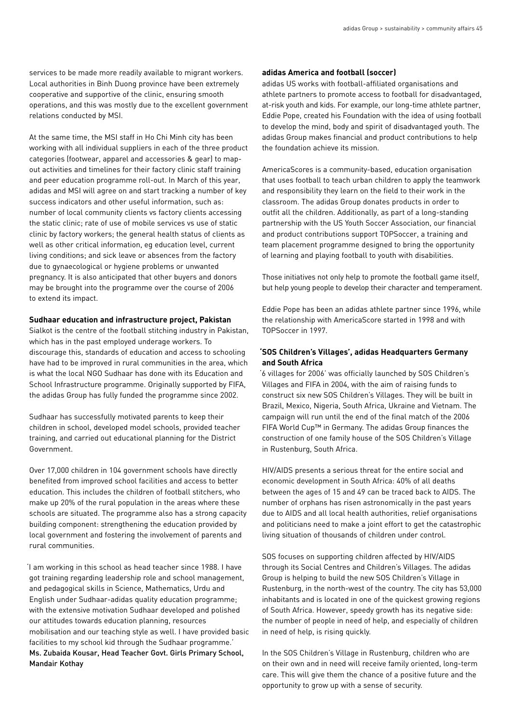services to be made more readily available to migrant workers. Local authorities in Binh Duong province have been extremely cooperative and supportive of the clinic, ensuring smooth operations, and this was mostly due to the excellent government relations conducted by MSI.

At the same time, the MSI staff in Ho Chi Minh city has been working with all individual suppliers in each of the three product categories (footwear, apparel and accessories & gear) to mapout activities and timelines for their factory clinic staff training and peer education programme roll-out. In March of this year, adidas and MSI will agree on and start tracking a number of key success indicators and other useful information, such as: number of local community clients vs factory clients accessing the static clinic; rate of use of mobile services vs use of static clinic by factory workers; the general health status of clients as well as other critical information, eg education level, current living conditions; and sick leave or absences from the factory due to gynaecological or hygiene problems or unwanted pregnancy. It is also anticipated that other buyers and donors may be brought into the programme over the course of 2006 to extend its impact.

#### **Sudhaar education and infrastructure project, Pakistan**

Sialkot is the centre of the football stitching industry in Pakistan, which has in the past employed underage workers. To discourage this, standards of education and access to schooling have had to be improved in rural communities in the area, which is what the local NGO Sudhaar has done with its Education and School Infrastructure programme. Originally supported by FIFA, the adidas Group has fully funded the programme since 2002.

Sudhaar has successfully motivated parents to keep their children in school, developed model schools, provided teacher training, and carried out educational planning for the District Government.

Over 17,000 children in 104 government schools have directly benefited from improved school facilities and access to better education. This includes the children of football stitchers, who make up 20% of the rural population in the areas where these schools are situated. The programme also has a strong capacity building component: strengthening the education provided by local government and fostering the involvement of parents and rural communities.

'I am working in this school as head teacher since 1988. I have got training regarding leadership role and school management, and pedagogical skills in Science, Mathematics, Urdu and English under Sudhaar-adidas quality education programme; with the extensive motivation Sudhaar developed and polished our attitudes towards education planning, resources mobilisation and our teaching style as well. I have provided basic facilities to my school kid through the Sudhaar programme.' Ms. Zubaida Kousar, Head Teacher Govt. Girls Primary School, Mandair Kothay

#### **adidas America and football (soccer)**

adidas US works with football-affiliated organisations and athlete partners to promote access to football for disadvantaged, at-risk youth and kids. For example, our long-time athlete partner, Eddie Pope, created his Foundation with the idea of using football to develop the mind, body and spirit of disadvantaged youth. The adidas Group makes financial and product contributions to help the foundation achieve its mission.

AmericaScores is a community-based, education organisation that uses football to teach urban children to apply the teamwork and responsibility they learn on the field to their work in the classroom. The adidas Group donates products in order to outfit all the children. Additionally, as part of a long-standing partnership with the US Youth Soccer Association, our financial and product contributions support TOPSoccer, a training and team placement programme designed to bring the opportunity of learning and playing football to youth with disabilities.

Those initiatives not only help to promote the football game itself, but help young people to develop their character and temperament.

Eddie Pope has been an adidas athlete partner since 1996, while the relationship with AmericaScore started in 1998 and with TOPSoccer in 1997.

## **'SOS Children's Villages', adidas Headquarters Germany and South Africa**

'6 villages for 2006' was officially launched by SOS Children's Villages and FIFA in 2004, with the aim of raising funds to construct six new SOS Children's Villages. They will be built in Brazil, Mexico, Nigeria, South Africa, Ukraine and Vietnam. The campaign will run until the end of the final match of the 2006 FIFA World Cup™ in Germany. The adidas Group finances the construction of one family house of the SOS Children's Village in Rustenburg, South Africa.

HIV/AIDS presents a serious threat for the entire social and economic development in South Africa: 40% of all deaths between the ages of 15 and 49 can be traced back to AIDS. The number of orphans has risen astronomically in the past years due to AIDS and all local health authorities, relief organisations and politicians need to make a joint effort to get the catastrophic living situation of thousands of children under control.

SOS focuses on supporting children affected by HIV/AIDS through its Social Centres and Children's Villages. The adidas Group is helping to build the new SOS Children's Village in Rustenburg, in the north-west of the country. The city has 53,000 inhabitants and is located in one of the quickest growing regions of South Africa. However, speedy growth has its negative side: the number of people in need of help, and especially of children in need of help, is rising quickly.

In the SOS Children's Village in Rustenburg, children who are on their own and in need will receive family oriented, long-term care. This will give them the chance of a positive future and the opportunity to grow up with a sense of security.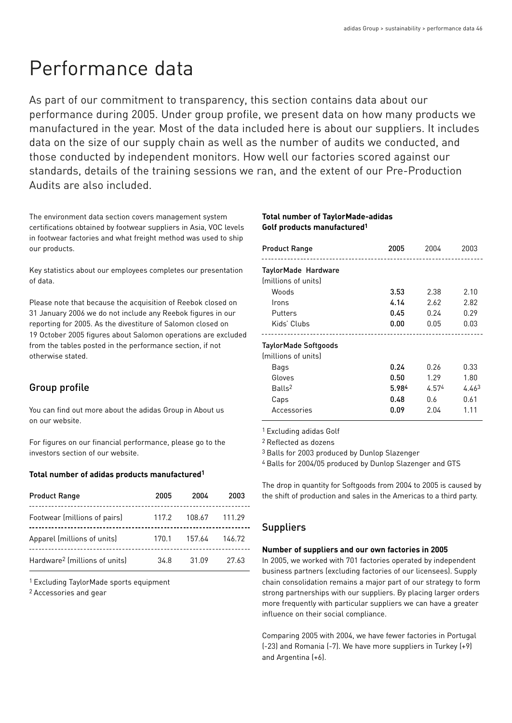# Performance data

As part of our commitment to transparency, this section contains data about our performance during 2005. Under group profile, we present data on how many products we manufactured in the year. Most of the data included here is about our suppliers. It includes data on the size of our supply chain as well as the number of audits we conducted, and those conducted by independent monitors. How well our factories scored against our standards, details of the training sessions we ran, and the extent of our Pre-Production Audits are also included.

The environment data section covers management system certifications obtained by footwear suppliers in Asia, VOC levels in footwear factories and what freight method was used to ship our products.

Key statistics about our employees completes our presentation of data.

Please note that because the acquisition of Reebok closed on 31 January 2006 we do not include any Reebok figures in our reporting for 2005. As the divestiture of Salomon closed on 19 October 2005 figures about Salomon operations are excluded from the tables posted in the performance section, if not otherwise stated.

# Group profile

You can find out more about the adidas Group in About us on our website.

For figures on our financial performance, please go to the investors section of our website.

#### **Total number of adidas products manufactured1**

| <b>Product Range</b>                      | 2005  | 2004   | 2003   |
|-------------------------------------------|-------|--------|--------|
| Footwear (millions of pairs)              | 117.2 | 108.67 | 111.29 |
| Apparel (millions of units)               | 170.1 | 157.64 | 146.72 |
| Hardware <sup>2</sup> (millions of units) | 34.8  | 31.09  | 27.63  |

1 Excluding TaylorMade sports equipment

2 Accessories and gear

## **Total number of TaylorMade-adidas Golf products manufactured1**

| <b>Product Range</b>                       | 2005  | 2004  | 2003              |
|--------------------------------------------|-------|-------|-------------------|
| TaylorMade Hardware<br>(millions of units) |       |       |                   |
| Woods                                      | 3.53  | 2.38  | 2.10              |
| Irons                                      | 4.14  | 2.62  | 2.82              |
| Putters                                    | 0.45  | 0.24  | 0.29              |
| Kids' Clubs                                | 0.00  | 0.05  | 0.03              |
|                                            |       |       |                   |
| TaylorMade Softgoods                       |       |       |                   |
| (millions of units)                        |       |       |                   |
| Bags                                       | 0.24  | 0.26  | 0.33              |
| Gloves                                     | 0.50  | 1.29  | 1.80              |
| Balls <sup>2</sup>                         | 5.984 | 4.574 | 4.46 <sup>3</sup> |
| Caps                                       | 0.48  | 0.6   | 0.61              |
| Accessories                                | 0.09  | 2.04  | 1.11              |

1 Excluding adidas Golf

2 Reflected as dozens

3 Balls for 2003 produced by Dunlop Slazenger

4 Balls for 2004/05 produced by Dunlop Slazenger and GTS

The drop in quantity for Softgoods from 2004 to 2005 is caused by the shift of production and sales in the Americas to a third party.

# Suppliers

#### **Number of suppliers and our own factories in 2005**

In 2005, we worked with 701 factories operated by independent business partners (excluding factories of our licensees). Supply chain consolidation remains a major part of our strategy to form strong partnerships with our suppliers. By placing larger orders more frequently with particular suppliers we can have a greater influence on their social compliance.

Comparing 2005 with 2004, we have fewer factories in Portugal (-23) and Romania (-7). We have more suppliers in Turkey (+9) and Argentina (+6).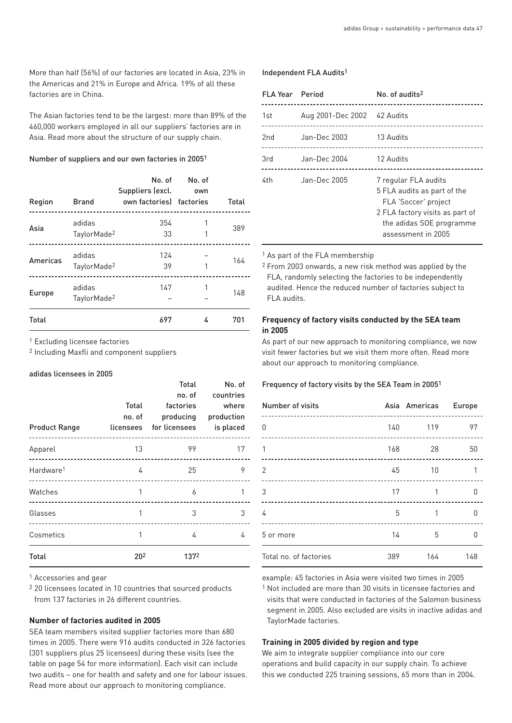More than half (56%) of our factories are located in Asia, 23% in the Americas and 21% in Europe and Africa. 19% of all these factories are in China.

The Asian factories tend to be the largest: more than 89% of the 460,000 workers employed in all our suppliers' factories are in Asia. Read more about the structure of our supply chain.

#### Number of suppliers and our own factories in 20051

|              |                                   | Suppliers (excl.         | No. of No. of<br>own |       |
|--------------|-----------------------------------|--------------------------|----------------------|-------|
| Region       | <b>Brand</b>                      | own factories) factories |                      | Total |
| Asia         | adidas<br>TaylorMade <sup>2</sup> | 354<br>33                |                      | 389   |
| Americas     | adidas<br>TaylorMade <sup>2</sup> | 124<br>39                |                      | 164   |
| Europe       | adidas<br>TaylorMade <sup>2</sup> | 147                      |                      | 148   |
| <b>Total</b> |                                   | 697                      | 4                    | 701   |

1 Excluding licensee factories

2 Including Maxfli and component suppliers

#### adidas licensees in 2005

| <b>Product Range</b>  | Total<br>no. of             | Total<br>no. of<br>factories<br>licensees for licensees is placed<br>------------------------------- | No. of<br>countries<br>where<br>producing production |
|-----------------------|-----------------------------|------------------------------------------------------------------------------------------------------|------------------------------------------------------|
| Apparel               | 13                          | 99                                                                                                   | 17                                                   |
| Hardware <sup>1</sup> | 4                           | 25                                                                                                   | 9                                                    |
| Watches               | 1                           | 6                                                                                                    | 1                                                    |
| Glasses               | 1<br>______________________ | 3                                                                                                    | 3                                                    |
| Cosmetics             | 1                           | 4                                                                                                    | 4                                                    |
| Total                 | 20 <sup>2</sup>             | 1372                                                                                                 |                                                      |

1 Accessories and gear

2 20 licensees located in 10 countries that sourced products from 137 factories in 26 different countries.

#### **Number of factories audited in 2005**

SEA team members visited supplier factories more than 680 times in 2005. There were 916 audits conducted in 326 factories (301 suppliers plus 25 licensees) during these visits (see the table on page 54 for more information). Each visit can include two audits – one for health and safety and one for labour issues. Read more about our approach to monitoring compliance.

#### Independent FLA Audits1

| <b>FLA Year</b> Period |                             | No. of audits <sup>2</sup>                                                                                                                                       |
|------------------------|-----------------------------|------------------------------------------------------------------------------------------------------------------------------------------------------------------|
| 1st                    | Aug 2001-Dec 2002 42 Audits |                                                                                                                                                                  |
| 2nd                    | Jan-Dec 2003                | 13 Audits                                                                                                                                                        |
| 3rd                    | Jan-Dec 2004                | 12 Audits                                                                                                                                                        |
| 4th                    | Jan-Dec 2005                | 7 regular FLA audits<br>5 FLA audits as part of the<br>FLA 'Soccer' project<br>2 FLA factory visits as part of<br>the adidas SOE programme<br>assessment in 2005 |

<sup>1</sup> As part of the FLA membership

2 From 2003 onwards, a new risk method was applied by the FLA, randomly selecting the factories to be independently audited. Hence the reduced number of factories subject to FLA audits.

#### **Frequency of factory visits conducted by the SEA team in 2005**

As part of our new approach to monitoring compliance, we now visit fewer factories but we visit them more often. Read more about our approach to monitoring compliance.

#### Frequency of factory visits by the SEA Team in 20051

| Number of visits<br>----------------------- |     | Asia Americas Europe | ----------- |
|---------------------------------------------|-----|----------------------|-------------|
| 0                                           |     | 140 119              | 97          |
| 1                                           |     | 168 28               | 50          |
| 2                                           | 45  | $\sim$ 10            | 1           |
| 3                                           | 17  | 1                    | 0           |
| 4                                           | 5   |                      | n           |
| 5 or more                                   | 14  | 5                    | n           |
| Total no. of factories                      | 389 | 164                  | 148         |

example: 45 factories in Asia were visited two times in 2005

1 Not included are more than 30 visits in licensee factories and visits that were conducted in factories of the Salomon business segment in 2005. Also excluded are visits in inactive adidas and TaylorMade factories.

#### **Training in 2005 divided by region and type**

We aim to integrate supplier compliance into our core operations and build capacity in our supply chain. To achieve this we conducted 225 training sessions, 65 more than in 2004.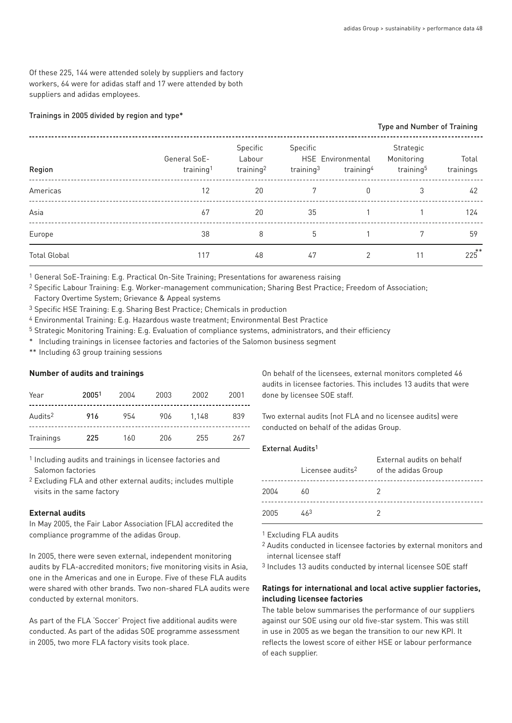Of these 225, 144 were attended solely by suppliers and factory workers, 64 were for adidas staff and 17 were attended by both suppliers and adidas employees.

#### Trainings in 2005 divided by region and type\*

|                     |                                       |                                             |                          |                                            | <b>Type and Number of Training</b>               |                    |
|---------------------|---------------------------------------|---------------------------------------------|--------------------------|--------------------------------------------|--------------------------------------------------|--------------------|
| Region              | General SoE-<br>training <sup>1</sup> | Specific<br>Labour<br>training <sup>2</sup> | Specific<br>training $3$ | HSE Environmental<br>training <sup>4</sup> | Strategic<br>Monitoring<br>training <sup>5</sup> | Total<br>trainings |
| Americas            | 12                                    | 20                                          |                          | 0                                          | 3                                                | 42                 |
| Asia                | 67                                    | 20                                          | 35                       |                                            |                                                  | 124                |
| Europe              | 38                                    | 8                                           | 5                        |                                            | 7                                                | 59                 |
| <b>Total Global</b> | 117                                   | 48                                          | 47                       | $\mathcal{P}$                              | 11                                               | $225$ **           |

1 General SoE-Training: E.g. Practical On-Site Training; Presentations for awareness raising

2 Specific Labour Training: E.g. Worker-management communication; Sharing Best Practice; Freedom of Association;

Factory Overtime System; Grievance & Appeal systems

3 Specific HSE Training: E.g. Sharing Best Practice; Chemicals in production

4 Environmental Training: E.g. Hazardous waste treatment; Environmental Best Practice

5 Strategic Monitoring Training: E.g. Evaluation of compliance systems, administrators, and their efficiency

\* Including trainings in licensee factories and factories of the Salomon business segment

\*\* Including 63 group training sessions

#### **Number of audits and trainings**

| Year                | 20051 | 2004 | 2003 | 2002  | 2001 |
|---------------------|-------|------|------|-------|------|
| Audits <sup>2</sup> | 916   | 954  | 906  | 1.148 | 839  |
| Trainings           | 225   | 160  | 206  | 255   | 267  |

1 Including audits and trainings in licensee factories and Salomon factories

2 Excluding FLA and other external audits; includes multiple visits in the same factory

#### **External audits**

In May 2005, the Fair Labor Association (FLA) accredited the compliance programme of the adidas Group.

In 2005, there were seven external, independent monitoring audits by FLA-accredited monitors; five monitoring visits in Asia, one in the Americas and one in Europe. Five of these FLA audits were shared with other brands. Two non-shared FLA audits were conducted by external monitors.

As part of the FLA 'Soccer' Project five additional audits were conducted. As part of the adidas SOE programme assessment in 2005, two more FLA factory visits took place.

On behalf of the licensees, external monitors completed 46 audits in licensee factories. This includes 13 audits that were done by licensee SOE staff.

Two external audits (not FLA and no licensee audits) were conducted on behalf of the adidas Group.

#### External Audits1

|      | Licensee audits <sup>2</sup> | External audits on behalf<br>of the adidas Group |
|------|------------------------------|--------------------------------------------------|
| 2004 | 60                           |                                                  |
| 2005 | 463                          |                                                  |

1 Excluding FLA audits

2 Audits conducted in licensee factories by external monitors and internal licensee staff

3 Includes 13 audits conducted by internal licensee SOE staff

## **Ratings for international and local active supplier factories, including licensee factories**

The table below summarises the performance of our suppliers against our SOE using our old five-star system. This was still in use in 2005 as we began the transition to our new KPI. It reflects the lowest score of either HSE or labour performance of each supplier.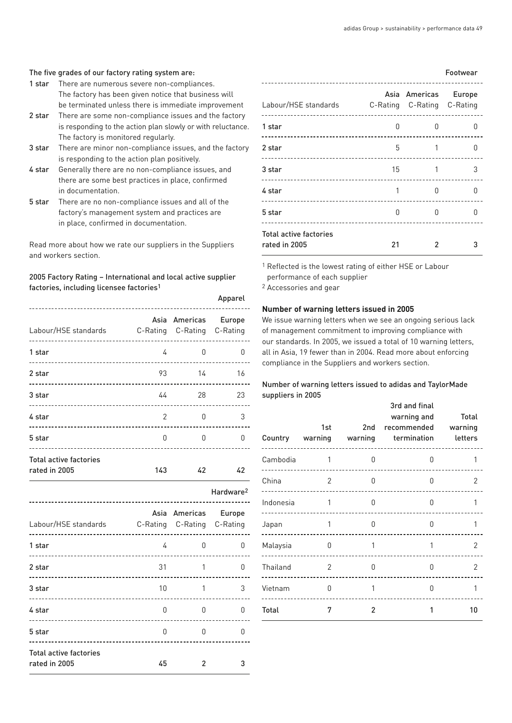#### The five grades of our factory rating system are:

- 1 star There are numerous severe non-compliances. The factory has been given notice that business will be terminated unless there is immediate improvement
- 2 star There are some non-compliance issues and the factory is responding to the action plan slowly or with reluctance. The factory is monitored regularly.
- 3 star There are minor non-compliance issues, and the factory is responding to the action plan positively.
- 4 star Generally there are no non-compliance issues, and there are some best practices in place, confirmed in documentation.
- 5 star There are no non-compliance issues and all of the factory's management system and practices are in place, confirmed in documentation.

Read more about how we rate our suppliers in the Suppliers and workers section.

## 2005 Factory Rating – International and local active supplier factories, including licensee factories1

|                                                 |                |                                                    | Apparel               |
|-------------------------------------------------|----------------|----------------------------------------------------|-----------------------|
| Labour/HSE standards C-Rating C-Rating C-Rating |                | Asia Americas Europe                               |                       |
| 1 star                                          | 4              | 0                                                  | 0                     |
| 2 star<br>-----------------<br>.                | 93             | 14                                                 | 16                    |
| 3 star                                          | 44             | 28                                                 | 23                    |
| 4 star                                          | $\overline{c}$ | 0                                                  | 3                     |
| 5 star                                          | 0              | 0                                                  | 0                     |
| <b>Total active factories</b><br>rated in 2005  | 143            | 42                                                 | 42                    |
|                                                 |                |                                                    |                       |
|                                                 |                |                                                    | Hardware <sup>2</sup> |
| Labour/HSE standards                            |                | Asia Americas Europe<br>C-Rating C-Rating C-Rating |                       |
| 1 star                                          | 4              | 0                                                  | 0                     |
| 2 star                                          | 31             | 1                                                  | 0                     |
| 3 star                                          | 10             | 1                                                  | 3                     |
| 4 star<br><u> 2222 - 2222 - 22</u>              | 0              | <sup>0</sup>                                       | O                     |
| 5 star                                          | 0              | 0                                                  | 0                     |

| Labour/HSE standards                           |              | Asia Americas Europe<br>C-Rating C-Rating C-Rating |   |
|------------------------------------------------|--------------|----------------------------------------------------|---|
| 1 star                                         | <sup>0</sup> | n                                                  | n |
| 2 star                                         | 5            |                                                    | n |
| 3 star                                         | 15           |                                                    | 3 |
| 4 star                                         |              | U                                                  | U |
| 5 star                                         | 0            | U                                                  | n |
| <b>Total active factories</b><br>rated in 2005 | 21           | 2                                                  |   |

1 Reflected is the lowest rating of either HSE or Labour performance of each supplier

2 Accessories and gear

#### **Number of warning letters issued in 2005**

We issue warning letters when we see an ongoing serious lack of management commitment to improving compliance with our standards. In 2005, we issued a total of 10 warning letters, all in Asia, 19 fewer than in 2004. Read more about enforcing compliance in the Suppliers and workers section.

## Number of warning letters issued to adidas and TaylorMade suppliers in 2005

|           |              | 1st and the 1st and 1st and 1st and 1st and 1st and 1st and 1st and 1st and 1st and 1st and 1st and 1<br>2nd | 3rd and final<br>warning and<br>recommended warning<br>Country warning warning termination letters | Total |
|-----------|--------------|--------------------------------------------------------------------------------------------------------------|----------------------------------------------------------------------------------------------------|-------|
| Cambodia  | $\sim$ 1     | <sup>n</sup>                                                                                                 | n                                                                                                  | 1     |
| China     | 2            | 0                                                                                                            | 0                                                                                                  | 2     |
| Indonesia | 1            | 0                                                                                                            | <sup>0</sup>                                                                                       | 1     |
| Japan     | 1            | <sup>0</sup>                                                                                                 | O                                                                                                  | 1     |
| Malaysia  | <sup>0</sup> | 1                                                                                                            |                                                                                                    | 2     |
| Thailand  | 2            | <sup>0</sup>                                                                                                 | <sup>0</sup>                                                                                       | 2     |
| Vietnam   | <sup>0</sup> | 1                                                                                                            | 0                                                                                                  | 1     |
| Total     | 7            | 2                                                                                                            | 1                                                                                                  | 10    |

#### Footwear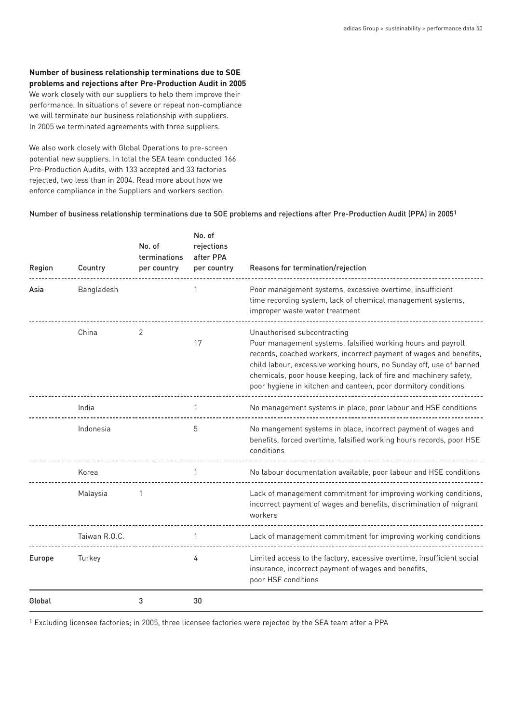#### **Number of business relationship terminations due to SOE problems and rejections after Pre-Production Audit in 2005**

We work closely with our suppliers to help them improve their performance. In situations of severe or repeat non-compliance we will terminate our business relationship with suppliers. In 2005 we terminated agreements with three suppliers.

We also work closely with Global Operations to pre-screen potential new suppliers. In total the SEA team conducted 166 Pre-Production Audits, with 133 accepted and 33 factories rejected, two less than in 2004. Read more about how we enforce compliance in the Suppliers and workers section.

Number of business relationship terminations due to SOE problems and rejections after Pre-Production Audit (PPA) in 20051

| Region | Country       | No. of<br>terminations<br>per country | No. of<br>rejections<br>after PPA<br>per country | Reasons for termination/rejection                                                                                                                                                                                                                                                                                                                                               |
|--------|---------------|---------------------------------------|--------------------------------------------------|---------------------------------------------------------------------------------------------------------------------------------------------------------------------------------------------------------------------------------------------------------------------------------------------------------------------------------------------------------------------------------|
| Asia   | Bangladesh    |                                       |                                                  | Poor management systems, excessive overtime, insufficient<br>time recording system, lack of chemical management systems,<br>improper waste water treatment                                                                                                                                                                                                                      |
|        | China         | 2                                     | 17                                               | Unauthorised subcontracting<br>Poor management systems, falsified working hours and payroll<br>records, coached workers, incorrect payment of wages and benefits,<br>child labour, excessive working hours, no Sunday off, use of banned<br>chemicals, poor house keeping, lack of fire and machinery safety,<br>poor hygiene in kitchen and canteen, poor dormitory conditions |
|        | India         |                                       | 1                                                | No management systems in place, poor labour and HSE conditions                                                                                                                                                                                                                                                                                                                  |
|        | Indonesia     |                                       | 5                                                | No mangement systems in place, incorrect payment of wages and<br>benefits, forced overtime, falsified working hours records, poor HSE<br>conditions                                                                                                                                                                                                                             |
|        | Korea         |                                       |                                                  | No labour documentation available, poor labour and HSE conditions                                                                                                                                                                                                                                                                                                               |
|        | Malaysia      | 1                                     |                                                  | Lack of management commitment for improving working conditions,<br>incorrect payment of wages and benefits, discrimination of migrant<br>workers                                                                                                                                                                                                                                |
|        | Taiwan R.O.C. |                                       | 1                                                | Lack of management commitment for improving working conditions                                                                                                                                                                                                                                                                                                                  |
| Europe | Turkey        |                                       | 4                                                | Limited access to the factory, excessive overtime, insufficient social<br>insurance, incorrect payment of wages and benefits,<br>poor HSE conditions                                                                                                                                                                                                                            |
| Global |               | 3                                     | 30                                               |                                                                                                                                                                                                                                                                                                                                                                                 |

1 Excluding licensee factories; in 2005, three licensee factories were rejected by the SEA team after a PPA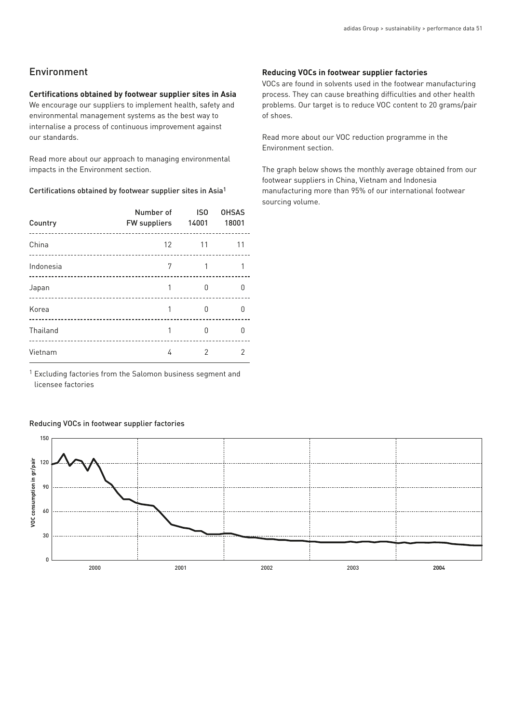# Environment

#### **Certifications obtained by footwear supplier sites in Asia**

We encourage our suppliers to implement health, safety and environmental management systems as the best way to internalise a process of continuous improvement against our standards.

Read more about our approach to managing environmental impacts in the Environment section.

#### Certifications obtained by footwear supplier sites in Asia1

| Country   | Number of<br><b>FW suppliers</b> | IS <sub>0</sub><br>14001 | <b>OHSAS</b><br>18001 |
|-----------|----------------------------------|--------------------------|-----------------------|
| China     | $12 \overline{ }$                | 11                       | 11                    |
| Indonesia | 7                                |                          |                       |
| Japan     |                                  | n                        |                       |
| Korea     |                                  | n                        |                       |
| Thailand  |                                  | n                        |                       |
| Vietnam   | 4                                |                          |                       |

1 Excluding factories from the Salomon business segment and licensee factories

#### Reducing VOCs in footwear supplier factories

# 150 VOC consumption in gr/pair **VOC consumption in gr/pair** 120 90 60 30 0 2000 2001 2002 2003 **2004**

#### **Reducing VOCs in footwear supplier factories**

VOCs are found in solvents used in the footwear manufacturing process. They can cause breathing difficulties and other health problems. Our target is to reduce VOC content to 20 grams/pair of shoes.

Read more about our VOC reduction programme in the Environment section.

The graph below shows the monthly average obtained from our footwear suppliers in China, Vietnam and Indonesia manufacturing more than 95% of our international footwear sourcing volume.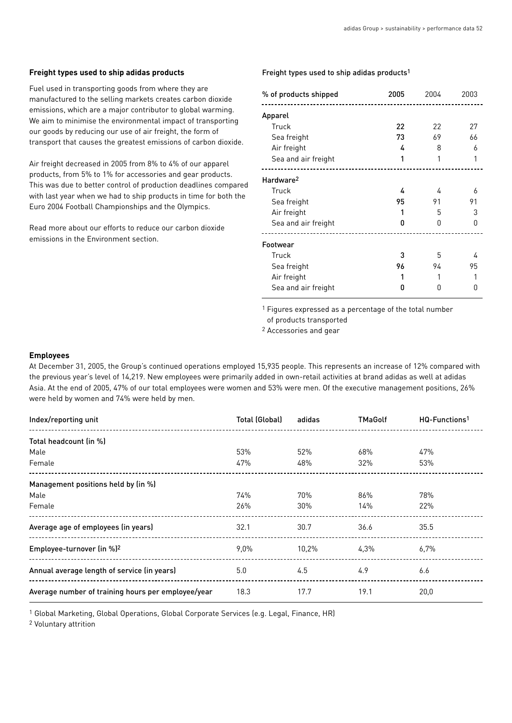#### **Freight types used to ship adidas products**

Fuel used in transporting goods from where they are manufactured to the selling markets creates carbon dioxide emissions, which are a major contributor to global warming. We aim to minimise the environmental impact of transporting our goods by reducing our use of air freight, the form of transport that causes the greatest emissions of carbon dioxide.

Air freight decreased in 2005 from 8% to 4% of our apparel products, from 5% to 1% for accessories and gear products. This was due to better control of production deadlines compared with last year when we had to ship products in time for both the Euro 2004 Football Championships and the Olympics.

Read more about our efforts to reduce our carbon dioxide emissions in the Environment section.

#### Freight types used to ship adidas products1

| % of products shipped | 2005 | 2004 | 2003 |
|-----------------------|------|------|------|
| Apparel               |      |      |      |
| Truck                 | 22   | 22   | 27   |
| Sea freight           | 73   | 69   | 66   |
| Air freight           | 4    | 8    | 6    |
| Sea and air freight   | 1    |      | 1    |
| Hardware <sup>2</sup> |      |      |      |
| Truck                 | 4    | 4    | 6    |
| Sea freight           | 95   | 91   | 91   |
| Air freight           |      | 5    | З    |
| Sea and air freight   | 0    | O    | N    |
| Footwear              |      |      |      |
| Truck                 | 3    | 5    | 4    |
| Sea freight           | 96   | 94   | 95   |
| Air freight           |      |      |      |
| Sea and air freight   |      | 11   |      |

1 Figures expressed as a percentage of the total number

of products transported

2 Accessories and gear

#### **Employees**

At December 31, 2005, the Group's continued operations employed 15,935 people. This represents an increase of 12% compared with the previous year's level of 14,219. New employees were primarily added in own-retail activities at brand adidas as well at adidas Asia. At the end of 2005, 47% of our total employees were women and 53% were men. Of the executive management positions, 26% were held by women and 74% were held by men.

| Index/reporting unit                               | Total (Global) | adidas | <b>TMaGolf</b> | HQ-Functions <sup>1</sup> |
|----------------------------------------------------|----------------|--------|----------------|---------------------------|
| Total headcount (in %)                             |                |        |                |                           |
| Male                                               | 53%            | 52%    | 68%            | 47%                       |
| Female                                             | 47%            | 48%    | 32%            | 53%                       |
| Management positions held by (in %)                |                |        |                |                           |
| Male                                               | 74%            | 70%    | 86%            | 78%                       |
| Female                                             | 26%            | 30%    | 14%            | 22%                       |
| Average age of employees (in years)                | 32.1           | 30.7   | 36.6           | 35.5                      |
| Employee-turnover (in %) <sup>2</sup>              | $9.0\%$        | 10.2%  | 4.3%           | $6.7\%$                   |
| Annual average length of service (in years)        | 5.0            | 4.5    | 4.9            | 6.6                       |
| Average number of training hours per employee/year | 18.3           | 17.7   | 19.1           | 20,0                      |

1 Global Marketing, Global Operations, Global Corporate Services (e.g. Legal, Finance, HR)

2 Voluntary attrition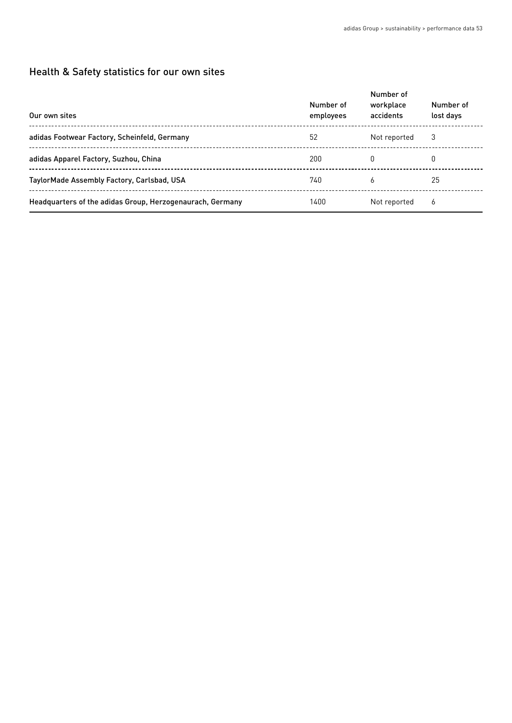# Health & Safety statistics for our own sites

| Our own sites                                             | Number of<br>employees | Number of<br>workplace<br>accidents | Number of<br>lost days |
|-----------------------------------------------------------|------------------------|-------------------------------------|------------------------|
| adidas Footwear Factory, Scheinfeld, Germany              | 52                     | Not reported                        | 3                      |
| adidas Apparel Factory, Suzhou, China                     | 200                    | 0                                   |                        |
| TaylorMade Assembly Factory, Carlsbad, USA                | 740                    | 6                                   | 25                     |
| Headquarters of the adidas Group, Herzogenaurach, Germany | 1400                   | Not reported                        | 6                      |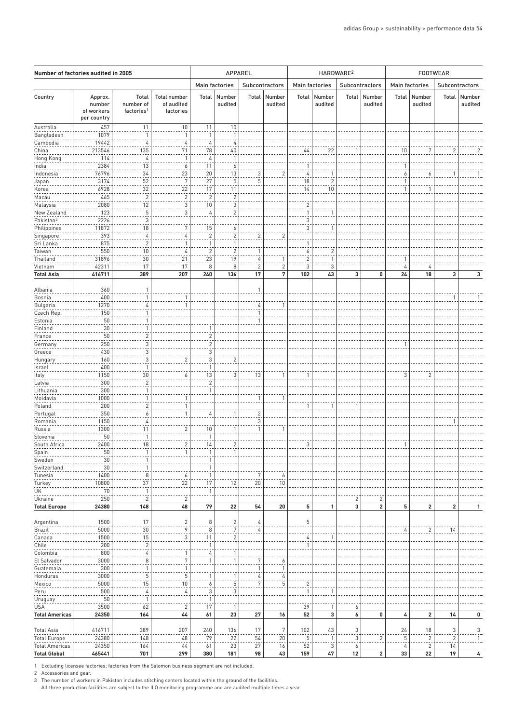| Number of factories audited in 2005          |                                                |                                              |                                                |                                           | APPAREL                 |                         |                   |                                | HARDWARE <sup>2</sup> |                     |                         | <b>FOOTWEAR</b> |                          |                      |                   |
|----------------------------------------------|------------------------------------------------|----------------------------------------------|------------------------------------------------|-------------------------------------------|-------------------------|-------------------------|-------------------|--------------------------------|-----------------------|---------------------|-------------------------|-----------------|--------------------------|----------------------|-------------------|
|                                              |                                                |                                              |                                                |                                           | Main factories          |                         | Subcontractors    |                                | Main factories        |                     | Subcontractors          | Main factories  |                          |                      | Subcontractors    |
| Country                                      | Approx.<br>number<br>of workers<br>per country | Total<br>number of<br>factories <sup>1</sup> | <b>Total number</b><br>of audited<br>factories | Total                                     | Number<br>audited       | Total                   | Number<br>audited | Total                          | Number<br>audited     | Total               | Number<br>audited       | Total           | Number<br>audited        | Total                | Number<br>audited |
| Australia                                    | 457                                            | 11                                           | 10                                             | 11                                        | 10                      |                         |                   |                                |                       |                     |                         |                 |                          |                      |                   |
| Bangladesh                                   | 1079                                           | $\mathbf{1}$                                 | -1                                             | $\mathbf{1}$                              | $\mathbf{1}$            |                         |                   |                                |                       |                     |                         |                 |                          |                      |                   |
| Cambodia                                     | 19442                                          | 4                                            | 4                                              | 4                                         | 4                       |                         |                   |                                |                       |                     |                         |                 |                          |                      |                   |
| China                                        | 213546<br>114                                  | 135<br>4                                     | 71<br>-1                                       | 78<br>4                                   | 40<br>$\mathbf{1}$      |                         |                   | 44                             | 22                    | -1                  |                         | 10              | 7                        | $\overline{2}$       |                   |
| Hong Kong<br>India                           | 2384                                           | 13                                           | 6                                              | 11                                        | $\overline{6}$          |                         |                   | -1                             |                       |                     |                         | 1               |                          |                      |                   |
| Indonesia                                    | 76796                                          | $\frac{34}{1}$                               | 23                                             | 20                                        | 13                      | 3                       | $\sqrt{2}$        | $\overline{4}$                 | $\overline{1}$        |                     |                         | 6               | 6                        |                      |                   |
| Japan                                        | 3174                                           | 52                                           | 7                                              | 27                                        | 5                       | 5                       |                   | 18                             | $\overline{2}$        |                     |                         | $\mathbf{1}$    |                          |                      |                   |
| Korea                                        | 6928                                           | 32                                           | 22                                             | 17                                        | 11                      |                         |                   | 14                             | 10                    |                     |                         | $\mathbf 1$     | -1                       |                      |                   |
| Macau                                        | 465                                            | $\overline{c}$                               | $\overline{\mathbf{c}}$                        | $\overline{2}$                            | $\overline{c}$          |                         |                   |                                |                       |                     |                         |                 |                          |                      |                   |
| Malaysia                                     | 2080                                           | 12                                           | 3                                              | 10                                        | 3                       |                         |                   | $\overline{2}$                 |                       |                     |                         |                 |                          |                      |                   |
| New Zealand<br>Pakistan <sup>3</sup>         | 123<br>2226                                    | $\mathbf 5$<br>3                             | 3                                              | 4                                         | $\overline{\mathbf{c}}$ |                         |                   | $\mathbf{1}$<br>3              | 1                     |                     |                         |                 |                          |                      |                   |
| Philippines                                  | 11872                                          | 18                                           | 7                                              | 15                                        | 6                       |                         |                   | 3                              | 1                     |                     |                         |                 |                          |                      |                   |
| Singapore                                    | 393                                            | $\frac{4}{1}$                                | 4                                              | $\sqrt{2}$                                | $\overline{c}$          | $\overline{\mathbf{c}}$ | $\sqrt{2}$        |                                |                       |                     |                         |                 |                          |                      |                   |
| Sri Lanka                                    | 875                                            | $\overline{a}$                               |                                                |                                           | 1                       |                         |                   | -1                             |                       |                     |                         |                 |                          |                      |                   |
| Taiwan                                       | 550                                            | 10                                           | 4                                              | $\overline{2}$                            | $\overline{\mathbf{c}}$ | -1                      |                   | 6                              | $\overline{2}$        | -1                  |                         |                 |                          |                      |                   |
| Thailand                                     | 31896                                          | 30                                           | 21                                             | 23                                        | 19                      | $\frac{1}{2}$           | $\mathbf{1}$      | $\overline{c}$                 | $\mathbf{1}$          |                     |                         |                 |                          |                      |                   |
| Vietnam                                      | 42311<br>416711                                | 17                                           | 17                                             | 8                                         | 8                       | 2                       | $\sqrt{2}$<br>7   | 3                              | 3                     |                     |                         | 4               | 4                        | 3                    |                   |
| <b>Total Asia</b>                            |                                                | 389                                          | 207                                            | 240                                       | 136                     | 17                      |                   | 102                            | 43                    | 3                   | 0                       | 24              | 18                       |                      | 3                 |
| Albania                                      | 360                                            | $\mathbf{1}$                                 |                                                |                                           |                         | $\overline{1}$          |                   |                                |                       |                     |                         |                 |                          |                      |                   |
| Bosnia                                       | 400                                            | $\mathbf{1}$                                 |                                                |                                           |                         |                         |                   |                                |                       |                     |                         |                 |                          |                      |                   |
| Bulgaria                                     | 1270                                           | 4                                            | -1                                             |                                           |                         | 4                       | $\overline{1}$    |                                |                       |                     |                         |                 |                          |                      |                   |
| Czech Rep.                                   | 150                                            | $\mathbf{1}$                                 |                                                |                                           |                         |                         |                   |                                |                       |                     |                         |                 |                          |                      |                   |
| Estonia                                      | 50                                             | $\mathbf{1}$                                 |                                                |                                           |                         | 1                       |                   |                                |                       |                     |                         |                 |                          |                      |                   |
| Finland                                      | 30                                             | $\mathbf{1}$                                 |                                                |                                           |                         |                         |                   |                                |                       |                     |                         |                 |                          |                      |                   |
| France                                       | 50<br>250                                      | $\overline{c}$<br>3                          |                                                | $\overline{\mathbf{c}}$<br>$\overline{c}$ |                         |                         |                   |                                |                       |                     |                         |                 |                          |                      |                   |
| Germany<br>Greece                            | 430                                            | 3                                            |                                                | 3                                         |                         |                         |                   |                                |                       |                     |                         |                 |                          |                      |                   |
| Hungary                                      | 160                                            | 3                                            | 2                                              | 3                                         | 2                       |                         |                   |                                |                       |                     |                         |                 |                          |                      |                   |
| Israel                                       | 400                                            | $\mathbf{1}$                                 |                                                | 1                                         |                         |                         |                   |                                |                       |                     |                         |                 |                          |                      |                   |
| Italy                                        | 1150                                           | 30                                           | 6                                              | 13                                        | 3                       | 13                      | $\overline{1}$    | -1                             |                       |                     |                         | 3               | 2                        |                      |                   |
| Latvia                                       | 300                                            | $\overline{2}$                               |                                                | $\sqrt{2}$                                |                         |                         |                   |                                |                       |                     |                         |                 |                          |                      |                   |
| Lithuania                                    | 300                                            | $\mathbf{1}$                                 |                                                |                                           |                         |                         |                   |                                |                       |                     |                         |                 |                          |                      |                   |
| Moldavia<br>Poland                           | 1000<br>200                                    | $\mathbf{1}$                                 |                                                |                                           |                         |                         | $\overline{1}$    | -1                             | -1                    | -1                  |                         |                 |                          |                      |                   |
| Portugal                                     | 350                                            | $\overline{\mathbf{c}}$<br>6                 |                                                | 4                                         | 1                       | $\overline{\mathbf{c}}$ |                   |                                |                       |                     |                         |                 |                          |                      |                   |
| Romania                                      | 1150                                           | 4                                            |                                                |                                           |                         | 3                       |                   |                                |                       |                     |                         |                 |                          |                      |                   |
| Russia                                       | 1300                                           | 11                                           | $\overline{c}$                                 | 10                                        | 1                       | $\mathbf{1}$            | $\overline{1}$    |                                |                       |                     |                         |                 |                          |                      |                   |
| Slovenia                                     | 50                                             | $\mathbf{1}$                                 |                                                | 1                                         |                         |                         |                   |                                |                       |                     |                         |                 |                          |                      |                   |
| South Africa                                 | 2400                                           | 18                                           | 2                                              | 14                                        | $\overline{c}$          |                         |                   | 3                              |                       |                     |                         | -1              |                          |                      |                   |
| Spain                                        | 5U                                             |                                              |                                                |                                           |                         |                         |                   |                                |                       |                     |                         |                 |                          |                      |                   |
| Sweden<br>Switzerland                        | 30<br>30                                       | $\mathbf{1}$<br>$\mathbf{1}$                 |                                                |                                           |                         |                         |                   |                                |                       |                     |                         |                 |                          |                      |                   |
| Tunesia                                      | 1400                                           | $\frac{8}{1}$                                | $6 \overline{6}$                               | 1                                         |                         | 7                       | $\frac{6}{1}$     |                                |                       |                     |                         |                 |                          |                      |                   |
| Turkey                                       | 10800                                          | 37                                           | 22                                             | 17                                        | 12                      | 20                      | $10$              |                                |                       |                     |                         |                 |                          |                      |                   |
| UK                                           | 70                                             | $\mathbf{1}$                                 |                                                | $\mathbf{1}$                              |                         |                         |                   |                                |                       |                     |                         |                 |                          |                      |                   |
| Ukraine                                      | 250                                            | $\overline{c}$                               | 2                                              |                                           |                         |                         |                   |                                |                       | 2                   | 2                       |                 |                          |                      |                   |
| <b>Total Europe</b>                          | 24380                                          | 148                                          | 48                                             | 79                                        | 22                      | 54                      | 20                | 5                              | 1                     | 3                   | $\overline{\mathbf{c}}$ | 5               | $\overline{\mathbf{c}}$  | $\overline{2}$       | $\mathbf{1}$      |
| Argentina                                    | 1500                                           | 17                                           | $\overline{c}$                                 | 8                                         | $\overline{2}$          | 4                       |                   | 5                              |                       |                     |                         |                 |                          |                      |                   |
| Brazil                                       | 5000                                           | 30                                           | 9                                              | 8                                         | 7                       | $\frac{4}{1}$           |                   |                                |                       |                     |                         | 4               | $\overline{c}$           | 14                   |                   |
| Canada                                       | 1500                                           | 15                                           | 3                                              | 11                                        | $\sqrt{2}$              |                         |                   | 4                              | -1                    |                     |                         |                 |                          |                      |                   |
| Chile                                        | 200                                            | $\overline{a}$                               |                                                | 1                                         |                         |                         |                   | -1                             |                       |                     |                         |                 |                          |                      |                   |
| Colombia                                     | 800                                            | $\frac{4}{1}$                                |                                                | 4                                         | 1                       |                         |                   |                                |                       |                     |                         |                 |                          |                      |                   |
| El Salvador                                  | 3000                                           | 8                                            | 7                                              |                                           | 1                       | 7                       | 6                 |                                |                       |                     |                         |                 |                          |                      |                   |
| Guatemala                                    | 300                                            | $\mathbf{1}$                                 | 1                                              |                                           |                         | $\mathbf{1}$            | $\mathbf{1}$      |                                |                       |                     |                         |                 |                          |                      |                   |
| Honduras                                     | 3000<br>5000                                   | 5                                            | 5                                              |                                           | 1                       | 4<br>7                  | $\frac{4}{1}$     |                                |                       |                     |                         |                 |                          |                      |                   |
| Mexico<br>Peru                               | 500                                            | 15<br>4                                      | 10<br>4                                        | 6<br>3                                    | $\overline{5}$<br>3     |                         | $\mathbf 5$       | $\overline{c}$<br>$\mathbf{1}$ |                       |                     |                         |                 |                          |                      |                   |
| Uruguay                                      | 50                                             | $\overline{1}$                               |                                                | 1                                         |                         |                         |                   |                                |                       |                     |                         |                 |                          |                      |                   |
| <b>USA</b>                                   | 3500                                           | 62                                           | 2                                              | 17                                        | $\mathbf{1}$            |                         |                   | 39                             | $\mathbf{1}$          | 6                   |                         |                 |                          |                      |                   |
| <b>Total Americas</b>                        | 24350                                          | 164                                          | 44                                             | 61                                        | 23                      | 27                      | 16                | 52                             | 3                     | 6                   | 0                       | 4               | 2                        | 14                   | 0                 |
|                                              |                                                |                                              |                                                |                                           |                         |                         |                   |                                |                       |                     |                         |                 |                          |                      |                   |
| <b>Total Asia</b>                            | 416711                                         | 389                                          | 207<br>48                                      | 240                                       | 136                     | 17                      | 7                 | 102                            | 43<br>$\mathbf{1}$    | $\overline{3}$<br>3 | $\overline{c}$          | 24<br>5         | $18\,$<br>$\overline{c}$ | 3                    | 3                 |
| <b>Total Europe</b><br><b>Total Americas</b> | 24380<br>24350                                 | 148<br>164                                   | 44                                             | 79<br>61                                  | 22<br>23                | 54<br>27                | $20\,$<br>16      | 5<br>52                        | 3                     | 6                   |                         | 4               | $\overline{c}$           | $\overline{c}$<br>14 | 1                 |
| <b>Total Global</b>                          | 465441                                         | 701                                          | 299                                            | 380                                       | 181                     | 98                      | 43                | 159                            | 47                    | 12                  | $\overline{2}$          | 33              | 22                       | 19                   | 4                 |
|                                              |                                                |                                              |                                                |                                           |                         |                         |                   |                                |                       |                     |                         |                 |                          |                      |                   |

1 Excluding licensee factories; factories from the Salomon business segment are not included.

2 Accessories and gear.

3 The number of workers in Pakistan includes stitching centers located within the ground of the facilities.

All three production facilities are subject to the ILO monitoring programme and are audited multiple times a year.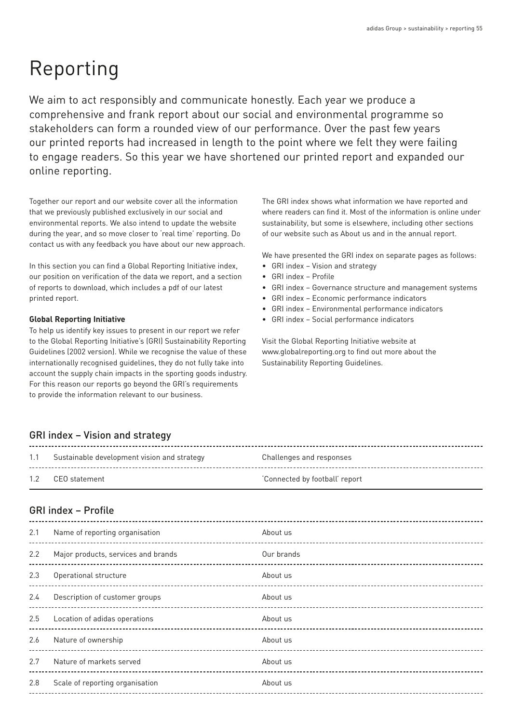# Reporting

We aim to act responsibly and communicate honestly. Each year we produce a comprehensive and frank report about our social and environmental programme so stakeholders can form a rounded view of our performance. Over the past few years our printed reports had increased in length to the point where we felt they were failing to engage readers. So this year we have shortened our printed report and expanded our online reporting.

Together our report and our website cover all the information that we previously published exclusively in our social and environmental reports. We also intend to update the website during the year, and so move closer to 'real time' reporting. Do contact us with any feedback you have about our new approach.

In this section you can find a Global Reporting Initiative index, our position on verification of the data we report, and a section of reports to download, which includes a pdf of our latest printed report.

#### **Global Reporting Initiative**

To help us identify key issues to present in our report we refer to the Global Reporting Initiative's (GRI) Sustainability Reporting Guidelines (2002 version). While we recognise the value of these internationally recognised guidelines, they do not fully take into account the supply chain impacts in the sporting goods industry. For this reason our reports go beyond the GRI's requirements to provide the information relevant to our business.

The GRI index shows what information we have reported and where readers can find it. Most of the information is online under sustainability, but some is elsewhere, including other sections of our website such as About us and in the annual report.

We have presented the GRI index on separate pages as follows:

- GRI index Vision and strategy
- GRI index Profile
- GRI index Governance structure and management systems
- GRI index Economic performance indicators
- GRI index Environmental performance indicators
- GRI index Social performance indicators

Visit the Global Reporting Initiative website at www.globalreporting.org to find out more about the Sustainability Reporting Guidelines.

# GRI index – Vision and strategy

| 1.1 Sustainable development vision and strategy | Challenges and responses      |
|-------------------------------------------------|-------------------------------|
| 1.2 CEO statement                               | Connected by football' report |

# GRI index – Profile

| 2.1 | Name of reporting organisation                       | About us   |
|-----|------------------------------------------------------|------------|
| 2.2 | Major products, services and brands                  | Our brands |
| 2.3 | Operational structure                                | About us   |
| 2.4 | Description of customer groups<br>------------------ | About us   |
| 2.5 | Location of adidas operations                        | About us   |
| 2.6 | Nature of ownership                                  | About us   |
| 2.7 | Nature of markets served                             | About us   |
| 2.8 | Scale of reporting organisation                      | About us   |
|     |                                                      |            |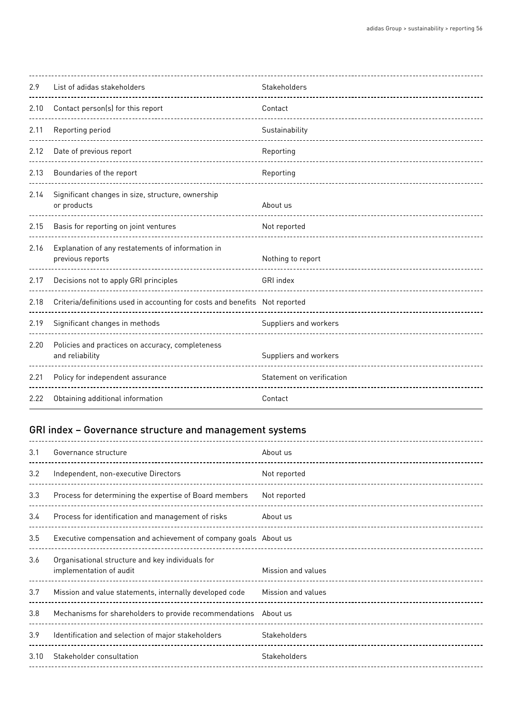| 2.9  | List of adidas stakeholders                                                    | Stakeholders              |
|------|--------------------------------------------------------------------------------|---------------------------|
| 2.10 | Contact person(s) for this report                                              | Contact                   |
| 2.11 | Reporting period                                                               | Sustainability            |
| 2.12 | Date of previous report                                                        | Reporting                 |
| 2.13 | Boundaries of the report                                                       | Reporting                 |
| 2.14 | Significant changes in size, structure, ownership<br>or products               | About us                  |
| 2.15 | Basis for reporting on joint ventures                                          | Not reported              |
| 2.16 | Explanation of any restatements of information in<br>previous reports          | Nothing to report         |
| 2.17 | Decisions not to apply GRI principles                                          | GRI index                 |
| 2.18 | Criteria/definitions used in accounting for costs and benefits    Not reported |                           |
| 2.19 | Significant changes in methods                                                 | Suppliers and workers     |
| 2.20 | Policies and practices on accuracy, completeness<br>and reliability            | Suppliers and workers     |
| 2.21 | Policy for independent assurance                                               | Statement on verification |
| 2.22 | Obtaining additional information                                               | Contact                   |

# GRI index – Governance structure and management systems

| 3.1  | Governance structure                                                        | About us           |
|------|-----------------------------------------------------------------------------|--------------------|
| 3.2  | Independent, non-executive Directors                                        | Not reported       |
| 3.3  | Process for determining the expertise of Board members                      | Not reported       |
| 3.4  | Process for identification and management of risks                          | About us           |
| 3.5  | Executive compensation and achievement of company goals About us            |                    |
| 3.6  | Organisational structure and key individuals for<br>implementation of audit | Mission and values |
| 3.7  | Mission and value statements, internally developed code                     | Mission and values |
| 3.8  | Mechanisms for shareholders to provide recommendations About us             |                    |
| 3.9  | Identification and selection of major stakeholders                          | Stakeholders       |
| 3.10 | Stakeholder consultation                                                    | Stakeholders       |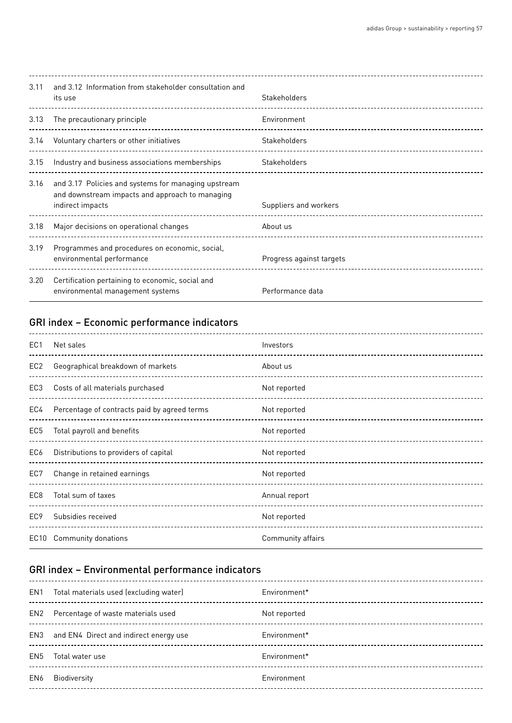| 3.11 | and 3.12 Information from stakeholder consultation and<br>its use                                                          | Stakeholders             |
|------|----------------------------------------------------------------------------------------------------------------------------|--------------------------|
| 3.13 | The precautionary principle                                                                                                | Environment              |
| 3.14 | Voluntary charters or other initiatives<br>---------------------                                                           | Stakeholders             |
| 3.15 | Industry and business associations memberships                                                                             | Stakeholders             |
| 3.16 | and 3.17 Policies and systems for managing upstream<br>and downstream impacts and approach to managing<br>indirect impacts | Suppliers and workers    |
| 3.18 | Major decisions on operational changes                                                                                     | About us                 |
| 3.19 | Programmes and procedures on economic, social,<br>environmental performance                                                | Progress against targets |
| 3.20 | Certification pertaining to economic, social and<br>environmental management systems                                       | Performance data         |

# GRI index – Economic performance indicators

| EC <sub>1</sub> | Net sales                                              | Investors         |
|-----------------|--------------------------------------------------------|-------------------|
| EC <sub>2</sub> | Geographical breakdown of markets<br>----------------- | About us          |
| EC <sub>3</sub> | Costs of all materials purchased                       | Not reported      |
| EC4             | Percentage of contracts paid by agreed terms           | Not reported      |
| EC <sub>5</sub> | Total payroll and benefits                             | Not reported      |
| EC6             | Distributions to providers of capital                  | Not reported      |
| EC7             | Change in retained earnings                            | Not reported      |
| EC <sub>8</sub> | Total sum of taxes                                     | Annual report     |
| EC <sub>9</sub> | Subsidies received                                     | Not reported      |
|                 | EC10 Community donations                               | Community affairs |

# GRI index – Environmental performance indicators

| EN1             | Total materials used (excluding water) | Environment* |
|-----------------|----------------------------------------|--------------|
| EN <sub>2</sub> | Percentage of waste materials used     | Not reported |
| EN3             | and EN4 Direct and indirect energy use | Environment* |
| EN <sub>5</sub> | Total water use                        | Environment* |
| EN <sub>6</sub> | <b>Biodiversity</b>                    | Environment  |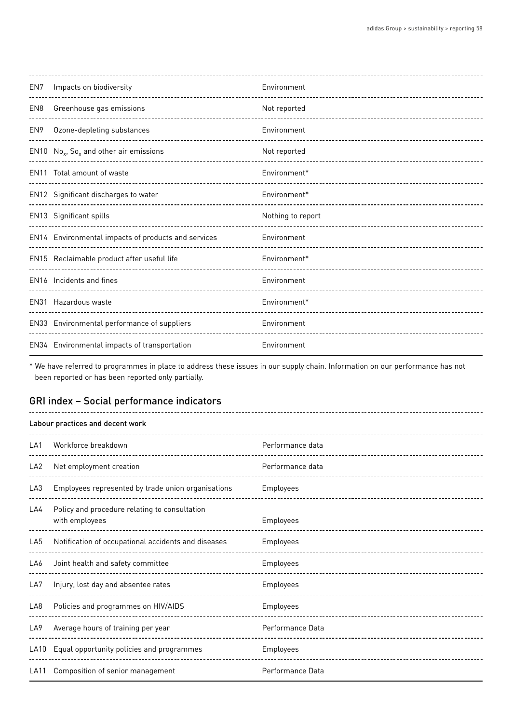| EN7 | Impacts on biodiversity<br>______________________________ | Environment       |
|-----|-----------------------------------------------------------|-------------------|
| EN8 | Greenhouse gas emissions                                  | Not reported      |
| EN9 | Ozone-depleting substances                                | Environment       |
|     | EN10 $No_x$ , So <sub>x</sub> and other air emissions     | Not reported      |
|     | EN11 Total amount of waste                                | Environment*      |
|     | EN12 Significant discharges to water                      | Environment*      |
|     | EN13 Significant spills                                   | Nothing to report |
|     | EN14 Environmental impacts of products and services       | Environment       |
|     | EN15 Reclaimable product after useful life                | Environment*      |
|     | EN16 Incidents and fines                                  | Environment       |
|     | EN31 Hazardous waste                                      | Environment*      |
|     | EN33 Environmental performance of suppliers               | Environment       |
|     | EN34 Environmental impacts of transportation              | Environment       |

\* We have referred to programmes in place to address these issues in our supply chain. Information on our performance has not been reported or has been reported only partially.

# GRI index – Social performance indicators

| Labour practices and decent work |                                                                 |                  |
|----------------------------------|-----------------------------------------------------------------|------------------|
| LA1                              | Workforce breakdown<br>--------------------------------------   | Performance data |
| LA <sub>2</sub>                  | Net employment creation                                         | Performance data |
| LA <sub>3</sub>                  | Employees represented by trade union organisations              | Employees        |
| LA4                              | Policy and procedure relating to consultation<br>with employees | Employees        |
| LA <sub>5</sub>                  | Notification of occupational accidents and diseases             | Employees        |
| LA6                              | Joint health and safety committee                               | Employees        |
| LA7                              | Injury, lost day and absentee rates                             | Employees        |
| LA8                              | Policies and programmes on HIV/AIDS                             | Employees        |
| LA <sub>9</sub>                  | Average hours of training per year                              | Performance Data |
| LA10                             | Equal opportunity policies and programmes                       | Employees        |
| <b>LA11</b>                      | Composition of senior management                                | Performance Data |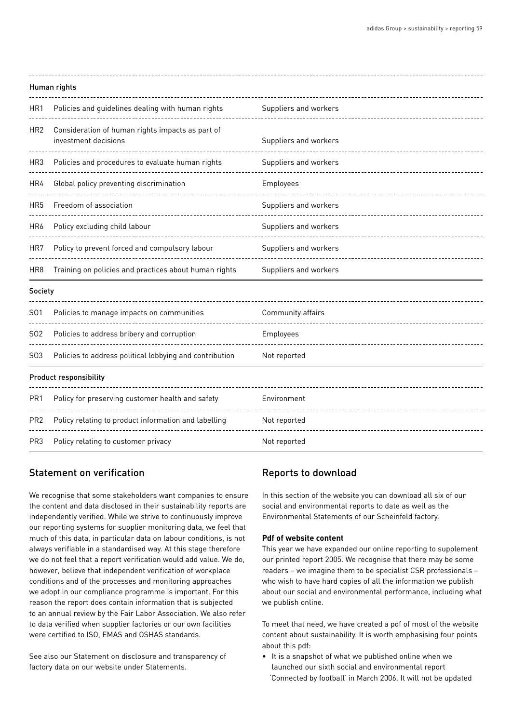| Human rights    |                                                                          |                       |
|-----------------|--------------------------------------------------------------------------|-----------------------|
| HR1             | Policies and guidelines dealing with human rights                        | Suppliers and workers |
| HR <sub>2</sub> | Consideration of human rights impacts as part of<br>investment decisions | Suppliers and workers |
| HR <sub>3</sub> | Policies and procedures to evaluate human rights                         | Suppliers and workers |
| HR4             | Global policy preventing discrimination                                  | Employees             |
| HR <sub>5</sub> | Freedom of association                                                   | Suppliers and workers |
| HR6             | Policy excluding child labour                                            | Suppliers and workers |
| HR7             | Policy to prevent forced and compulsory labour                           | Suppliers and workers |
| HR8             | Training on policies and practices about human rights                    | Suppliers and workers |
| Society         |                                                                          |                       |
| S01             | Policies to manage impacts on communities                                | Community affairs     |
| S02             | Policies to address bribery and corruption                               | Employees             |
| S03             | Policies to address political lobbying and contribution                  | Not reported          |
|                 | <b>Product responsibility</b>                                            |                       |
| PR <sub>1</sub> | Policy for preserving customer health and safety                         | Environment           |
| PR <sub>2</sub> | Policy relating to product information and labelling                     | Not reported          |

# Statement on verification

We recognise that some stakeholders want companies to ensure the content and data disclosed in their sustainability reports are independently verified. While we strive to continuously improve our reporting systems for supplier monitoring data, we feel that much of this data, in particular data on labour conditions, is not always verifiable in a standardised way. At this stage therefore we do not feel that a report verification would add value. We do, however, believe that independent verification of workplace conditions and of the processes and monitoring approaches we adopt in our compliance programme is important. For this reason the report does contain information that is subjected to an annual review by the Fair Labor Association. We also refer to data verified when supplier factories or our own facilities were certified to ISO, EMAS and OSHAS standards.

PR3 Policy relating to customer privacy Mother American Mot reported

See also our Statement on disclosure and transparency of factory data on our website under Statements.

# Reports to download

In this section of the website you can download all six of our social and environmental reports to date as well as the Environmental Statements of our Scheinfeld factory.

#### **Pdf of website content**

This year we have expanded our online reporting to supplement our printed report 2005. We recognise that there may be some readers – we imagine them to be specialist CSR professionals – who wish to have hard copies of all the information we publish about our social and environmental performance, including what we publish online.

To meet that need, we have created a pdf of most of the website content about sustainability. It is worth emphasising four points about this pdf:

• It is a snapshot of what we published online when we launched our sixth social and environmental report 'Connected by football' in March 2006. It will not be updated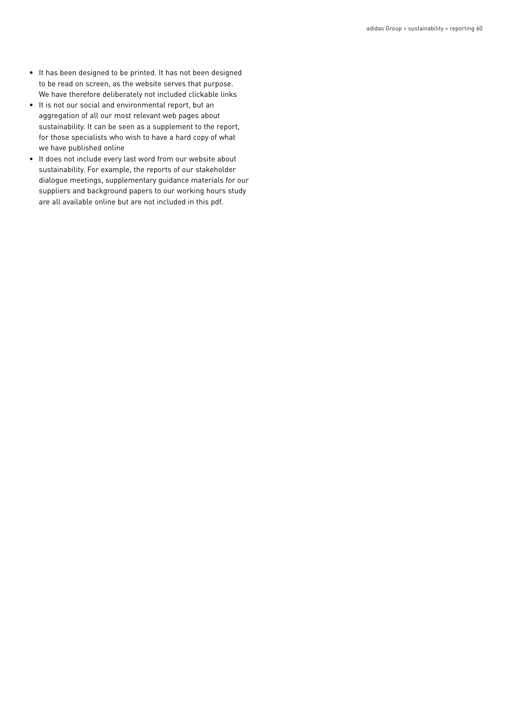- It has been designed to be printed. It has not been designed to be read on screen, as the website serves that purpose. We have therefore deliberately not included clickable links
- It is not our social and environmental report, but an aggregation of all our most relevant web pages about sustainability. It can be seen as a supplement to the report, for those specialists who wish to have a hard copy of what we have published online
- It does not include every last word from our website about sustainability. For example, the reports of our stakeholder dialogue meetings, supplementary guidance materials for our suppliers and background papers to our working hours study are all available online but are not included in this pdf.